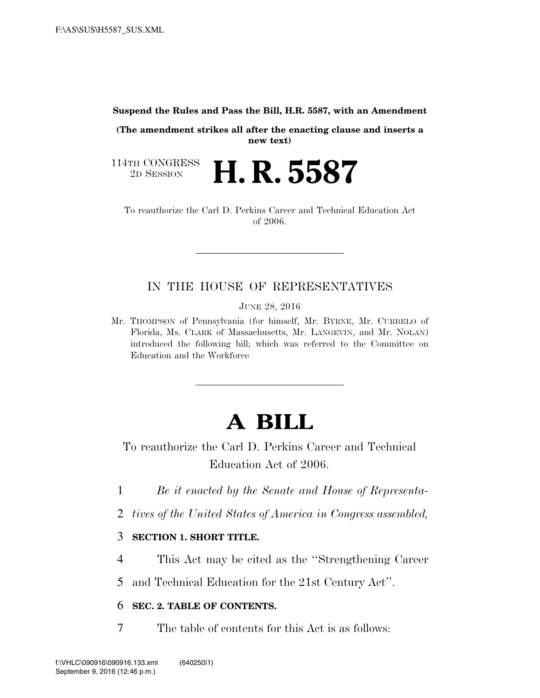## **Suspend the Rules and Pass the Bill, H.R. 5587, with an Amendment**

**(The amendment strikes all after the enacting clause and inserts a new text)** 

2D SESSION **H. R. 5587** 

114TH CONGRESS<br>2D SESSION

To reauthorize the Carl D. Perkins Career and Technical Education Act of 2006.

## IN THE HOUSE OF REPRESENTATIVES

JUNE 28, 2016

Mr. THOMPSON of Pennsylvania (for himself, Mr. BYRNE, Mr. CURBELO of Florida, Ms. CLARK of Massachusetts, Mr. LANGEVIN, and Mr. NOLAN) introduced the following bill; which was referred to the Committee on Education and the Workforce

# **A BILL**

To reauthorize the Carl D. Perkins Career and Technical Education Act of 2006.

- 1 *Be it enacted by the Senate and House of Representa-*
- 2 *tives of the United States of America in Congress assembled,*

## 3 **SECTION 1. SHORT TITLE.**

- 4 This Act may be cited as the ''Strengthening Career
- 5 and Technical Education for the 21st Century Act''.

## 6 **SEC. 2. TABLE OF CONTENTS.**

7 The table of contents for this Act is as follows: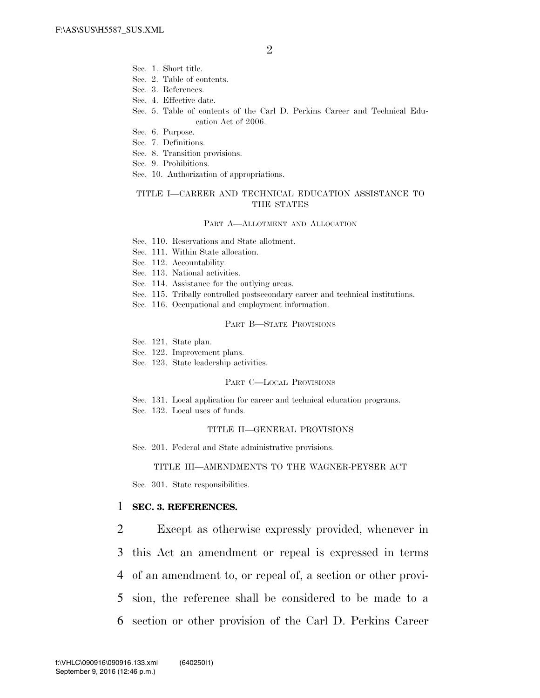- Sec. 1. Short title.
- Sec. 2. Table of contents.
- Sec. 3. References.
- Sec. 4. Effective date.
- Sec. 5. Table of contents of the Carl D. Perkins Career and Technical Education Act of 2006.
- Sec. 6. Purpose.
- Sec. 7. Definitions.
- Sec. 8. Transition provisions.
- Sec. 9. Prohibitions.
- Sec. 10. Authorization of appropriations.

## TITLE I—CAREER AND TECHNICAL EDUCATION ASSISTANCE TO THE STATES

#### PART A—ALLOTMENT AND ALLOCATION

- Sec. 110. Reservations and State allotment.
- Sec. 111. Within State allocation.
- Sec. 112. Accountability.
- Sec. 113. National activities.
- Sec. 114. Assistance for the outlying areas.
- Sec. 115. Tribally controlled postsecondary career and technical institutions.
- Sec. 116. Occupational and employment information.

## PART B—STATE PROVISIONS

- Sec. 121. State plan.
- Sec. 122. Improvement plans.
- Sec. 123. State leadership activities.

### PART C—LOCAL PROVISIONS

Sec. 131. Local application for career and technical education programs. Sec. 132. Local uses of funds.

#### TITLE II—GENERAL PROVISIONS

Sec. 201. Federal and State administrative provisions.

#### TITLE III—AMENDMENTS TO THE WAGNER-PEYSER ACT

Sec. 301. State responsibilities.

## 1 **SEC. 3. REFERENCES.**

 Except as otherwise expressly provided, whenever in this Act an amendment or repeal is expressed in terms of an amendment to, or repeal of, a section or other provi- sion, the reference shall be considered to be made to a section or other provision of the Carl D. Perkins Career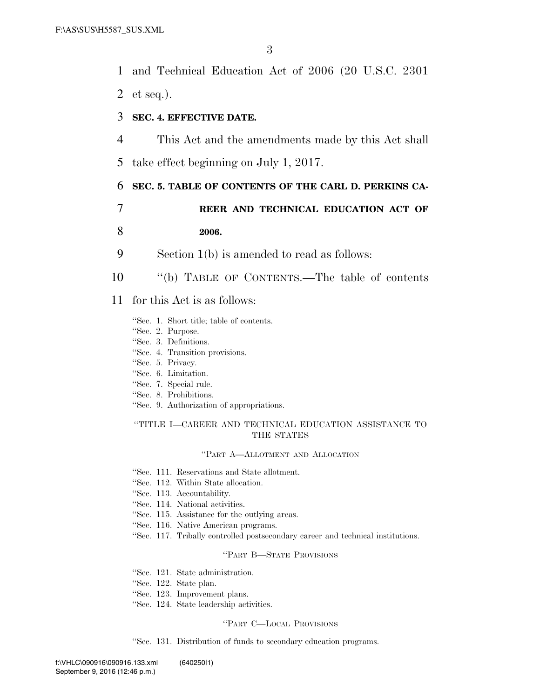1 and Technical Education Act of 2006 (20 U.S.C. 2301

2 et seq.).

## 3 **SEC. 4. EFFECTIVE DATE.**

4 This Act and the amendments made by this Act shall

5 take effect beginning on July 1, 2017.

## 6 **SEC. 5. TABLE OF CONTENTS OF THE CARL D. PERKINS CA-**

- 7 **REER AND TECHNICAL EDUCATION ACT OF**  8 **2006.**
- 9 Section 1(b) is amended to read as follows:
- 10 ''(b) TABLE OF CONTENTS.—The table of contents
- 11 for this Act is as follows:
	- ''Sec. 1. Short title; table of contents.
	- ''Sec. 2. Purpose.
	- ''Sec. 3. Definitions.
	- ''Sec. 4. Transition provisions.
	- ''Sec. 5. Privacy.
	- ''Sec. 6. Limitation.
	- ''Sec. 7. Special rule.
	- ''Sec. 8. Prohibitions.
	- ''Sec. 9. Authorization of appropriations.

## ''TITLE I—CAREER AND TECHNICAL EDUCATION ASSISTANCE TO THE STATES

## ''PART A—ALLOTMENT AND ALLOCATION

- ''Sec. 111. Reservations and State allotment.
- ''Sec. 112. Within State allocation.
- ''Sec. 113. Accountability.
- ''Sec. 114. National activities.
- ''Sec. 115. Assistance for the outlying areas.
- ''Sec. 116. Native American programs.
- ''Sec. 117. Tribally controlled postsecondary career and technical institutions.

## ''PART B—STATE PROVISIONS

- ''Sec. 121. State administration.
- ''Sec. 122. State plan.
- ''Sec. 123. Improvement plans.
- ''Sec. 124. State leadership activities.

## ''PART C—LOCAL PROVISIONS

''Sec. 131. Distribution of funds to secondary education programs.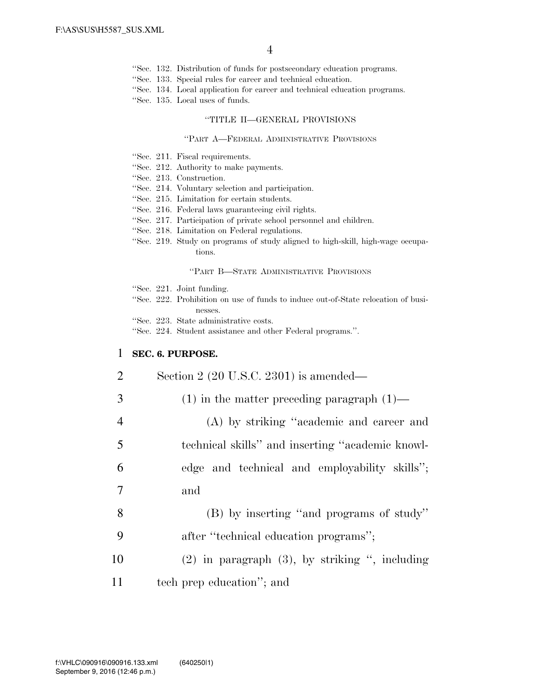- ''Sec. 132. Distribution of funds for postsecondary education programs.
- ''Sec. 133. Special rules for career and technical education.
- ''Sec. 134. Local application for career and technical education programs.
- ''Sec. 135. Local uses of funds.

## ''TITLE II—GENERAL PROVISIONS

#### ''PART A—FEDERAL ADMINISTRATIVE PROVISIONS

- ''Sec. 211. Fiscal requirements.
- ''Sec. 212. Authority to make payments.
- ''Sec. 213. Construction.
- ''Sec. 214. Voluntary selection and participation.
- ''Sec. 215. Limitation for certain students.
- ''Sec. 216. Federal laws guaranteeing civil rights.
- ''Sec. 217. Participation of private school personnel and children.
- ''Sec. 218. Limitation on Federal regulations.
- ''Sec. 219. Study on programs of study aligned to high-skill, high-wage occupations.

#### ''PART B—STATE ADMINISTRATIVE PROVISIONS

|  |  |  | "Sec. 221. Joint funding. |
|--|--|--|---------------------------|
|--|--|--|---------------------------|

- ''Sec. 222. Prohibition on use of funds to induce out-of-State relocation of businesses.
- ''Sec. 223. State administrative costs.
- ''Sec. 224. Student assistance and other Federal programs.''.

## 1 **SEC. 6. PURPOSE.**

| 2              | Section 2 $(20 \text{ U.S.C. } 2301)$ is amended—   |
|----------------|-----------------------------------------------------|
| 3              | $(1)$ in the matter preceding paragraph $(1)$ —     |
| $\overline{4}$ | (A) by striking "academic and career and            |
| 5              | technical skills" and inserting "academic knowl-    |
| 6              | edge and technical and employability skills";       |
| 7              | and                                                 |
| 8              | (B) by inserting "and programs of study"            |
| 9              | after "technical education programs";               |
| 10             | $(2)$ in paragraph $(3)$ , by striking ", including |
| 11             | tech prep education"; and                           |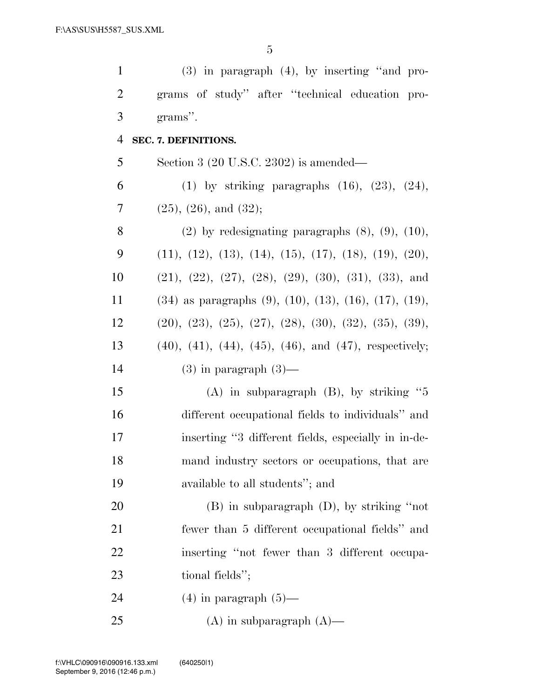| $\mathbf{1}$   | $(3)$ in paragraph $(4)$ , by inserting "and pro-                         |
|----------------|---------------------------------------------------------------------------|
| $\overline{2}$ | grams of study" after "technical education pro-                           |
| 3              | grams".                                                                   |
| 4              | SEC. 7. DEFINITIONS.                                                      |
| 5              | Section 3 $(20 \text{ U.S.C. } 2302)$ is amended—                         |
| 6              | $(1)$ by striking paragraphs $(16)$ , $(23)$ , $(24)$ ,                   |
| 7              | (25), (26), and (32);                                                     |
| 8              | $(2)$ by redesignating paragraphs $(8)$ , $(9)$ , $(10)$ ,                |
| 9              | $(11), (12), (13), (14), (15), (17), (18), (19), (20),$                   |
| 10             | $(21), (22), (27), (28), (29), (30), (31), (33),$ and                     |
| 11             | $(34)$ as paragraphs $(9)$ , $(10)$ , $(13)$ , $(16)$ , $(17)$ , $(19)$ , |
| 12             | $(20), (23), (25), (27), (28), (30), (32), (35), (39),$                   |
| 13             | $(40)$ , $(41)$ , $(44)$ , $(45)$ , $(46)$ , and $(47)$ , respectively;   |
| 14             | $(3)$ in paragraph $(3)$ —                                                |
| 15             | $(A)$ in subparagraph $(B)$ , by striking "5                              |
| 16             | different occupational fields to individuals" and                         |
| 17             | inserting "3 different fields, especially in in-de-                       |
| 18             | mand industry sectors or occupations, that are                            |
| 19             | available to all students"; and                                           |
| 20             | $(B)$ in subparagraph $(D)$ , by striking "not                            |
| 21             | fewer than 5 different occupational fields" and                           |
| 22             | inserting "not fewer than 3 different occupa-                             |
| 23             | tional fields";                                                           |
| 24             | $(4)$ in paragraph $(5)$ —                                                |
| 25             | $(A)$ in subparagraph $(A)$ —                                             |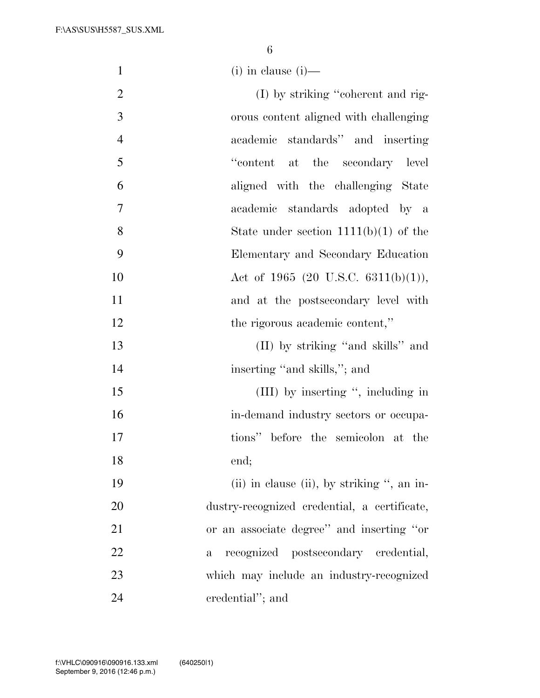| $\mathbf{1}$   | $(i)$ in clause $(i)$ —                              |
|----------------|------------------------------------------------------|
| $\overline{2}$ | (I) by striking "coherent and rig-                   |
| 3              | orous content aligned with challenging               |
| $\overline{4}$ | academic standards" and inserting                    |
| 5              | "content at the secondary level"                     |
| 6              | aligned with the challenging State                   |
| $\overline{7}$ | academic standards adopted by a                      |
| 8              | State under section $1111(b)(1)$ of the              |
| 9              | Elementary and Secondary Education                   |
| 10             | Act of 1965 (20 U.S.C. 6311(b)(1)),                  |
| 11             | and at the postsecondary level with                  |
| 12             | the rigorous academic content,"                      |
| 13             | (II) by striking "and skills" and                    |
| 14             | inserting "and skills,"; and                         |
| 15             | (III) by inserting ", including in                   |
| 16             | in-demand industry sectors or occupa-                |
| 17             | tions" before the semicolon at the                   |
| 18             | end;                                                 |
| 19             | $(ii)$ in clause $(ii)$ , by striking ", an in-      |
| 20             | dustry-recognized credential, a certificate,         |
| 21             | or an associate degree" and inserting "or            |
| 22             | recognized postsecondary credential,<br>$\mathbf{a}$ |
| 23             | which may include an industry-recognized             |
| 24             | credential"; and                                     |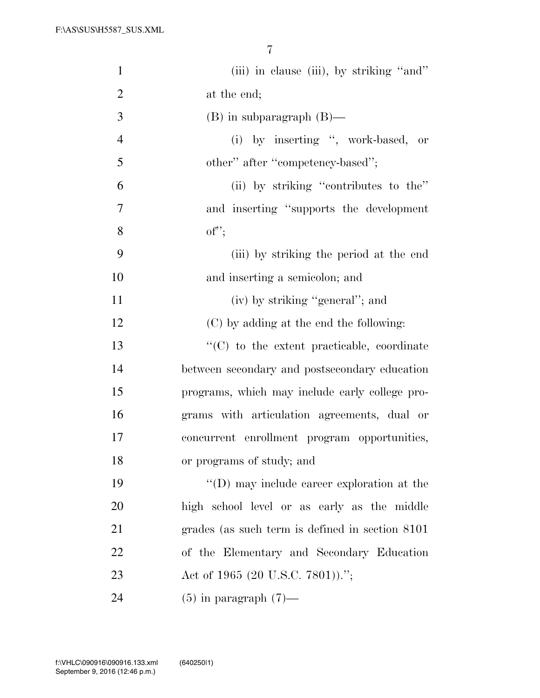| $\mathbf{1}$   | (iii) in clause (iii), by striking "and"           |
|----------------|----------------------------------------------------|
| $\overline{2}$ | at the end;                                        |
| 3              | $(B)$ in subparagraph $(B)$ —                      |
| $\overline{4}$ | (i) by inserting ", work-based, or                 |
| 5              | other" after "competency-based";                   |
| 6              | (ii) by striking "contributes to the"              |
| 7              | and inserting "supports the development            |
| 8              | of";                                               |
| 9              | (iii) by striking the period at the end            |
| 10             | and inserting a semicolon; and                     |
| 11             | (iv) by striking "general"; and                    |
| 12             | (C) by adding at the end the following:            |
| 13             | "(C) to the extent practicable, coordinate         |
| 14             | between secondary and postsecondary education      |
| 15             | programs, which may include early college pro-     |
| 16             | grams with articulation agreements, dual or        |
| 17             | concurrent enrollment program opportunities,       |
| 18             | or programs of study; and                          |
| 19             | $\lq\lq$ (D) may include career exploration at the |
| 20             | high school level or as early as the middle        |
| 21             | grades (as such term is defined in section 8101)   |
| 22             | of the Elementary and Secondary Education          |
| 23             | Act of 1965 (20 U.S.C. 7801)).";                   |
| 24             | $(5)$ in paragraph $(7)$ —                         |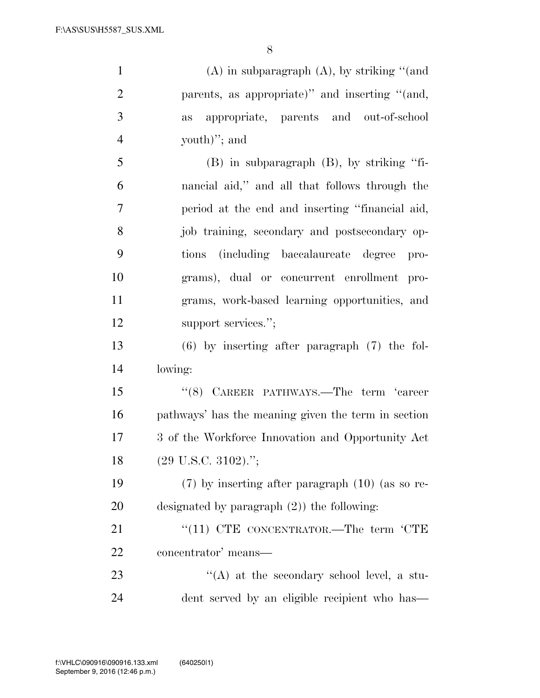(A) in subparagraph (A), by striking ''(and parents, as appropriate)'' and inserting ''(and, as appropriate, parents and out-of-school youth)''; and (B) in subparagraph (B), by striking ''fi- nancial aid,'' and all that follows through the period at the end and inserting ''financial aid, job training, secondary and postsecondary op- tions (including baccalaureate degree pro- grams), dual or concurrent enrollment pro- grams, work-based learning opportunities, and 12 support services."; (6) by inserting after paragraph (7) the fol- lowing: ''(8) CAREER PATHWAYS.—The term 'career pathways' has the meaning given the term in section 3 of the Workforce Innovation and Opportunity Act 18 (29 U.S.C. 3102)."; (7) by inserting after paragraph (10) (as so re- designated by paragraph (2)) the following: 21 "(11) CTE CONCENTRATOR.—The term 'CTE concentrator' means—

23 ''(A) at the secondary school level, a stu-dent served by an eligible recipient who has—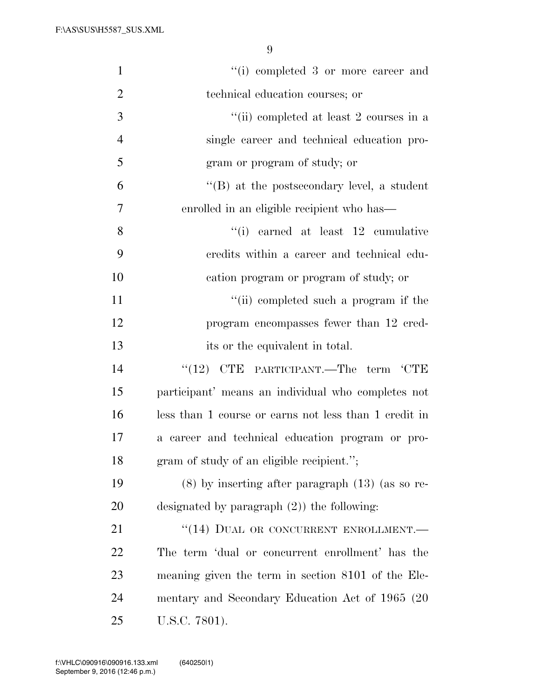| $\mathbf{1}$   | "(i) completed 3 or more career and                   |
|----------------|-------------------------------------------------------|
| $\overline{2}$ | technical education courses; or                       |
| 3              | "(ii) completed at least 2 courses in a               |
| $\overline{4}$ | single career and technical education pro-            |
| 5              | gram or program of study; or                          |
| 6              | $\lq\lq (B)$ at the postsecondary level, a student    |
| 7              | enrolled in an eligible recipient who has—            |
| 8              | $\lq\lq$ (i) earned at least 12 cumulative            |
| 9              | credits within a career and technical edu-            |
| 10             | cation program or program of study; or                |
| 11             | "(ii) completed such a program if the                 |
| 12             | program encompasses fewer than 12 cred-               |
| 13             | its or the equivalent in total.                       |
| 14             | "(12) CTE PARTICIPANT.—The term 'CTE                  |
| 15             | participant' means an individual who completes not    |
| 16             | less than 1 course or earns not less than 1 credit in |
| 17             | a career and technical education program or pro-      |
| 18             | gram of study of an eligible recipient.";             |
| 19             | $(8)$ by inserting after paragraph $(13)$ (as so re-  |
| 20             | designated by paragraph $(2)$ ) the following:        |
| 21             | "(14) DUAL OR CONCURRENT ENROLLMENT.-                 |
| 22             | The term 'dual or concurrent enrollment' has the      |
| 23             | meaning given the term in section 8101 of the Ele-    |
| 24             | mentary and Secondary Education Act of 1965 (20)      |
| 25             | U.S.C. 7801).                                         |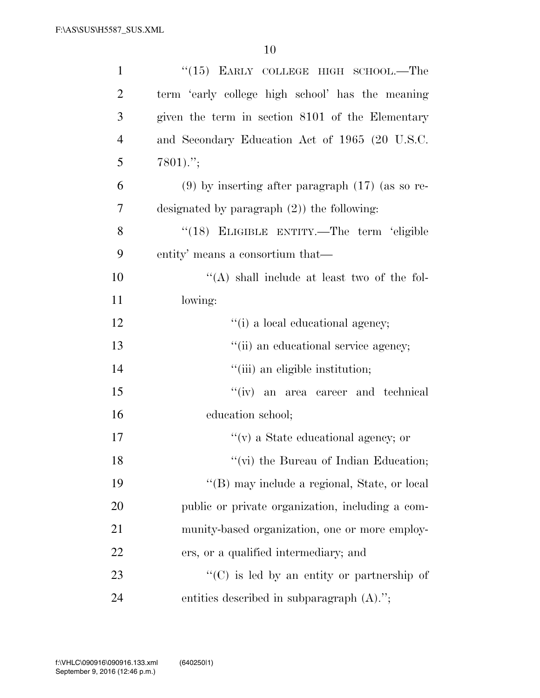| $\mathbf{1}$   | $(15)$ EARLY COLLEGE HIGH SCHOOL.—The                |
|----------------|------------------------------------------------------|
| $\overline{2}$ | term 'early college high school' has the meaning     |
| 3              | given the term in section 8101 of the Elementary     |
| $\overline{4}$ | and Secondary Education Act of 1965 (20 U.S.C.       |
| 5              | $7801)$ .";                                          |
| 6              | $(9)$ by inserting after paragraph $(17)$ (as so re- |
| $\overline{7}$ | designated by paragraph $(2)$ ) the following:       |
| 8              | "(18) ELIGIBLE ENTITY.—The term 'eligible            |
| 9              | entity' means a consortium that—                     |
| 10             | "(A) shall include at least two of the fol-          |
| 11             | lowing:                                              |
| 12             | "(i) a local educational agency;                     |
| 13             | "(ii) an educational service agency;                 |
| 14             | "(iii) an eligible institution;                      |
| 15             | "(iv) an area career and technical                   |
| 16             | education school;                                    |
| 17             | $\lq\lq$ (v) a State educational agency; or          |
| 18             | "(vi) the Bureau of Indian Education;                |
| 19             | "(B) may include a regional, State, or local         |
| 20             | public or private organization, including a com-     |
| 21             | munity-based organization, one or more employ-       |
| 22             | ers, or a qualified intermediary; and                |
| 23             | "(C) is led by an entity or partnership of           |
| 24             | entities described in subparagraph $(A).$ ";         |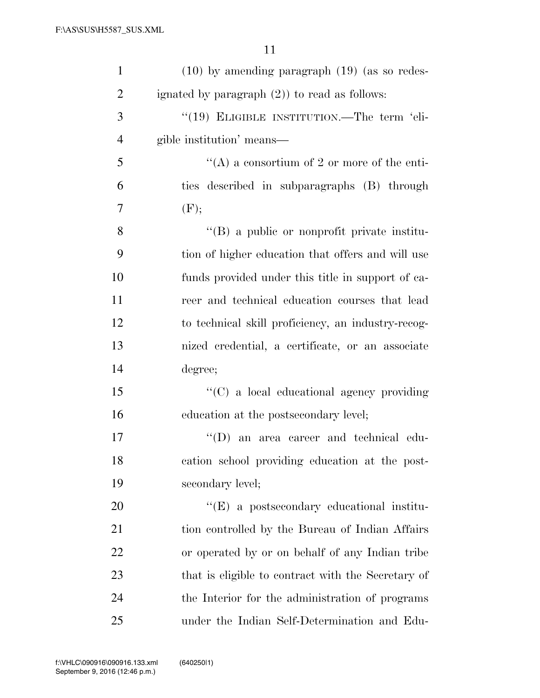| $\mathbf{1}$   | $(10)$ by amending paragraph $(19)$ (as so redes-  |
|----------------|----------------------------------------------------|
| $\overline{2}$ | ignated by paragraph $(2)$ ) to read as follows:   |
| 3              | "(19) ELIGIBLE INSTITUTION.—The term 'eli-         |
| $\overline{4}$ | gible institution' means—                          |
| 5              | "(A) a consortium of 2 or more of the enti-        |
| 6              | ties described in subparagraphs (B) through        |
| $\overline{7}$ | (F);                                               |
| 8              | "(B) a public or nonprofit private institu-        |
| 9              | tion of higher education that offers and will use  |
| 10             | funds provided under this title in support of ca-  |
| 11             | reer and technical education courses that lead     |
| 12             | to technical skill proficiency, an industry-recog- |
| 13             | nized credential, a certificate, or an associate   |
| 14             | degree;                                            |
| 15             | "(C) a local educational agency providing          |
| 16             | education at the postsecondary level;              |
| 17             | "(D) an area career and technical edu-             |
| 18             | cation school providing education at the post-     |
| 19             | secondary level;                                   |
| 20             | $\lq\lq(E)$ a postsecondary educational institu-   |
| 21             | tion controlled by the Bureau of Indian Affairs    |
| <u>22</u>      | or operated by or on behalf of any Indian tribe    |
| 23             | that is eligible to contract with the Secretary of |
| 24             | the Interior for the administration of programs    |
| 25             | under the Indian Self-Determination and Edu-       |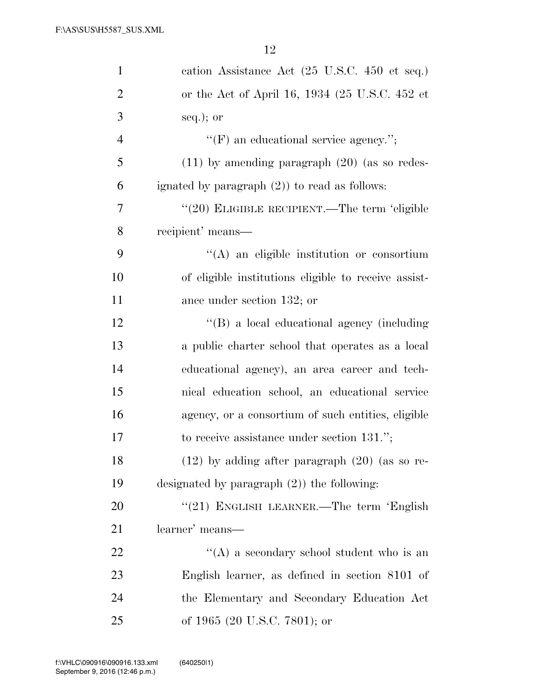| $\mathbf{1}$   | cation Assistance Act (25 U.S.C. 450 et seq.)        |
|----------------|------------------------------------------------------|
| $\overline{2}$ | or the Act of April 16, 1934 (25 U.S.C. 452 et       |
| 3              | $seq.$ ; or                                          |
| $\overline{4}$ | $\lq\lq(F)$ an educational service agency.";         |
| 5              | $(11)$ by amending paragraph $(20)$ (as so redes-    |
| 6              | ignated by paragraph $(2)$ ) to read as follows:     |
| $\overline{7}$ | "(20) ELIGIBLE RECIPIENT.—The term 'eligible         |
| 8              | recipient' means—                                    |
| 9              | $\lq\lq$ an eligible institution or consortium       |
| 10             | of eligible institutions eligible to receive assist- |
| 11             | ance under section 132; or                           |
| 12             | "(B) a local educational agency (including           |
| 13             | a public charter school that operates as a local     |
| 14             | educational agency), an area career and tech-        |
| 15             | nical education school, an educational service       |
| 16             | agency, or a consortium of such entities, eligible   |
| 17             | to receive assistance under section $131$ .";        |
| 18             | $(12)$ by adding after paragraph $(20)$ (as so re-   |
| 19             | designated by paragraph $(2)$ ) the following:       |
| 20             | "(21) ENGLISH LEARNER.—The term 'English             |
| 21             | learner' means—                                      |
| 22             | "(A) a secondary school student who is an            |
| 23             | English learner, as defined in section 8101 of       |
| 24             | the Elementary and Secondary Education Act           |
| 25             | of 1965 (20 U.S.C. 7801); or                         |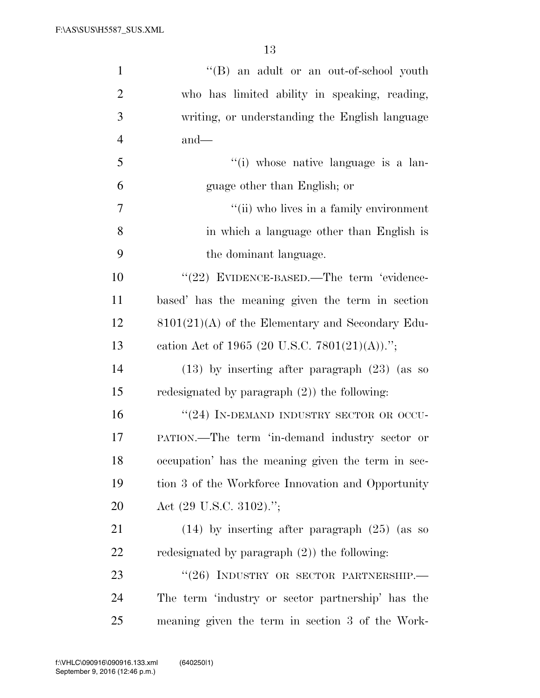| $\mathbf{1}$   | "(B) an adult or an out-of-school youth            |
|----------------|----------------------------------------------------|
| $\overline{2}$ | who has limited ability in speaking, reading,      |
| 3              | writing, or understanding the English language     |
| $\overline{4}$ | $and$ —                                            |
| 5              | "(i) whose native language is a lan-               |
| 6              | guage other than English; or                       |
| 7              | "(ii) who lives in a family environment            |
| 8              | in which a language other than English is          |
| 9              | the dominant language.                             |
| 10             | "(22) EVIDENCE-BASED.—The term 'evidence-          |
| 11             | based' has the meaning given the term in section   |
| 12             | $8101(21)(A)$ of the Elementary and Secondary Edu- |
| 13             | cation Act of 1965 (20 U.S.C. 7801(21)(A)).";      |
| 14             | $(13)$ by inserting after paragraph $(23)$ (as so  |
| 15             | redesignated by paragraph $(2)$ ) the following:   |
| 16             | "(24) IN-DEMAND INDUSTRY SECTOR OR OCCU-           |
| 17             | PATION.—The term 'in-demand industry sector or     |
| 18             | occupation' has the meaning given the term in sec- |
| 19             | tion 3 of the Workforce Innovation and Opportunity |
| 20             | Act $(29 \text{ U.S.C. } 3102)$ .";                |
| 21             | $(14)$ by inserting after paragraph $(25)$ (as so  |
| 22             | redesignated by paragraph $(2)$ ) the following:   |
| 23             | "(26) INDUSTRY OR SECTOR PARTNERSHIP.-             |
| 24             | The term 'industry or sector partnership' has the  |
| 25             | meaning given the term in section 3 of the Work-   |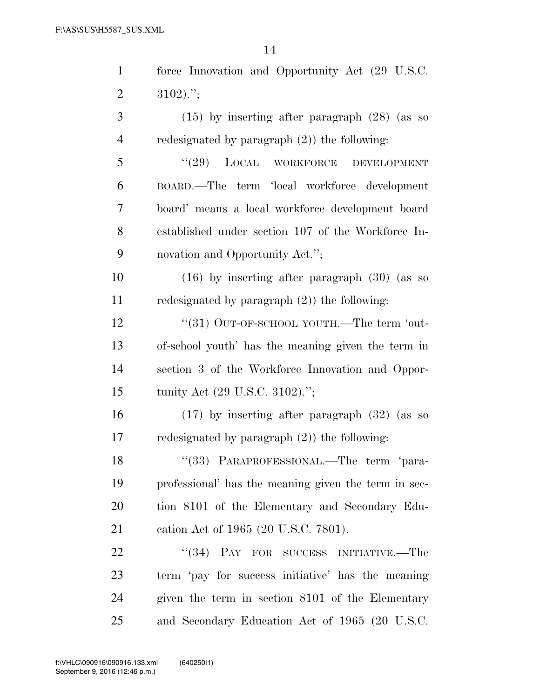| $\mathbf{1}$   | force Innovation and Opportunity Act (29 U.S.C.      |
|----------------|------------------------------------------------------|
| $\overline{2}$ | $3102$ .";                                           |
| 3              | $(15)$ by inserting after paragraph $(28)$ (as so    |
| $\overline{4}$ | redesignated by paragraph $(2)$ ) the following:     |
| 5              | (29)<br>LOCAL<br>WORKFORCE<br><b>DEVELOPMENT</b>     |
| 6              | BOARD.—The term 'local workforce development         |
| $\overline{7}$ | board' means a local workforce development board     |
| 8              | established under section 107 of the Workforce In-   |
| 9              | novation and Opportunity Act.";                      |
| 10             | $(16)$ by inserting after paragraph $(30)$ (as so    |
| 11             | redesignated by paragraph $(2)$ ) the following:     |
| 12             | "(31) OUT-OF-SCHOOL YOUTH.—The term 'out-            |
| 13             | of-school youth' has the meaning given the term in   |
| 14             | section 3 of the Workforce Innovation and Oppor-     |
| 15             | tunity Act (29 U.S.C. 3102).";                       |
| 16             | $(17)$ by inserting after paragraph $(32)$ (as so    |
| $17\,$         | redesignated by paragraph $(2)$ ) the following:     |
| 18             | "(33) PARAPROFESSIONAL.—The term 'para-              |
| 19             | professional' has the meaning given the term in sec- |
| 20             | tion 8101 of the Elementary and Secondary Edu-       |
| 21             | cation Act of 1965 (20 U.S.C. 7801).                 |
| 22             | "(34) PAY FOR SUCCESS INITIATIVE.—The                |
| 23             | term 'pay for success initiative' has the meaning    |
| 24             | given the term in section 8101 of the Elementary     |
| 25             | and Secondary Education Act of 1965 (20 U.S.C.       |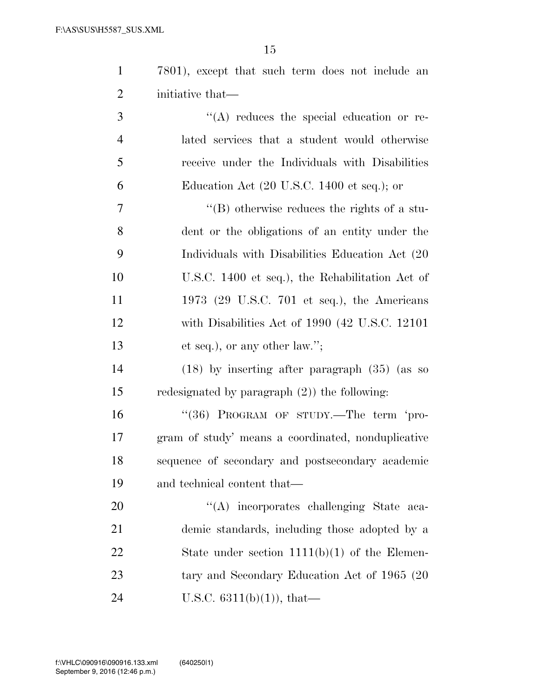| $1 \quad \blacksquare$ | 7801), except that such term does not include an |
|------------------------|--------------------------------------------------|
|                        | 2 initiative that—                               |

 $\langle (A) \rangle$  reduces the special education or re- lated services that a student would otherwise receive under the Individuals with Disabilities Education Act (20 U.S.C. 1400 et seq.); or

 ''(B) otherwise reduces the rights of a stu- dent or the obligations of an entity under the Individuals with Disabilities Education Act (20 U.S.C. 1400 et seq.), the Rehabilitation Act of 1973 (29 U.S.C. 701 et seq.), the Americans with Disabilities Act of 1990 (42 U.S.C. 12101 et seq.), or any other law.'';

 (18) by inserting after paragraph (35) (as so redesignated by paragraph (2)) the following:

16 "(36) PROGRAM OF STUDY.—The term 'pro- gram of study' means a coordinated, nonduplicative sequence of secondary and postsecondary academic and technical content that—

20  $\langle (A) \rangle$  incorporates challenging State aca- demic standards, including those adopted by a 22 State under section 1111(b)(1) of the Elemen-23 tary and Secondary Education Act of 1965 (20 24 U.S.C.  $6311(b)(1)$ , that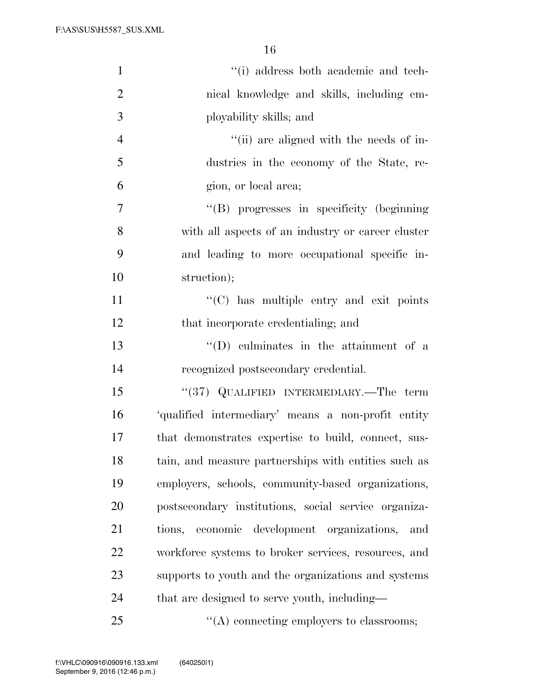F:\AS\SUS\H5587\_SUS.XML

| $\mathbf{1}$   | "(i) address both academic and tech-                 |
|----------------|------------------------------------------------------|
| $\overline{2}$ | nical knowledge and skills, including em-            |
| 3              | ployability skills; and                              |
| $\overline{4}$ | "(ii) are aligned with the needs of in-              |
| 5              | dustries in the economy of the State, re-            |
| 6              | gion, or local area;                                 |
| $\overline{7}$ | "(B) progresses in specificity (beginning            |
| 8              | with all aspects of an industry or career cluster    |
| 9              | and leading to more occupational specific in-        |
| 10             | struction);                                          |
| 11             | $\lq\lq$ has multiple entry and exit points          |
| 12             | that incorporate credentialing; and                  |
| 13             | $\lq\lq$ (D) culminates in the attainment of a       |
| 14             | recognized postsecondary credential.                 |
| 15             | "(37) QUALIFIED INTERMEDIARY.—The term               |
| 16             | 'qualified intermediary' means a non-profit entity   |
| 17             | that demonstrates expertise to build, connect, sus-  |
| 18             | tain, and measure partnerships with entities such as |
| 19             | employers, schools, community-based organizations,   |
| 20             | postsecondary institutions, social service organiza- |
| 21             | tions, economic development organizations,<br>and    |
| 22             | workforce systems to broker services, resources, and |
| 23             | supports to youth and the organizations and systems  |
| 24             | that are designed to serve youth, including—         |
| 25             | $\lq\lq$ connecting employers to classrooms;         |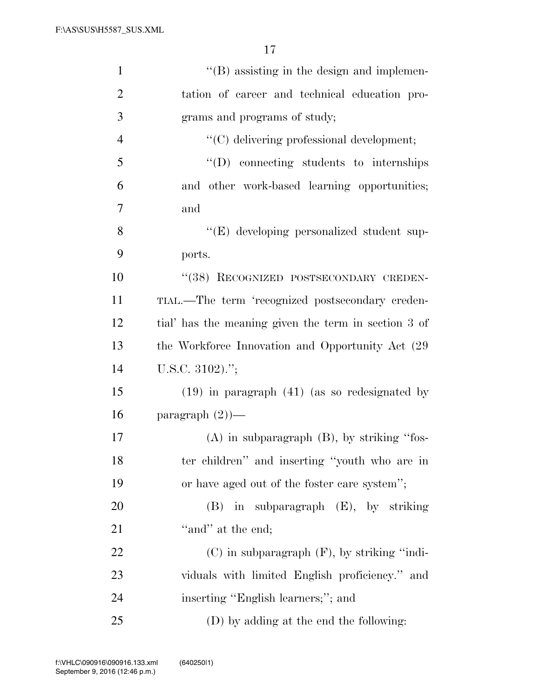| $\mathbf{1}$   | $\lq\lq$ assisting in the design and implemen-       |
|----------------|------------------------------------------------------|
| $\overline{2}$ | tation of career and technical education pro-        |
| 3              | grams and programs of study;                         |
| $\overline{4}$ | "(C) delivering professional development;            |
| 5              | $\lq\lq$ connecting students to internships          |
| 6              | and other work-based learning opportunities;         |
| $\overline{7}$ | and                                                  |
| 8              | "(E) developing personalized student sup-            |
| 9              | ports.                                               |
| 10             | "(38) RECOGNIZED POSTSECONDARY CREDEN-               |
| 11             | TIAL.—The term 'recognized postsecondary creden-     |
| 12             | tial' has the meaning given the term in section 3 of |
| 13             | the Workforce Innovation and Opportunity Act (29)    |
| 14             | U.S.C. $3102$ .";                                    |
| 15             | $(19)$ in paragraph $(41)$ (as so redesignated by    |
| 16             | paragraph $(2)$ )—                                   |
| 17             | $(A)$ in subparagraph $(B)$ , by striking "fos-      |
| 18             | ter children" and inserting "youth who are in        |
| 19             | or have aged out of the foster care system";         |
| 20             | $(B)$ in subparagraph $(E)$ , by striking            |
| 21             | "and" at the end;                                    |
| 22             | $(C)$ in subparagraph $(F)$ , by striking "indi-     |
| 23             | viduals with limited English proficiency." and       |
| 24             | inserting "English learners;"; and                   |
| 25             | (D) by adding at the end the following:              |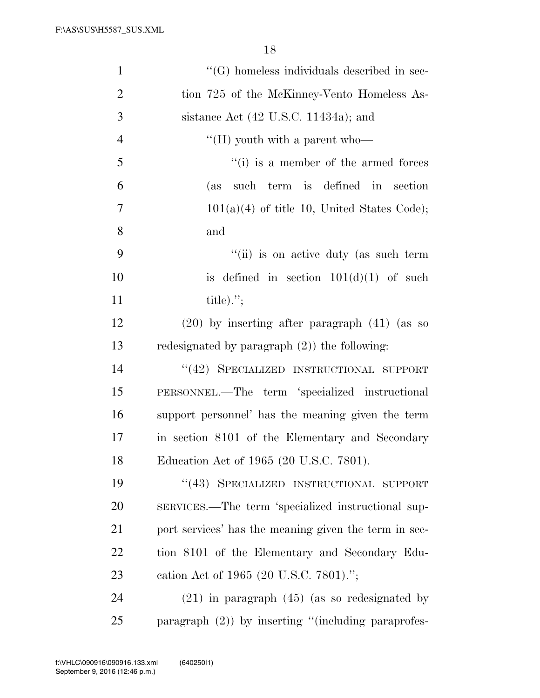| $\mathbf{1}$   | $\lq\lq(G)$ homeless individuals described in sec-     |
|----------------|--------------------------------------------------------|
| $\overline{2}$ | tion 725 of the McKinney-Vento Homeless As-            |
| 3              | sistance Act $(42 \text{ U.S.C. } 11434a)$ ; and       |
| $\overline{4}$ | $\lq\lq (H)$ youth with a parent who-                  |
| 5              | "(i) is a member of the armed forces                   |
| 6              | such term is defined in section<br>(as                 |
| 7              | $101(a)(4)$ of title 10, United States Code);          |
| 8              | and                                                    |
| 9              | "(ii) is on active duty (as such term                  |
| 10             | is defined in section $101(d)(1)$ of such              |
| 11             | title). $\mathcal{C}$ ;                                |
| 12             | $(20)$ by inserting after paragraph $(41)$ (as so      |
| 13             | redesignated by paragraph $(2)$ ) the following:       |
| 14             | "(42) SPECIALIZED INSTRUCTIONAL SUPPORT                |
| 15             | PERSONNEL.—The term 'specialized instructional         |
| 16             | support personnel' has the meaning given the term      |
| 17             | in section 8101 of the Elementary and Secondary        |
| 18             | Education Act of 1965 (20 U.S.C. 7801).                |
| 19             | "(43) SPECIALIZED INSTRUCTIONAL SUPPORT                |
| 20             | SERVICES.—The term 'specialized instructional sup-     |
| 21             | port services' has the meaning given the term in sec-  |
| 22             | tion 8101 of the Elementary and Secondary Edu-         |
| 23             | cation Act of 1965 (20 U.S.C. 7801).";                 |
| 24             | $(21)$ in paragraph $(45)$ (as so redesignated by      |
| 25             | paragraph $(2)$ ) by inserting "(including paraprofes- |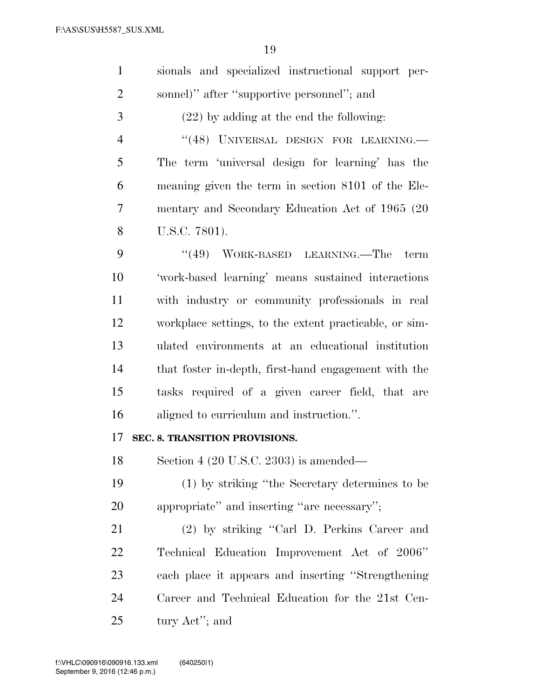| $\mathbf{1}$   | sionals and specialized instructional support per-     |
|----------------|--------------------------------------------------------|
| $\overline{2}$ | sonnel)" after "supportive personnel"; and             |
| 3              | $(22)$ by adding at the end the following:             |
| $\overline{4}$ | "(48) UNIVERSAL DESIGN FOR LEARNING.                   |
| 5              | The term 'universal design for learning' has the       |
| 6              | meaning given the term in section 8101 of the Ele-     |
| 7              | mentary and Secondary Education Act of 1965 (20        |
| 8              | U.S.C. 7801).                                          |
| 9              | $(49)$ WORK-BASED LEARNING.—The term                   |
| 10             | 'work-based learning' means sustained interactions     |
| 11             | with industry or community professionals in real       |
| 12             | workplace settings, to the extent practicable, or sim- |
| 13             | ulated environments at an educational institution      |
| 14             | that foster in-depth, first-hand engagement with the   |
| 15             | tasks required of a given career field, that are       |
| 16             | aligned to curriculum and instruction.".               |
| 17             | SEC. 8. TRANSITION PROVISIONS.                         |
| 18             | Section 4 $(20 \text{ U.S.C. } 2303)$ is amended—      |
| 19             | (1) by striking "the Secretary determines to be        |
| 20             | appropriate" and inserting "are necessary";            |
| 21             | (2) by striking "Carl D. Perkins Career and            |
| 22             | Technical Education Improvement Act of 2006"           |
| 23             | each place it appears and inserting "Strengthening"    |
| 24             | Career and Technical Education for the 21st Cen-       |
| 25             | tury Act"; and                                         |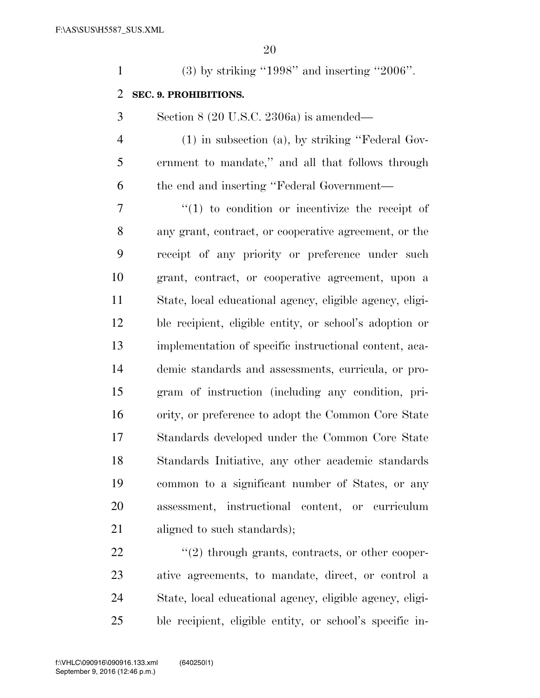(3) by striking ''1998'' and inserting ''2006''.

## **SEC. 9. PROHIBITIONS.**

- Section 8 (20 U.S.C. 2306a) is amended—
- (1) in subsection (a), by striking ''Federal Gov- ernment to mandate,'' and all that follows through the end and inserting ''Federal Government—

 $\frac{1}{1}$  to condition or incentivize the receipt of any grant, contract, or cooperative agreement, or the receipt of any priority or preference under such grant, contract, or cooperative agreement, upon a State, local educational agency, eligible agency, eligi- ble recipient, eligible entity, or school's adoption or implementation of specific instructional content, aca- demic standards and assessments, curricula, or pro- gram of instruction (including any condition, pri- ority, or preference to adopt the Common Core State Standards developed under the Common Core State Standards Initiative, any other academic standards common to a significant number of States, or any assessment, instructional content, or curriculum 21 aligned to such standards);

 $\frac{22}{22}$  ''(2) through grants, contracts, or other cooper- ative agreements, to mandate, direct, or control a State, local educational agency, eligible agency, eligi-ble recipient, eligible entity, or school's specific in-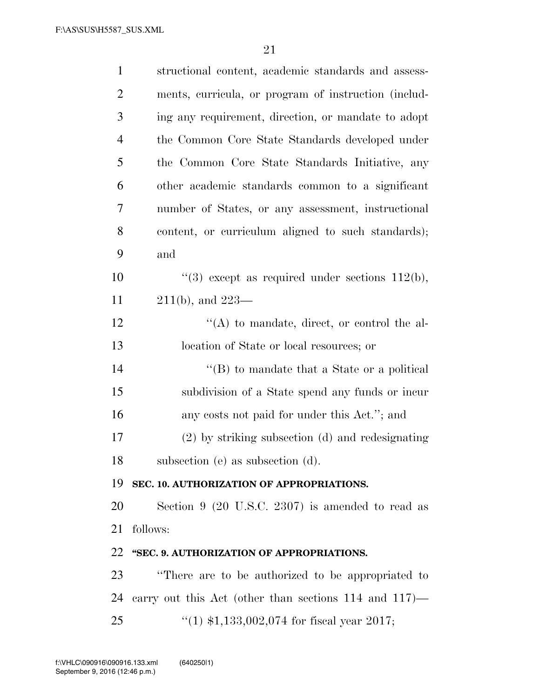| $\mathbf{1}$   | structional content, academic standards and assess-        |
|----------------|------------------------------------------------------------|
| $\overline{2}$ | ments, curricula, or program of instruction (includ-       |
| 3              | ing any requirement, direction, or mandate to adopt        |
| $\overline{4}$ | the Common Core State Standards developed under            |
| 5              | the Common Core State Standards Initiative, any            |
| 6              | other academic standards common to a significant           |
| 7              | number of States, or any assessment, instructional         |
| 8              | content, or curriculum aligned to such standards);         |
| 9              | and                                                        |
| 10             | "(3) except as required under sections $112(b)$ ,          |
| 11             | $211(b)$ , and $223-$                                      |
| 12             | $\lq\lq$ to mandate, direct, or control the al-            |
| 13             | location of State or local resources; or                   |
| 14             | "(B) to mandate that a State or a political                |
| 15             | subdivision of a State spend any funds or incur            |
| 16             | any costs not paid for under this Act."; and               |
| 17             | (2) by striking subsection (d) and redesignating           |
| 18             | subsection (e) as subsection (d).                          |
| 19             | SEC. 10. AUTHORIZATION OF APPROPRIATIONS.                  |
| 20             | Section $9$ (20 U.S.C. 2307) is amended to read as         |
| 21             | follows:                                                   |
| 22             | "SEC. 9. AUTHORIZATION OF APPROPRIATIONS.                  |
| 23             | "There are to be authorized to be appropriated to          |
| 24             | carry out this Act (other than sections $114$ and $117$ )— |
| 25             | "(1) $$1,133,002,074$ for fiscal year 2017;                |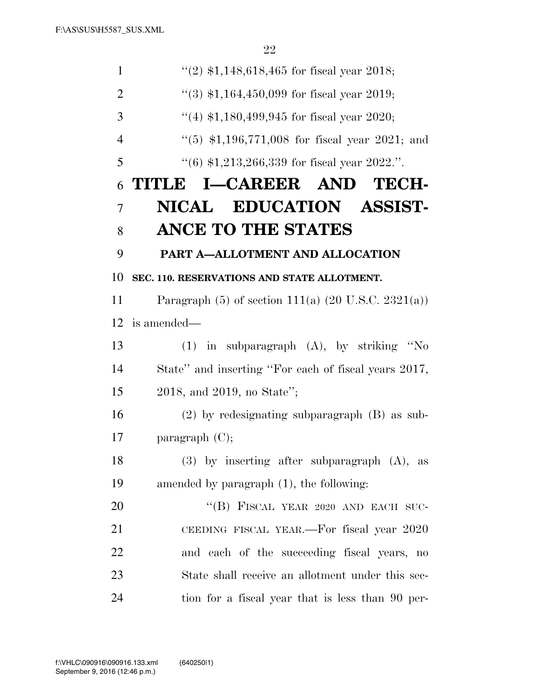| 1              | $(2)$ \$1,148,618,465 for fiscal year 2018;                      |
|----------------|------------------------------------------------------------------|
| $\overline{2}$ | $(3)$ \$1,164,450,099 for fiscal year 2019;                      |
| 3              | $(4)$ \$1,180,499,945 for fiscal year 2020;                      |
| $\overline{4}$ | $(5)$ \$1,196,771,008 for fiscal year 2021; and                  |
| 5              | $(6)$ \$1,213,266,339 for fiscal year 2022.".                    |
| 6              | TITLE I-CAREER AND TECH-                                         |
| 7              | NICAL EDUCATION ASSIST-                                          |
| 8              | <b>ANCE TO THE STATES</b>                                        |
| 9              | PART A-ALLOTMENT AND ALLOCATION                                  |
| 10             | SEC. 110. RESERVATIONS AND STATE ALLOTMENT.                      |
| 11             | Paragraph $(5)$ of section 111(a) $(20 \text{ U.S.C. } 2321(a))$ |
| 12             | is amended—                                                      |
| 13             | in subparagraph (A), by striking "No<br>(1)                      |
| 14             | State" and inserting "For each of fiscal years 2017,             |
| 15             | 2018, and 2019, no State";                                       |
| 16             | $(2)$ by redesignating subparagraph $(B)$ as sub-                |
| 17             | paragraph $(C)$ ;                                                |
| 18             | $(3)$ by inserting after subparagraph $(A)$ , as                 |
| 19             | amended by paragraph $(1)$ , the following:                      |
| 20             | "(B) FISCAL YEAR 2020 AND EACH SUC-                              |
| 21             | CEEDING FISCAL YEAR.—For fiscal year 2020                        |
| 22             | and each of the succeeding fiscal years,<br>no                   |
| 23             | State shall receive an allotment under this sec-                 |
| 24             | tion for a fiscal year that is less than 90 per-                 |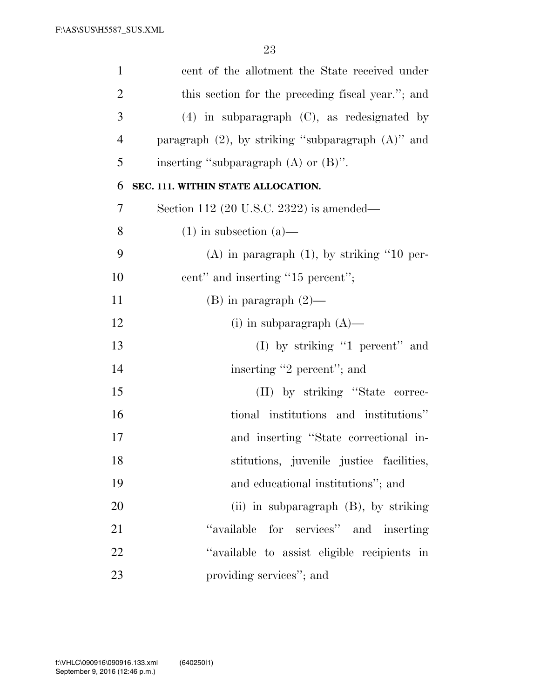| $\mathbf{1}$   | cent of the allotment the State received under          |
|----------------|---------------------------------------------------------|
| $\overline{2}$ | this section for the preceding fiscal year."; and       |
| 3              | $(4)$ in subparagraph $(C)$ , as redesignated by        |
| $\overline{4}$ | paragraph $(2)$ , by striking "subparagraph $(A)$ " and |
| 5              | inserting "subparagraph $(A)$ or $(B)$ ".               |
| 6              | SEC. 111. WITHIN STATE ALLOCATION.                      |
| 7              | Section 112 (20 U.S.C. 2322) is amended—                |
| 8              | $(1)$ in subsection $(a)$ —                             |
| 9              | $(A)$ in paragraph $(1)$ , by striking "10 per-         |
| 10             | cent" and inserting "15 percent";                       |
| 11             | $(B)$ in paragraph $(2)$ —                              |
| 12             | (i) in subparagraph $(A)$ —                             |
| 13             | (I) by striking "1 percent" and                         |
| 14             | inserting "2 percent"; and                              |
| 15             | (II) by striking "State correc-                         |
| 16             | tional institutions and institutions"                   |
| 17             | and inserting "State correctional in-                   |
| 18             | stitutions, juvenile justice facilities,                |
| 19             | and educational institutions"; and                      |
| 20             | (ii) in subparagraph $(B)$ , by striking                |
| 21             | "available for services" and inserting                  |
| 22             | "available to assist eligible recipients in             |
| 23             | providing services"; and                                |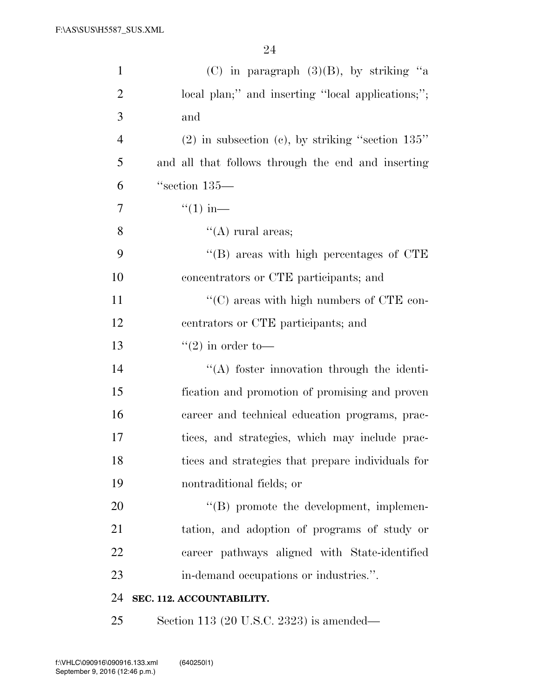| $\mathbf{1}$   | (C) in paragraph $(3)(B)$ , by striking "a            |
|----------------|-------------------------------------------------------|
| $\overline{2}$ | local plan;" and inserting "local applications;";     |
| 3              | and                                                   |
| $\overline{4}$ | $(2)$ in subsection $(c)$ , by striking "section 135" |
| 5              | and all that follows through the end and inserting    |
| 6              | "section 135—                                         |
| 7              | $\lq(1)$ in—                                          |
| 8              | "(A) rural areas;                                     |
| 9              | $\cdot$ (B) areas with high percentages of CTE        |
| 10             | concentrators or CTE participants; and                |
| 11             | $\lq\lq$ (C) areas with high numbers of CTE con-      |
| 12             | centrators or CTE participants; and                   |
| 13             | $\cdot\cdot(2)$ in order to-                          |
| 14             | "(A) foster innovation through the identi-            |
| 15             | fication and promotion of promising and proven        |
| 16             | career and technical education programs, prac-        |
| 17             | tices, and strategies, which may include prac-        |
| 18             | tices and strategies that prepare individuals for     |
| 19             | nontraditional fields; or                             |
| 20             | $\lq\lq (B)$ promote the development, implemen-       |
| 21             | tation, and adoption of programs of study or          |
| 22             | career pathways aligned with State-identified         |
| 23             | in-demand occupations or industries.".                |
| 24             | SEC. 112. ACCOUNTABILITY.                             |
| 25             | Section 113 (20 U.S.C. 2323) is amended—              |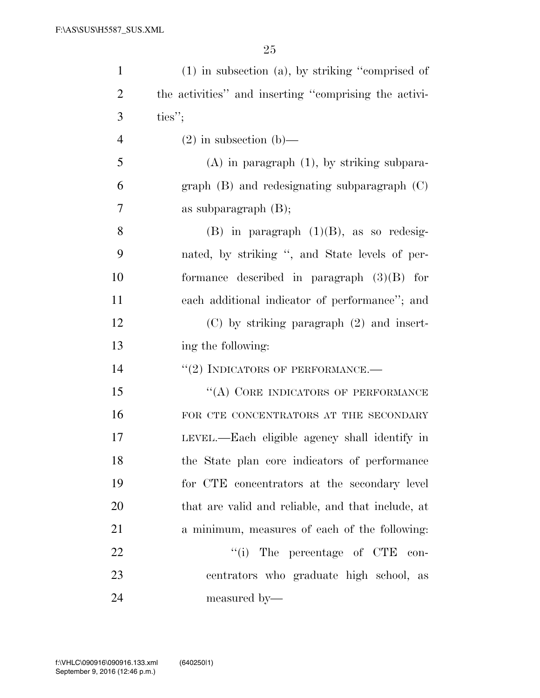| $\mathbf{1}$   | $(1)$ in subsection $(a)$ , by striking "comprised of |
|----------------|-------------------------------------------------------|
| $\overline{2}$ | the activities" and inserting "comprising the activi- |
| 3              | ties";                                                |
| $\overline{4}$ | $(2)$ in subsection $(b)$ —                           |
| 5              | $(A)$ in paragraph $(1)$ , by striking subpara-       |
| 6              | graph $(B)$ and redesignating subparagraph $(C)$      |
| 7              | as subparagraph $(B)$ ;                               |
| 8              | $(B)$ in paragraph $(1)(B)$ , as so redesig-          |
| 9              | nated, by striking ", and State levels of per-        |
| 10             | formance described in paragraph $(3)(B)$ for          |
| 11             | each additional indicator of performance"; and        |
| 12             | $(C)$ by striking paragraph $(2)$ and insert-         |
| 13             | ing the following:                                    |
| 14             | $``(2)$ INDICATORS OF PERFORMANCE.—                   |
| 15             | "(A) CORE INDICATORS OF PERFORMANCE                   |
| 16             | FOR CTE CONCENTRATORS AT THE SECONDARY                |
| 17             | LEVEL.—Each eligible agency shall identify in         |
| 18             | the State plan core indicators of performance         |
| 19             | for CTE concentrators at the secondary level          |
| 20             | that are valid and reliable, and that include, at     |
| 21             | a minimum, measures of each of the following:         |
| 22             | $``(i)$ The percentage of CTE con-                    |
| 23             | centrators who graduate high school, as               |
| 24             | measured by—                                          |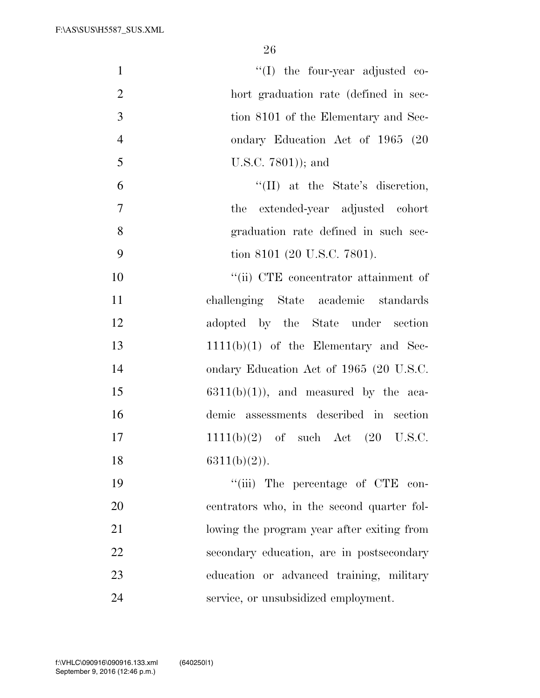| $\mathbf{1}$   | $\lq\lq$ the four-year adjusted co-            |
|----------------|------------------------------------------------|
| $\overline{2}$ | hort graduation rate (defined in sec-          |
| 3              | tion 8101 of the Elementary and Sec-           |
| $\overline{4}$ | ondary Education Act of 1965 (20               |
| 5              | U.S.C. $7801$ ); and                           |
| 6              | $\lq\lq$ (II) at the State's discretion,       |
| $\tau$         | the extended-year adjusted cohort              |
| 8              | graduation rate defined in such sec-           |
| 9              | tion 8101 (20 U.S.C. 7801).                    |
| 10             | "(ii) CTE concentrator attainment of           |
| 11             | challenging State academic standards           |
| 12             | adopted by the State under section             |
| 13             | $1111(b)(1)$ of the Elementary and Sec-        |
| 14             | ondary Education Act of 1965 (20 U.S.C.        |
| 15             | $6311(b)(1)$ , and measured by the aca-        |
| 16             | demic assessments described in section         |
| 17             | $1111(b)(2)$ of such Act $(20 \text{ U.S.C.})$ |
| 18             | $6311(b)(2)$ ).                                |
| 19             | "(iii) The percentage of CTE con-              |
| 20             | centrators who, in the second quarter fol-     |
| 21             | lowing the program year after exiting from     |
| 22             | secondary education, are in postsecondary      |
| 23             | education or advanced training, military       |
| 24             | service, or unsubsidized employment.           |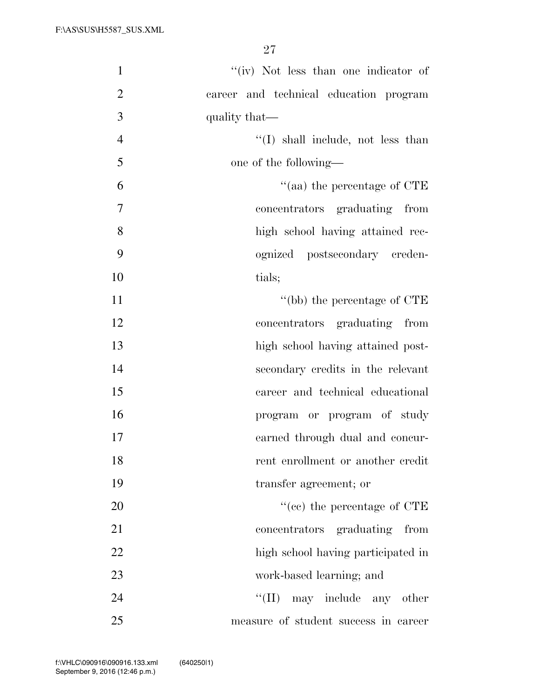| "(iv) Not less than one indicator of   | $\mathbf{1}$   |
|----------------------------------------|----------------|
| career and technical education program | $\overline{2}$ |
| quality that—                          | 3              |
| $\lq\lq$ shall include, not less than  | $\overline{4}$ |
| one of the following—                  | 5              |
| $\cdot$ (aa) the percentage of CTE     | 6              |
| concentrators graduating from          | $\overline{7}$ |
| high school having attained rec-       | 8              |
| ognized postsecondary creden-          | 9              |
| tials;                                 | 10             |
| "(bb) the percentage of CTE            | 11             |
| concentrators graduating from          | 12             |
| high school having attained post-      | 13             |
| secondary credits in the relevant      | 14             |
| career and technical educational       | 15             |
| program or program of study            | 16             |
| earned through dual and concur-        | 17             |
| rent enrollment or another credit      | 18             |
| transfer agreement; or                 | 19             |
| $f''(ce)$ the percentage of CTE        | 20             |
| concentrators graduating<br>from       | 21             |
| high school having participated in     | 22             |
| work-based learning; and               | 23             |
| $``(\Pi)$<br>may include any other     | 24             |
| measure of student success in career   | 25             |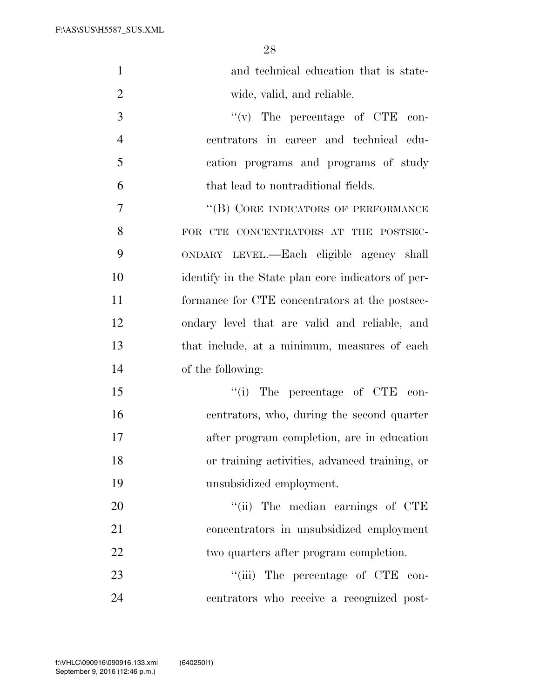| $\mathbf{1}$   | and technical education that is state-             |
|----------------|----------------------------------------------------|
| $\overline{2}$ | wide, valid, and reliable.                         |
|                |                                                    |
| 3              | $``(v)$ The percentage of CTE con-                 |
| $\overline{4}$ | centrators in career and technical edu-            |
| 5              | cation programs and programs of study              |
| 6              | that lead to nontraditional fields.                |
| 7              | "(B) CORE INDICATORS OF PERFORMANCE                |
| 8              | FOR CTE CONCENTRATORS AT THE POSTSEC-              |
| 9              | ONDARY LEVEL.—Each eligible agency shall           |
| 10             | identify in the State plan core indicators of per- |
| 11             | formance for CTE concentrators at the postsec-     |
| 12             | ondary level that are valid and reliable, and      |
| 13             | that include, at a minimum, measures of each       |
| 14             | of the following:                                  |
| 15             | "(i) The percentage of CTE con-                    |
| 16             | centrators, who, during the second quarter         |
| 17             | after program completion, are in education         |
| 18             | or training activities, advanced training, or      |
| 19             | unsubsidized employment.                           |
| 20             | "(ii) The median earnings of CTE                   |
| 21             | concentrators in unsubsidized employment           |
| 22             | two quarters after program completion.             |
| 23             | "(iii) The percentage of CTE con-                  |
| 24             | centrators who receive a recognized post-          |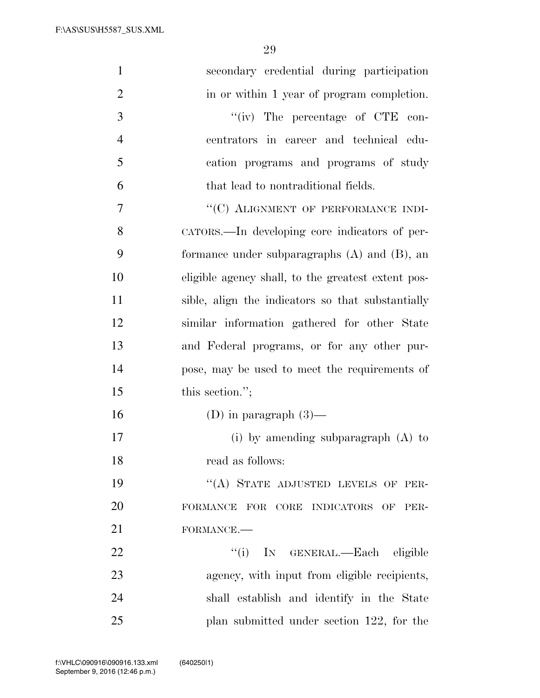F:\AS\SUS\H5587\_SUS.XML

| $\mathbf{1}$   | secondary credential during participation          |
|----------------|----------------------------------------------------|
| $\overline{2}$ | in or within 1 year of program completion.         |
| 3              | "(iv) The percentage of CTE con-                   |
| $\overline{4}$ | centrators in career and technical edu-            |
| 5              | cation programs and programs of study              |
| 6              | that lead to nontraditional fields.                |
| $\tau$         | "(C) ALIGNMENT OF PERFORMANCE INDI-                |
| 8              | CATORS.—In developing core indicators of per-      |
| 9              | formance under subparagraphs $(A)$ and $(B)$ , an  |
| 10             | eligible agency shall, to the greatest extent pos- |
| 11             | sible, align the indicators so that substantially  |
| 12             | similar information gathered for other State       |
| 13             | and Federal programs, or for any other pur-        |
| 14             | pose, may be used to meet the requirements of      |
| 15             | this section.";                                    |
| 16             | (D) in paragraph $(3)$ —                           |
| 17             | (i) by amending subparagraph $(A)$ to              |
| 18             | read as follows:                                   |
| 19             | "(A) STATE ADJUSTED LEVELS OF PER-                 |
| 20             | FORMANCE FOR CORE INDICATORS OF<br>PER-            |
| 21             | FORMANCE.-                                         |
| 22             | ``(i)<br>IN GENERAL.—Each eligible                 |
| 23             | agency, with input from eligible recipients,       |
| 24             | shall establish and identify in the State          |
| 25             | plan submitted under section 122, for the          |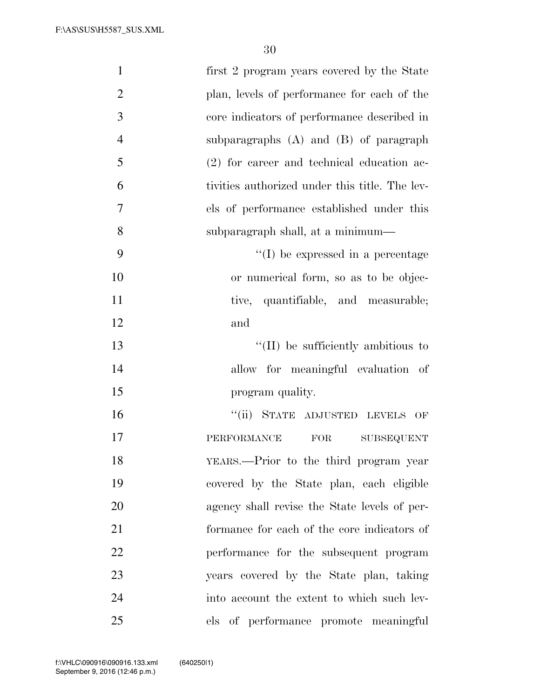| $\mathbf{1}$   | first 2 program years covered by the State     |
|----------------|------------------------------------------------|
| $\overline{2}$ | plan, levels of performance for each of the    |
| 3              | core indicators of performance described in    |
| $\overline{4}$ | subparagraphs $(A)$ and $(B)$ of paragraph     |
| 5              | (2) for career and technical education ac-     |
| 6              | tivities authorized under this title. The lev- |
| $\overline{7}$ | els of performance established under this      |
| 8              | subparagraph shall, at a minimum—              |
| 9              | $\lq\lq$ (I) be expressed in a percentage      |
| 10             | or numerical form, so as to be objec-          |
| 11             | tive, quantifiable, and measurable;            |
| 12             | and                                            |
| 13             | $\lq\lq$ (II) be sufficiently ambitious to     |
| 14             | allow for meaningful evaluation of             |
| 15             | program quality.                               |
| 16             | "(ii) STATE ADJUSTED LEVELS<br>OF              |
| 17             | PERFORMANCE<br>FOR<br><b>SUBSEQUENT</b>        |
| 18             | YEARS.—Prior to the third program year         |
| 19             | covered by the State plan, each eligible       |
| 20             | agency shall revise the State levels of per-   |
| 21             | formance for each of the core indicators of    |
| 22             | performance for the subsequent program         |
| 23             | years covered by the State plan, taking        |
| 24             | into account the extent to which such lev-     |
| 25             | els of performance promote meaningful          |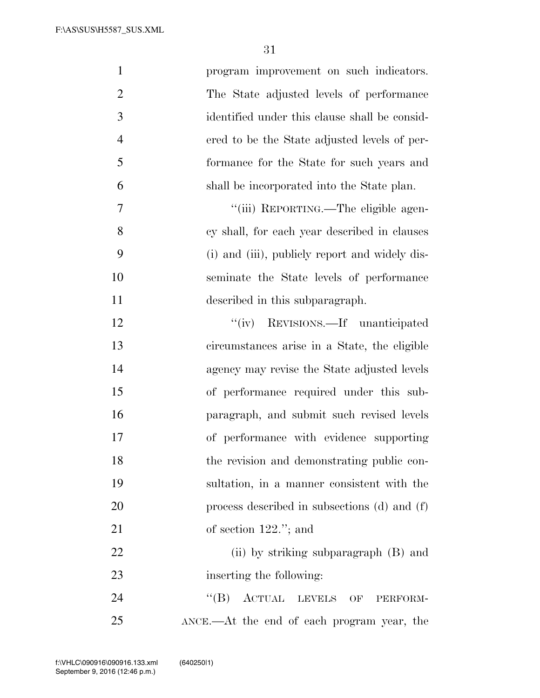| $\mathbf{1}$   | program improvement on such indicators.        |
|----------------|------------------------------------------------|
| $\overline{2}$ | The State adjusted levels of performance       |
| 3              | identified under this clause shall be consid-  |
| $\overline{4}$ | ered to be the State adjusted levels of per-   |
| 5              | formance for the State for such years and      |
| 6              | shall be incorporated into the State plan.     |
| $\overline{7}$ | "(iii) REPORTING.—The eligible agen-           |
| 8              | cy shall, for each year described in clauses   |
| 9              | (i) and (iii), publicly report and widely dis- |
| 10             | seminate the State levels of performance       |
| 11             | described in this subparagraph.                |
| 12             | "(iv) REVISIONS.—If unanticipated              |
| 13             | circumstances arise in a State, the eligible   |
| 14             | agency may revise the State adjusted levels    |
| 15             | of performance required under this sub-        |
| 16             | paragraph, and submit such revised levels      |
| 17             | of performance with evidence supporting        |
| 18             | the revision and demonstrating public con-     |
| 19             | sultation, in a manner consistent with the     |
| <b>20</b>      | process described in subsections (d) and (f)   |
| 21             | of section $122$ ."; and                       |
| 22             | (ii) by striking subparagraph (B) and          |
| 23             | inserting the following:                       |
| 24             | ACTUAL LEVELS OF<br>$\lq\lq (B)$<br>PERFORM-   |
| 25             | ANCE.—At the end of each program year, the     |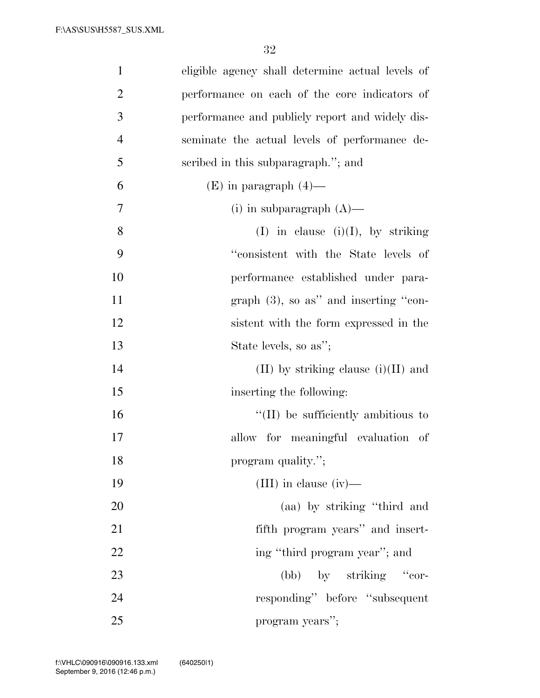| $\mathbf{1}$   | eligible agency shall determine actual levels of |
|----------------|--------------------------------------------------|
| $\overline{2}$ | performance on each of the core indicators of    |
| 3              | performance and publicly report and widely dis-  |
| $\overline{4}$ | seminate the actual levels of performance de-    |
| 5              | scribed in this subparagraph."; and              |
| 6              | $(E)$ in paragraph $(4)$ —                       |
| $\overline{7}$ | (i) in subparagraph $(A)$ —                      |
| 8              | $(I)$ in clause $(i)(I)$ , by striking           |
| 9              | "consistent with the State levels of             |
| 10             | performance established under para-              |
| 11             | graph $(3)$ , so as" and inserting "con-         |
| 12             | sistent with the form expressed in the           |
| 13             | State levels, so as";                            |
| 14             | (II) by striking clause $(i)(II)$ and            |
| 15             | inserting the following:                         |
| 16             | $\lq\lq$ (II) be sufficiently ambitious to       |
| 17             | allow for meaningful evaluation of               |
| 18             | program quality.";                               |
| 19             | (III) in clause $(iv)$ —                         |
| 20             | (aa) by striking "third and                      |
| 21             | fifth program years" and insert-                 |
| 22             | ing "third program year"; and                    |
| 23             | (bb) by striking "cor-                           |
| 24             | responding" before "subsequent"                  |
| 25             | program years";                                  |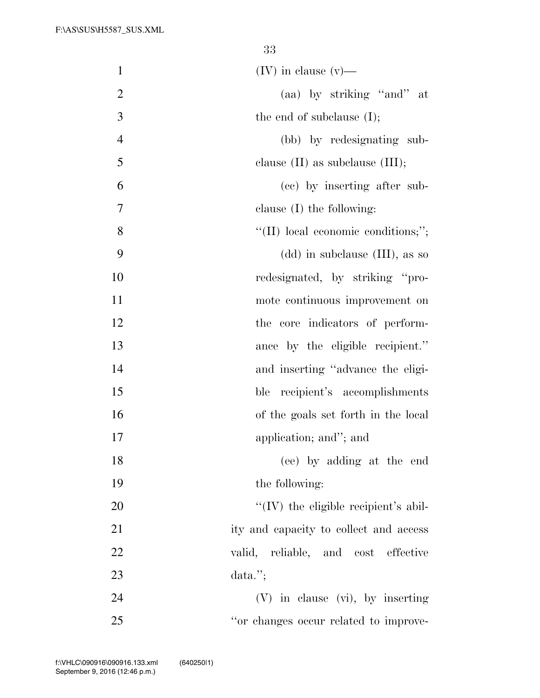| $\mathbf{1}$   | $(IV)$ in clause $(v)$ —                     |
|----------------|----------------------------------------------|
| $\overline{2}$ | (aa) by striking "and" at                    |
| 3              | the end of subclause $(I)$ ;                 |
| $\overline{4}$ | (bb) by redesignating sub-                   |
| 5              | clause $(II)$ as subclause $(III);$          |
| 6              | (cc) by inserting after sub-                 |
| 7              | clause $(I)$ the following:                  |
| 8              | $\lq\lq$ (II) local economic conditions;";   |
| 9              | $(dd)$ in subclause $(III)$ , as so          |
| 10             | redesignated, by striking "pro-              |
| 11             | mote continuous improvement on               |
| 12             | the core indicators of perform-              |
| 13             | ance by the eligible recipient."             |
| 14             | and inserting "advance the eligi-            |
| 15             | recipient's accomplishments<br>ble           |
| 16             | of the goals set forth in the local          |
| 17             | application; and"; and                       |
| 18             | (ee) by adding at the end                    |
| 19             | the following:                               |
| 20             | $\lq\lq$ (IV) the eligible recipient's abil- |
| 21             | ity and capacity to collect and access       |
| 22             | valid, reliable, and cost effective          |
| 23             | $data.$ ";                                   |
| 24             | $(V)$ in clause $(vi)$ , by inserting        |
| 25             | "or changes occur related to improve-        |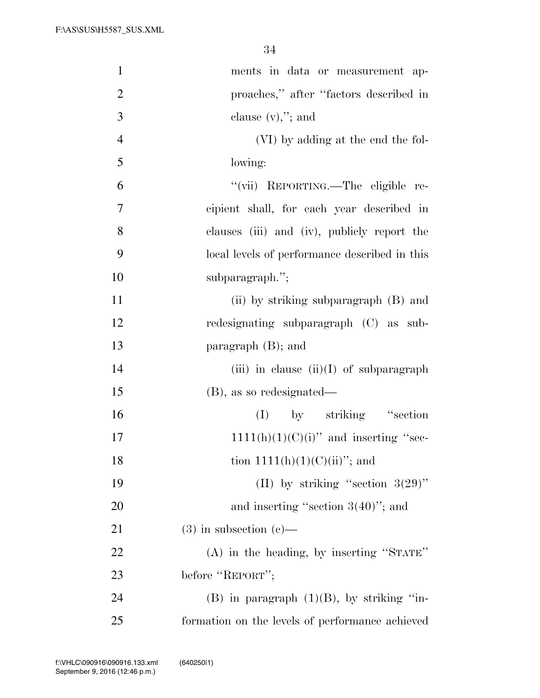| $\mathbf{1}$   | ments in data or measurement ap-                |
|----------------|-------------------------------------------------|
| $\overline{2}$ | proaches," after "factors described in          |
| 3              | clause $(v)$ ,"; and                            |
| $\overline{4}$ | (VI) by adding at the end the fol-              |
| 5              | lowing:                                         |
| 6              | "(vii) REPORTING.—The eligible re-              |
| 7              | cipient shall, for each year described in       |
| 8              | clauses (iii) and (iv), publicly report the     |
| 9              | local levels of performance described in this   |
| 10             | subparagraph.";                                 |
| 11             | (ii) by striking subparagraph (B) and           |
| 12             | redesignating subparagraph (C) as sub-          |
| 13             | paragraph $(B)$ ; and                           |
| 14             | (iii) in clause $(ii)(I)$ of subparagraph       |
| 15             | $(B)$ , as so redesignated—                     |
| 16             | (I) by striking "section                        |
| 17             | $1111(h)(1)(C)(i)$ " and inserting "sec-        |
| 18             | tion $1111(h)(1)(C(ii))$ ; and                  |
| 19             | (II) by striking "section $3(29)$ "             |
| 20             | and inserting "section $3(40)$ "; and           |
| 21             | $(3)$ in subsection $(e)$ —                     |
| 22             | $(A)$ in the heading, by inserting "STATE"      |
| 23             | before "REPORT";                                |
| 24             | $(B)$ in paragraph $(1)(B)$ , by striking "in-  |
| 25             | formation on the levels of performance achieved |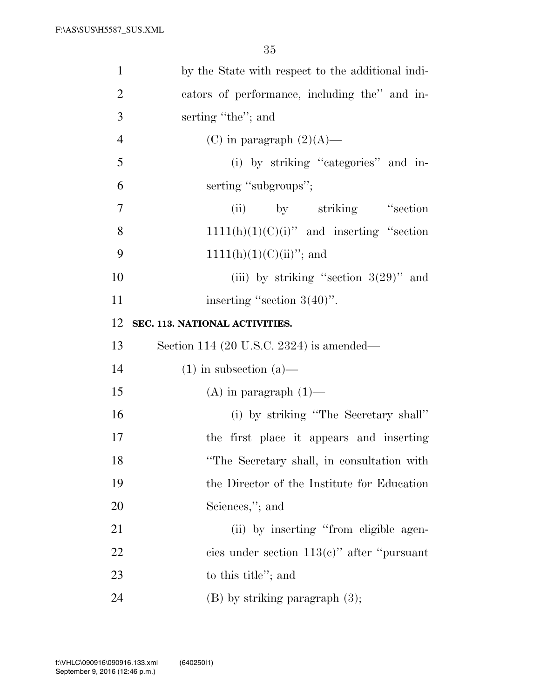| $\mathbf{1}$   | by the State with respect to the additional indi- |
|----------------|---------------------------------------------------|
| $\overline{2}$ | cators of performance, including the" and in-     |
| 3              | serting "the"; and                                |
| $\overline{4}$ | (C) in paragraph $(2)(A)$ —                       |
| 5              | (i) by striking "categories" and in-              |
| 6              | serting "subgroups";                              |
| 7              | (ii) by striking "section                         |
| 8              | $1111(h)(1)(C)(i)$ " and inserting "section       |
| 9              | $1111(h)(1)(C)(ii)$ "; and                        |
| 10             | (iii) by striking "section $3(29)$ " and          |
| 11             | inserting "section $3(40)$ ".                     |
| 12             | SEC. 113. NATIONAL ACTIVITIES.                    |
| 13             | Section 114 (20 U.S.C. 2324) is amended—          |
| 14             | $(1)$ in subsection $(a)$ —                       |
| 15             | $(A)$ in paragraph $(1)$ —                        |
| 16             | (i) by striking "The Secretary shall"             |
| 17             | the first place it appears and inserting          |
| 18             | "The Secretary shall, in consultation with        |
| 19             | the Director of the Institute for Education       |
| 20             | Sciences,"; and                                   |
| 21             | (ii) by inserting "from eligible agen-            |
| 22             | cies under section $113(e)$ " after "pursuant"    |
| 23             |                                                   |
|                | to this title"; and                               |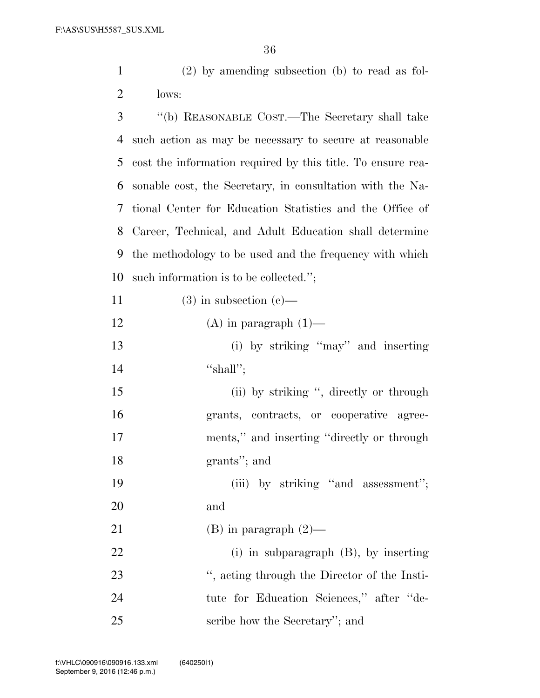(2) by amending subsection (b) to read as fol-lows:

 ''(b) REASONABLE COST.—The Secretary shall take such action as may be necessary to secure at reasonable cost the information required by this title. To ensure rea- sonable cost, the Secretary, in consultation with the Na- tional Center for Education Statistics and the Office of Career, Technical, and Adult Education shall determine the methodology to be used and the frequency with which such information is to be collected.'';

11 (3) in subsection  $(c)$ —

12  $(A)$  in paragraph  $(1)$ —

13 (i) by striking "may" and inserting ''shall'';

15 (ii) by striking ", directly or through grants, contracts, or cooperative agree- ments,'' and inserting ''directly or through grants''; and

19 (iii) by striking "and assessment"; and

21 (B) in paragraph  $(2)$ —

 (i) in subparagraph (B), by inserting 23 "", acting through the Director of the Insti- tute for Education Sciences,'' after ''de-25 scribe how the Secretary''; and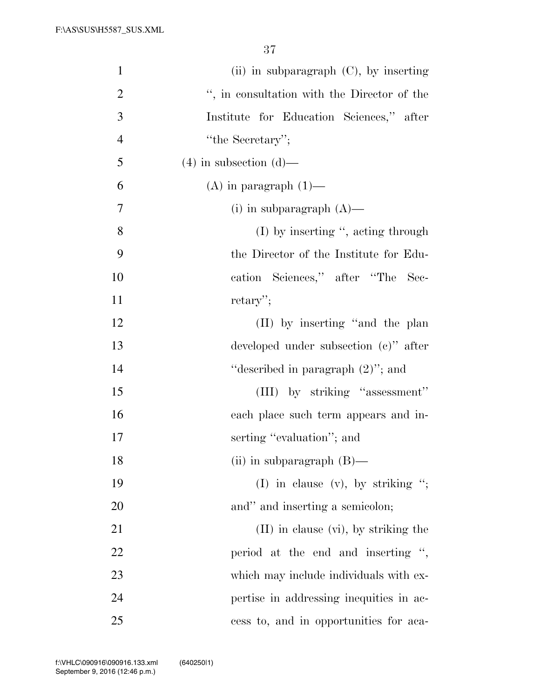| $\mathbf{1}$   | (ii) in subparagraph $(C)$ , by inserting   |
|----------------|---------------------------------------------|
| $\overline{2}$ | ", in consultation with the Director of the |
| 3              | Institute for Education Sciences," after    |
| $\overline{4}$ | "the Secretary";                            |
| 5              | $(4)$ in subsection $(d)$ —                 |
| 6              | $(A)$ in paragraph $(1)$ —                  |
| 7              | (i) in subparagraph $(A)$ —                 |
| 8              | $(I)$ by inserting ", acting through        |
| 9              | the Director of the Institute for Edu-      |
| 10             | cation Sciences," after "The<br>- Sec-      |
| 11             | $return$ .                                  |
| 12             | (II) by inserting "and the plan             |
| 13             | developed under subsection $(e)$ " after    |
| 14             | "described in paragraph $(2)$ "; and        |
| 15             | (III) by striking "assessment"              |
| 16             | each place such term appears and in-        |
| 17             | serting "evaluation"; and                   |
| 18             | (ii) in subparagraph $(B)$ —                |
| 19             | (I) in clause (v), by striking ";           |
| 20             | and" and inserting a semicolon;             |
| 21             | $(II)$ in clause $(vi)$ , by striking the   |
| 22             | period at the end and inserting ",          |
| 23             | which may include individuals with ex-      |
| 24             | pertise in addressing inequities in ac-     |
| 25             | cess to, and in opportunities for aca-      |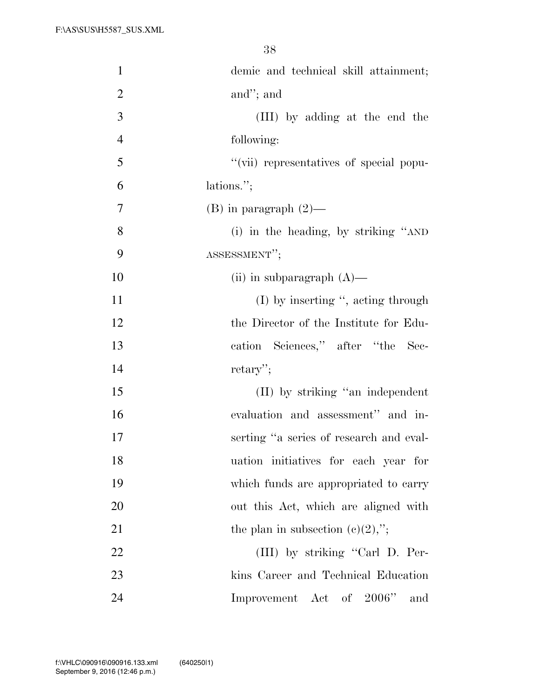| $\mathbf{1}$   | demic and technical skill attainment;   |
|----------------|-----------------------------------------|
| $\overline{2}$ | and"; and                               |
| 3              | (III) by adding at the end the          |
| $\overline{4}$ | following:                              |
| 5              | "(vii) representatives of special popu- |
| 6              | lations.";                              |
| 7              | $(B)$ in paragraph $(2)$ —              |
| 8              | (i) in the heading, by striking "AND    |
| 9              | ASSESSMENT";                            |
| 10             | (ii) in subparagraph $(A)$ —            |
| 11             | (I) by inserting ", acting through      |
| 12             | the Director of the Institute for Edu-  |
| 13             | cation Sciences," after "the Sec-       |
| 14             | retary";                                |
| 15             | (II) by striking "an independent        |
| 16             | evaluation and assessment" and in-      |
| 17             | serting "a series of research and eval- |
| 18             | uation initiatives for each year for    |
| 19             | which funds are appropriated to carry   |
| 20             | out this Act, which are aligned with    |
| 21             | the plan in subsection $(c)(2)$ ,";     |
| 22             | (III) by striking "Carl D. Per-         |
| 23             | kins Career and Technical Education     |
| 24             | Improvement Act of 2006"<br>and         |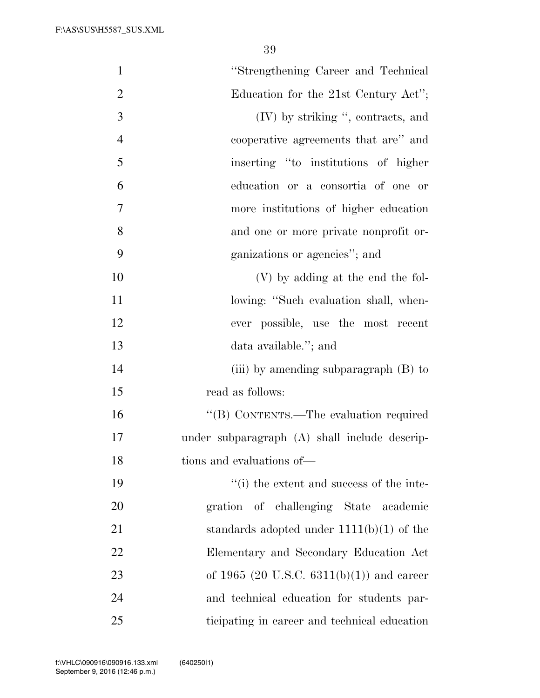| $\mathbf{1}$   | "Strengthening Career and Technical           |
|----------------|-----------------------------------------------|
| $\overline{2}$ | Education for the 21st Century Act";          |
| 3              | $(V)$ by striking ", contracts, and           |
| $\overline{4}$ | cooperative agreements that are" and          |
| 5              | inserting "to institutions of higher          |
| 6              | education or a consortia of one or            |
| $\tau$         | more institutions of higher education         |
| 8              | and one or more private nonprofit or-         |
| 9              | ganizations or agencies"; and                 |
| 10             | (V) by adding at the end the fol-             |
| 11             | lowing: "Such evaluation shall, when-         |
| 12             | ever possible, use the most recent            |
| 13             | data available."; and                         |
| 14             | (iii) by amending subparagraph (B) to         |
| 15             | read as follows:                              |
| 16             | "(B) CONTENTS.—The evaluation required        |
| 17             | under subparagraph (A) shall include descrip- |
| 18             | tions and evaluations of—                     |
| 19             | "(i) the extent and success of the inte-      |
| 20             | gration of challenging State academic         |
| 21             | standards adopted under $1111(b)(1)$ of the   |
| 22             | Elementary and Secondary Education Act        |
| 23             | of 1965 (20 U.S.C. 6311(b)(1)) and career     |
| 24             | and technical education for students par-     |
| 25             | ticipating in career and technical education  |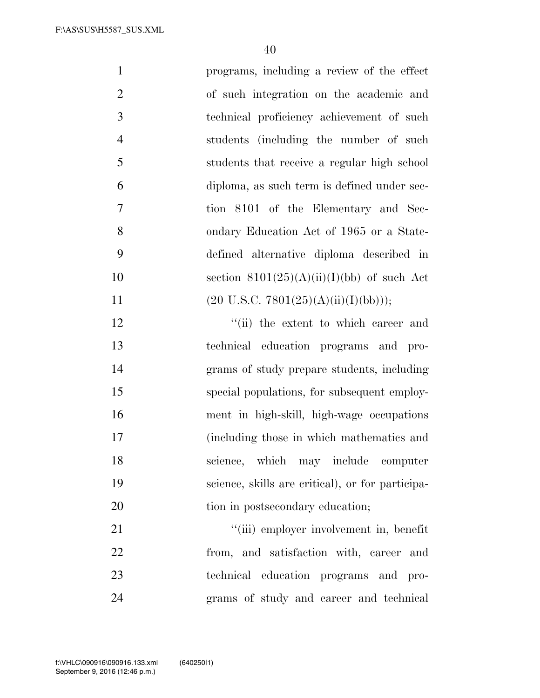| $\mathbf{1}$   | programs, including a review of the effect                                  |
|----------------|-----------------------------------------------------------------------------|
| $\overline{2}$ | of such integration on the academic and                                     |
| 3              | technical proficiency achievement of such                                   |
| $\overline{4}$ | students (including the number of such                                      |
| 5              | students that receive a regular high school                                 |
| 6              | diploma, as such term is defined under sec-                                 |
| $\overline{7}$ | tion 8101 of the Elementary and Sec-                                        |
| 8              | ondary Education Act of 1965 or a State-                                    |
| 9              | defined alternative diploma described in                                    |
| 10             | section $8101(25)(A)(ii)(I)(bb)$ of such Act                                |
| 11             | $(20 \text{ U.S.C. } 7801(25)(\text{A})(\text{ii})(\text{I})(\text{bb}))),$ |
| 12             | "(ii) the extent to which career and                                        |
| 13             | technical education programs and pro-                                       |
| 14             | grams of study prepare students, including                                  |
| 15             | special populations, for subsequent employ-                                 |
| 16             | ment in high-skill, high-wage occupations                                   |
| 17             | (including those in which mathematics and                                   |
| 18             | science, which may include computer                                         |
| 19             | science, skills are critical), or for participa-                            |
| 20             | tion in postsecondary education;                                            |
| 21             | "(iii) employer involvement in, benefit                                     |
| 22             | from, and satisfaction with, career and                                     |
| 23             | technical education programs and pro-                                       |
| 24             | grams of study and career and technical                                     |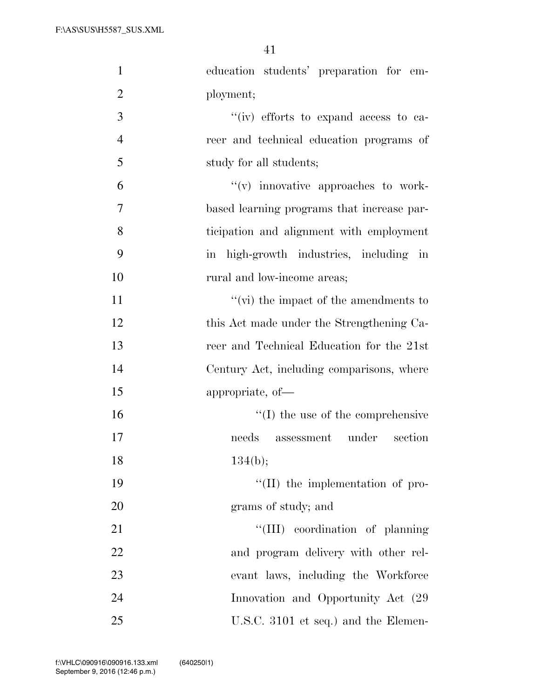| $\mathbf{1}$   | education students' preparation for em-    |
|----------------|--------------------------------------------|
| $\overline{2}$ | ployment;                                  |
| 3              | "(iv) efforts to expand access to ca-      |
| $\overline{4}$ | reer and technical education programs of   |
| 5              | study for all students;                    |
| 6              | "(v) innovative approaches to work-        |
| 7              | based learning programs that increase par- |
| 8              | ticipation and alignment with employment   |
| 9              | in high-growth industries, including in    |
| 10             | rural and low-income areas;                |
| 11             | " $(vi)$ the impact of the amendments to   |
| 12             | this Act made under the Strengthening Ca-  |
| 13             | reer and Technical Education for the 21st  |
| 14             | Century Act, including comparisons, where  |
| 15             | appropriate, of-                           |
| 16             | $\lq\lq$ (I) the use of the comprehensive  |
| 17             | under<br>needs<br>assessment<br>section    |
| 18             | 134(b);                                    |
| 19             | "(II) the implementation of pro-           |
| 20             | grams of study; and                        |
| 21             | "(III) coordination of planning            |
| 22             | and program delivery with other rel-       |
| 23             | evant laws, including the Workforce        |
| 24             | Innovation and Opportunity Act (29         |
| 25             | U.S.C. 3101 et seq.) and the Elemen-       |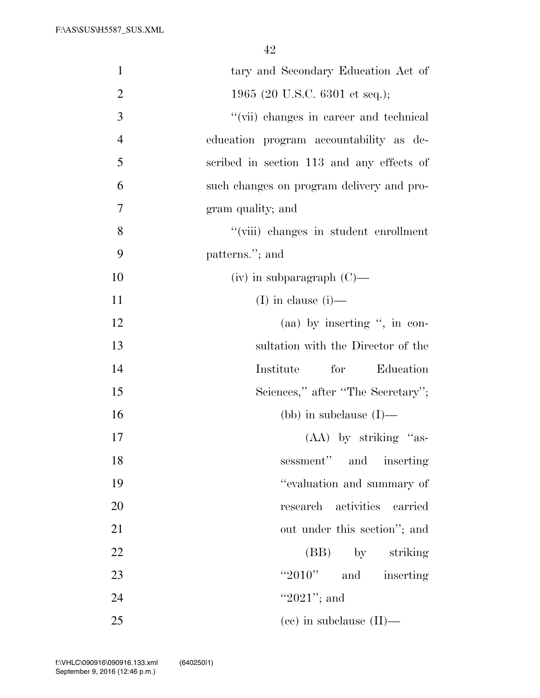| $\mathbf{1}$<br>tary and Secondary Education Act of           |
|---------------------------------------------------------------|
| $\overline{2}$<br>1965 (20 U.S.C. 6301 et seq.);              |
| 3<br>"(vii) changes in career and technical                   |
| $\overline{4}$<br>education program accountability as de-     |
| 5<br>scribed in section 113 and any effects of                |
| 6<br>such changes on program delivery and pro-                |
| $\tau$<br>gram quality; and                                   |
| 8<br>"(viii) changes in student enrollment                    |
| 9<br>patterns."; and                                          |
| 10<br>$(iv)$ in subparagraph $(C)$ —                          |
| 11<br>(I) in clause $(i)$ —                                   |
| (aa) by inserting ", in con-<br>12                            |
| 13<br>sultation with the Director of the                      |
| 14<br>Institute<br>for<br>Education                           |
| Sciences," after "The Secretary";<br>15                       |
| 16<br>(bb) in subclause $(I)$ —                               |
| $(AA)$ by striking "as-<br>17                                 |
| sessment" and inserting<br>18                                 |
| "evaluation and summary of<br>19                              |
| 20<br>research activities carried                             |
| 21<br>out under this section"; and                            |
| 22<br>(BB) by striking                                        |
| "2010"<br>23<br>and inserting                                 |
| "2021"; and<br>24                                             |
| 25<br>$\left( \text{ce} \right)$ in subclause $\text{(II)}$ — |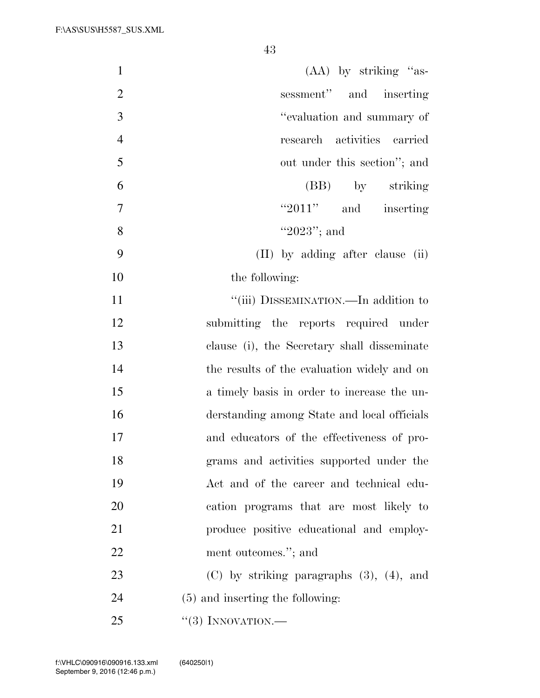| $\mathbf{1}$   | $(AA)$ by striking "as-                          |
|----------------|--------------------------------------------------|
| $\overline{2}$ | sessment" and inserting                          |
| 3              | "evaluation and summary of                       |
| $\overline{4}$ | research activities carried                      |
| 5              | out under this section"; and                     |
| 6              | (BB) by striking                                 |
| $\overline{7}$ | " $2011"$ and inserting                          |
| 8              | " $2023$ "; and                                  |
| 9              | (II) by adding after clause (ii)                 |
| 10             | the following:                                   |
| 11             | "(iii) DISSEMINATION.—In addition to             |
| 12             | submitting the reports required under            |
| 13             | clause (i), the Secretary shall disseminate      |
| 14             | the results of the evaluation widely and on      |
| 15             | a timely basis in order to increase the un-      |
| 16             | derstanding among State and local officials      |
| 17             | and educators of the effectiveness of pro-       |
| 18             | grams and activities supported under the         |
| 19             | Act and of the career and technical edu-         |
| 20             | cation programs that are most likely to          |
| 21             | produce positive educational and employ-         |
| 22             | ment outcomes."; and                             |
| 23             | $(C)$ by striking paragraphs $(3)$ , $(4)$ , and |
| 24             | (5) and inserting the following:                 |
| 25             | $``(3)$ INNOVATION.—                             |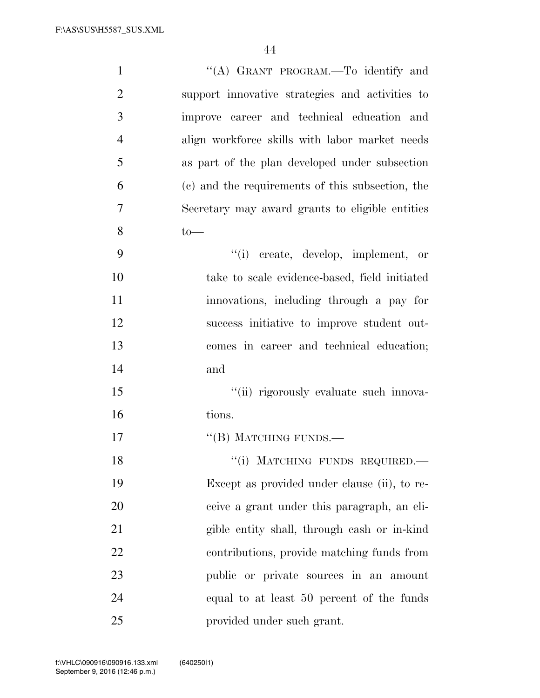| $\mathbf{1}$   | "(A) GRANT PROGRAM.—To identify and              |
|----------------|--------------------------------------------------|
| $\overline{2}$ | support innovative strategies and activities to  |
| 3              | improve career and technical education and       |
| $\overline{4}$ | align workforce skills with labor market needs   |
| 5              | as part of the plan developed under subsection   |
| 6              | (c) and the requirements of this subsection, the |
| 7              | Secretary may award grants to eligible entities  |
| 8              | $to-$                                            |
| 9              | "(i) create, develop, implement, or              |
| 10             | take to scale evidence-based, field initiated    |
| 11             | innovations, including through a pay for         |
| 12             | success initiative to improve student out-       |
| 13             | comes in career and technical education;         |
| 14             | and                                              |
| 15             | "(ii) rigorously evaluate such innova-           |
| 16             | tions.                                           |
| 17             | "(B) MATCHING FUNDS.—                            |
| 18             | "(i) MATCHING FUNDS REQUIRED.-                   |
| 19             | Except as provided under clause (ii), to re-     |
| 20             | ceive a grant under this paragraph, an eli-      |
| 21             | gible entity shall, through cash or in-kind      |
| 22             | contributions, provide matching funds from       |
| 23             | public or private sources in an amount           |
| 24             | equal to at least 50 percent of the funds        |
| 25             | provided under such grant.                       |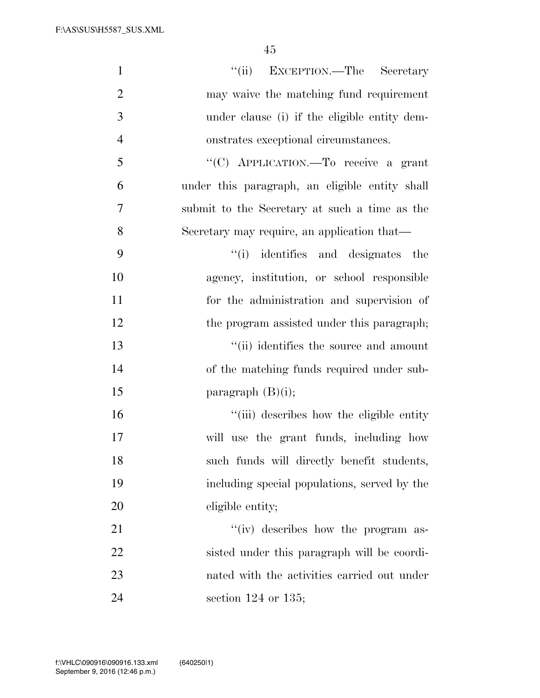| $\mathbf{1}$   | "(ii) EXCEPTION.—The Secretary                 |
|----------------|------------------------------------------------|
| $\overline{2}$ | may waive the matching fund requirement        |
| 3              | under clause (i) if the eligible entity dem-   |
| $\overline{4}$ | onstrates exceptional circumstances.           |
| 5              | "(C) APPLICATION.—To receive a grant           |
| 6              | under this paragraph, an eligible entity shall |
| 7              | submit to the Secretary at such a time as the  |
| 8              | Secretary may require, an application that-    |
| 9              | "(i) identifies and designates the             |
| 10             | agency, institution, or school responsible     |
| 11             | for the administration and supervision of      |
| 12             | the program assisted under this paragraph;     |
| 13             | "(ii) identifies the source and amount         |
| 14             | of the matching funds required under sub-      |
| 15             | paragraph $(B)(i)$ ;                           |
| 16             | "(iii) describes how the eligible entity       |
| 17             | will use the grant funds, including how        |
| 18             | such funds will directly benefit students,     |
| 19             | including special populations, served by the   |
| 20             | eligible entity;                               |
| 21             | "(iv) describes how the program as-            |
| 22             | sisted under this paragraph will be coordi-    |
| 23             | nated with the activities carried out under    |
| 24             | section $124$ or $135$ ;                       |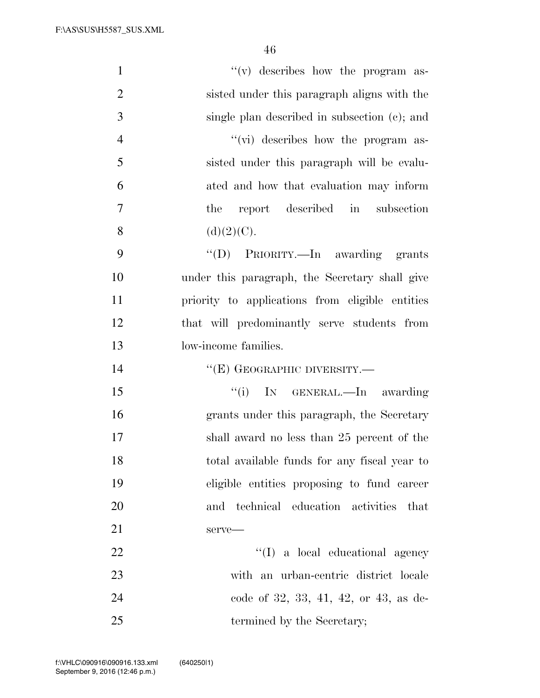F:\AS\SUS\H5587\_SUS.XML

| $\mathbf{1}$   | $f'(v)$ describes how the program as-           |
|----------------|-------------------------------------------------|
| $\overline{2}$ | sisted under this paragraph aligns with the     |
| 3              | single plan described in subsection (c); and    |
| $\overline{4}$ | "(vi) describes how the program as-             |
| 5              | sisted under this paragraph will be evalu-      |
| 6              | ated and how that evaluation may inform         |
| 7              | the report described in subsection              |
| 8              | (d)(2)(C).                                      |
| 9              | "(D) PRIORITY.—In awarding grants               |
| 10             | under this paragraph, the Secretary shall give  |
| 11             | priority to applications from eligible entities |
| 12             | that will predominantly serve students from     |
| 13             | low-income families.                            |
| 14             | $``(E)$ GEOGRAPHIC DIVERSITY.—                  |
| 15             | "(i) IN GENERAL.—In awarding                    |
| 16             | grants under this paragraph, the Secretary      |
| 17             | shall award no less than 25 percent of the      |
| 18             | total available funds for any fiscal year to    |
| 19             | eligible entities proposing to fund career      |
| 20             | and technical education activities<br>that      |
| 21             | serve-                                          |
| 22             | $\lq\lq$ (I) a local educational agency         |
| 23             | with an urban-centric district locale           |
| 24             | code of 32, 33, 41, 42, or 43, as de-           |
| 25             | termined by the Secretary;                      |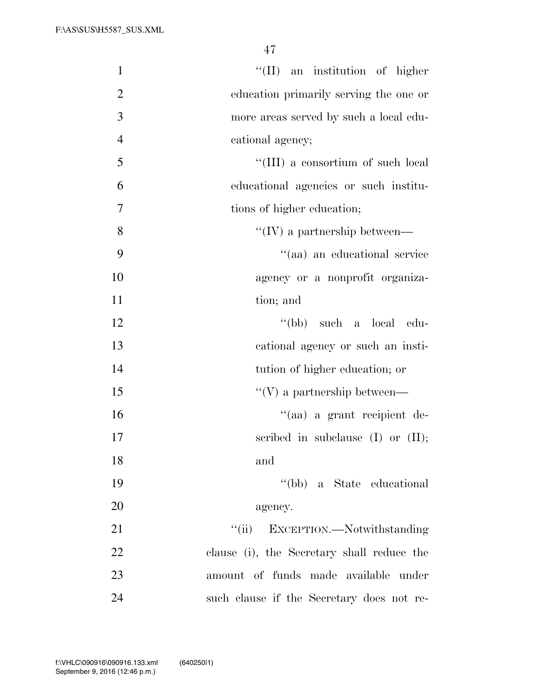| $\mathbf{1}$   | $\lq\lq$ (II) an institution of higher     |
|----------------|--------------------------------------------|
| $\mathbf{2}$   | education primarily serving the one or     |
| 3              | more areas served by such a local edu-     |
| $\overline{4}$ | cational agency;                           |
| 5              | "(III) a consortium of such local          |
| 6              | educational agencies or such institu-      |
| $\overline{7}$ | tions of higher education;                 |
| 8              | $\lq\lq$ (IV) a partnership between—       |
| 9              | "(aa) an educational service               |
| 10             | agency or a nonprofit organiza-            |
| 11             | tion; and                                  |
| 12             | "(bb) such a local<br>edu-                 |
| 13             | cational agency or such an insti-          |
| 14             | tution of higher education; or             |
| 15             | $\lq\lq(V)$ a partnership between—         |
| 16             | "(aa) a grant recipient de-                |
| 17             | scribed in subclause $(I)$ or $(II)$ ;     |
| 18             | and                                        |
| 19             | "(bb) a State educational                  |
| 20             | agency.                                    |
| 21             | "(ii) EXCEPTION.—Notwithstanding           |
| 22             | clause (i), the Secretary shall reduce the |
| 23             | amount of funds made available under       |
| 24             | such clause if the Secretary does not re-  |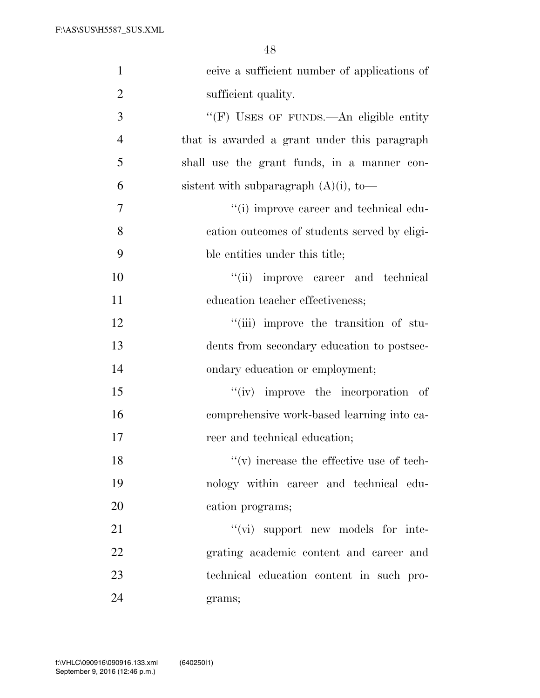| $\mathbf{1}$   | ceive a sufficient number of applications of |
|----------------|----------------------------------------------|
| $\overline{2}$ | sufficient quality.                          |
| 3              | "(F) USES OF FUNDS.—An eligible entity       |
| $\overline{4}$ | that is awarded a grant under this paragraph |
| 5              | shall use the grant funds, in a manner con-  |
| 6              | sistent with subparagraph $(A)(i)$ , to-     |
| 7              | "(i) improve career and technical edu-       |
| 8              | cation outcomes of students served by eligi- |
| 9              | ble entities under this title;               |
| 10             | "(ii) improve career and technical           |
| 11             | education teacher effectiveness;             |
| 12             | "(iii) improve the transition of stu-        |
| 13             | dents from secondary education to postsec-   |
| 14             | ondary education or employment;              |
| 15             | "(iv) improve the incorporation of           |
| 16             | comprehensive work-based learning into ca-   |
| 17             | reer and technical education;                |
| 18             | $f'(v)$ increase the effective use of tech-  |
| 19             | nology within career and technical edu-      |
| 20             | cation programs;                             |
| 21             | $``(\vec{vi})$ support new models for inte-  |
| 22             | grating academic content and career and      |
| 23             | technical education content in such pro-     |
| 24             | grams;                                       |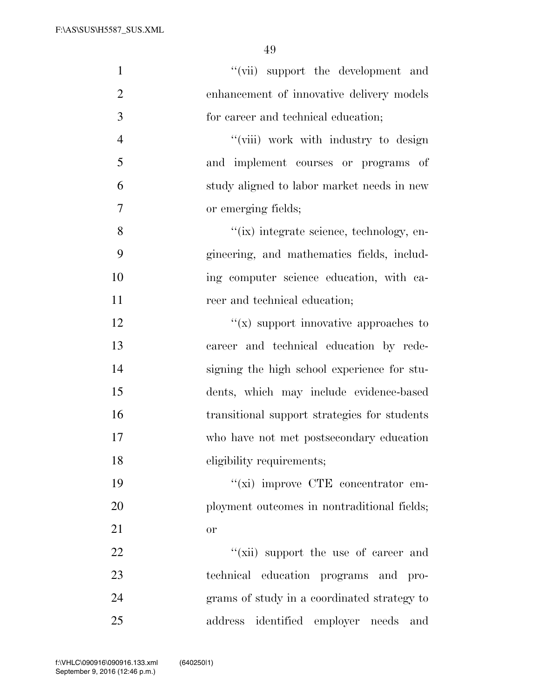| "(vii) support the development and<br>$\mathbf{1}$          |     |
|-------------------------------------------------------------|-----|
| $\overline{2}$<br>enhancement of innovative delivery models |     |
| 3<br>for career and technical education;                    |     |
| $\overline{4}$<br>"(viii) work with industry to design      |     |
| 5<br>and implement courses or programs of                   |     |
| 6<br>study aligned to labor market needs in new             |     |
| $\tau$<br>or emerging fields;                               |     |
| 8<br>"(ix) integrate science, technology, en-               |     |
| 9<br>gineering, and mathematics fields, includ-             |     |
| 10<br>ing computer science education, with ca-              |     |
| 11<br>reer and technical education;                         |     |
| 12<br>$f(x)$ support innovative approaches to               |     |
| 13<br>career and technical education by rede-               |     |
| 14<br>signing the high school experience for stu-           |     |
| 15<br>dents, which may include evidence-based               |     |
| 16<br>transitional support strategies for students          |     |
| 17<br>who have not met postsecondary education              |     |
| 18<br>eligibility requirements;                             |     |
| "(xi) improve CTE concentrator em-<br>19                    |     |
| 20<br>ployment outcomes in nontraditional fields;           |     |
| 21<br>or                                                    |     |
| 22<br>"(xii) support the use of career and                  |     |
| 23<br>technical education programs and pro-                 |     |
| 24<br>grams of study in a coordinated strategy to           |     |
| 25<br>address identified employer needs                     | and |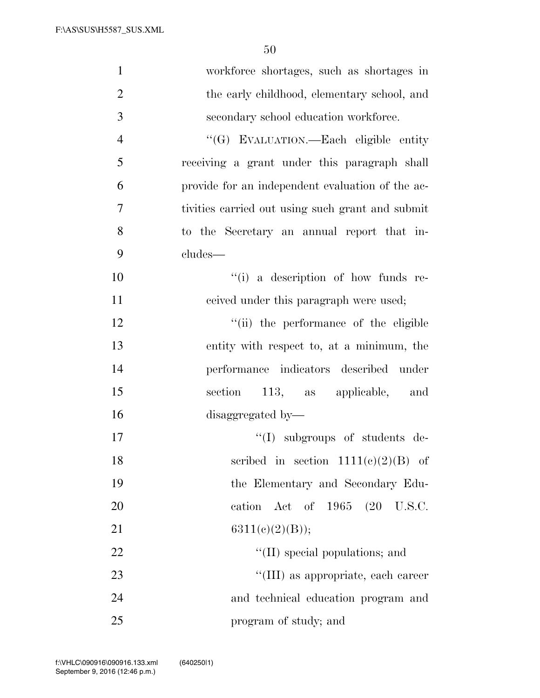| $\mathbf{1}$   | workforce shortages, such as shortages in        |
|----------------|--------------------------------------------------|
| $\overline{2}$ | the early childhood, elementary school, and      |
| $\mathfrak{Z}$ | secondary school education workforce.            |
| $\overline{4}$ | "(G) EVALUATION.—Each eligible entity            |
| 5              | receiving a grant under this paragraph shall     |
| 6              | provide for an independent evaluation of the ac- |
| 7              | tivities carried out using such grant and submit |
| 8              | to the Secretary an annual report that in-       |
| 9              | cludes—                                          |
| 10             | "(i) a description of how funds re-              |
| 11             | ceived under this paragraph were used;           |
| 12             | "(ii) the performance of the eligible            |
| 13             | entity with respect to, at a minimum, the        |
| 14             | performance indicators described under           |
| 15             | section 113, as applicable, and                  |
| 16             | disaggregated by-                                |
| 17             | "(I) subgroups of students de-                   |
| 18             | scribed in section $1111(e)(2)(B)$ of            |
| 19             | the Elementary and Secondary Edu-                |
| 20             | cation Act of 1965 (20 U.S.C.                    |
| 21             | 6311(c)(2)(B));                                  |
| 22             | $\lq\lq$ (II) special populations; and           |
| 23             | "(III) as appropriate, each career               |
| 24             | and technical education program and              |
| 25             | program of study; and                            |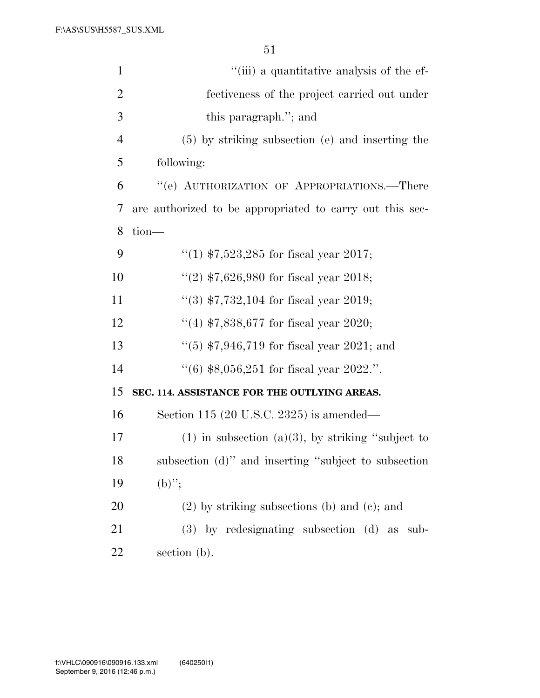| $\mathbf{1}$   | "(iii) a quantitative analysis of the ef-                |
|----------------|----------------------------------------------------------|
| $\overline{2}$ | fectiveness of the project carried out under             |
| 3              | this paragraph."; and                                    |
| $\overline{4}$ | (5) by striking subsection (e) and inserting the         |
| 5              | following:                                               |
| 6              | "(e) AUTHORIZATION OF APPROPRIATIONS.—There              |
| 7              | are authorized to be appropriated to carry out this sec- |
| 8              | $tion$ —                                                 |
| 9              | "(1) $$7,523,285$ for fiscal year 2017;                  |
| 10             | "(2) $$7,626,980$ for fiscal year 2018;                  |
| 11             | $\lq(3)$ \$7,732,104 for fiscal year 2019;               |
| 12             | "(4) $$7,838,677$ for fiscal year 2020;                  |
| 13             | "(5) $$7,946,719$ for fiscal year 2021; and              |
| 14             | $(6)$ \$8,056,251 for fiscal year 2022.".                |
| 15             | SEC. 114. ASSISTANCE FOR THE OUTLYING AREAS.             |
| 16             | Section 115 (20 U.S.C. 2325) is amended—                 |
| 17             | $(1)$ in subsection $(a)(3)$ , by striking "subject to   |
| 18             | subsection (d)" and inserting "subject to subsection     |
| 19             | $(b)$ ";                                                 |
| <b>20</b>      | $(2)$ by striking subsections (b) and (c); and           |
| 21             | $(3)$ by redesignating subsection $(d)$ as sub-          |
| 22             | section (b).                                             |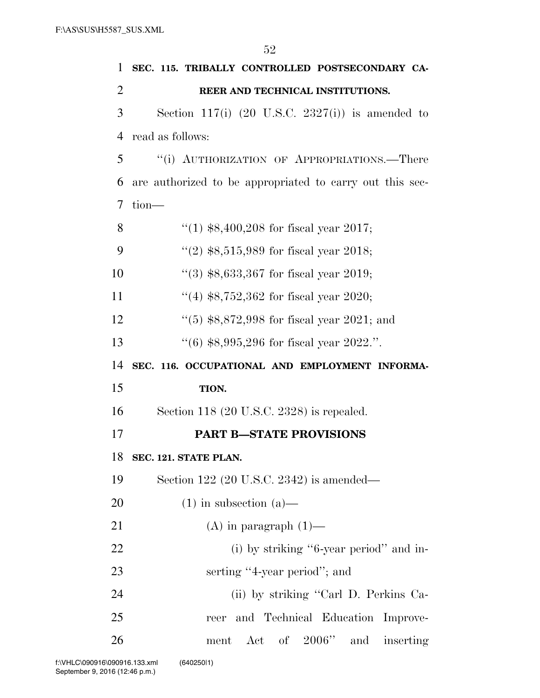| 1              | SEC. 115. TRIBALLY CONTROLLED POSTSECONDARY CA-             |
|----------------|-------------------------------------------------------------|
| $\overline{2}$ | REER AND TECHNICAL INSTITUTIONS.                            |
| 3              | Section 117(i) $(20 \text{ U.S.C. } 2327(i))$ is amended to |
| 4              | read as follows:                                            |
| 5              | "(i) AUTHORIZATION OF APPROPRIATIONS.—There                 |
| 6              | are authorized to be appropriated to carry out this sec-    |
| 7              | $tion$ —                                                    |
| 8              | "(1) $$8,400,208$ for fiscal year 2017;                     |
| 9              | "(2) $$8,515,989$ for fiscal year 2018;                     |
| 10             | $(3)$ \$8,633,367 for fiscal year 2019;                     |
| 11             | "(4) $$8,752,362$ for fiscal year 2020;                     |
| 12             | $(5)$ \$8,872,998 for fiscal year 2021; and                 |
| 13             | $(6)$ \$8,995,296 for fiscal year 2022.".                   |
|                |                                                             |
| 14             | SEC. 116. OCCUPATIONAL AND EMPLOYMENT INFORMA-              |
| 15             | TION.                                                       |
| 16             | Section 118 $(20 \text{ U.S.C. } 2328)$ is repealed.        |
| 17             | <b>PART B-STATE PROVISIONS</b>                              |
| 18             | SEC. 121. STATE PLAN.                                       |
| 19             | Section 122 (20 U.S.C. 2342) is amended—                    |
| 20             | $(1)$ in subsection $(a)$ —                                 |
| 21             | (A) in paragraph $(1)$ —                                    |
| 22             | (i) by striking "6-year period" and in-                     |
| 23             | serting "4-year period"; and                                |
| 24             | (ii) by striking "Carl D. Perkins Ca-                       |
| 25             | and Technical Education Improve-<br>reer                    |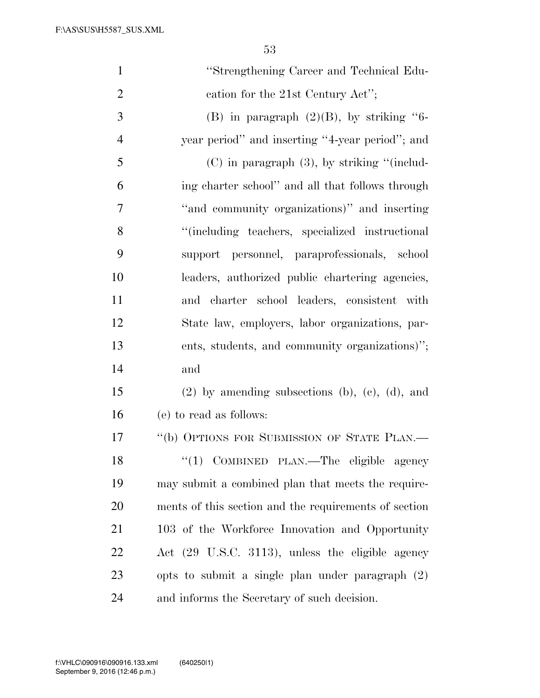| $\mathbf{1}$   | "Strengthening Career and Technical Edu-                  |
|----------------|-----------------------------------------------------------|
| $\overline{2}$ | cation for the 21st Century Act";                         |
| 3              | (B) in paragraph $(2)(B)$ , by striking "6-               |
| $\overline{4}$ | year period" and inserting "4-year period"; and           |
| 5              | $(C)$ in paragraph $(3)$ , by striking "(includ-          |
| 6              | ing charter school" and all that follows through          |
| 7              | "and community organizations)" and inserting              |
| 8              | "(including teachers, specialized instructional)          |
| 9              | support personnel, paraprofessionals, school              |
| 10             | leaders, authorized public chartering agencies,           |
| 11             | and charter school leaders, consistent with               |
| 12             | State law, employers, labor organizations, par-           |
| 13             | ents, students, and community organizations)";            |
| 14             | and                                                       |
| 15             | $(2)$ by amending subsections $(b)$ , $(c)$ , $(d)$ , and |
| 16             | (e) to read as follows:                                   |
| 17             | "(b) OPTIONS FOR SUBMISSION OF STATE PLAN.-               |
| 18             | "(1) COMBINED PLAN.—The eligible agency                   |
| 19             | may submit a combined plan that meets the require-        |
| 20             | ments of this section and the requirements of section     |
| 21             | 103 of the Workforce Innovation and Opportunity           |
| 22             | Act (29 U.S.C. 3113), unless the eligible agency          |
| 23             | opts to submit a single plan under paragraph $(2)$        |
| 24             | and informs the Secretary of such decision.               |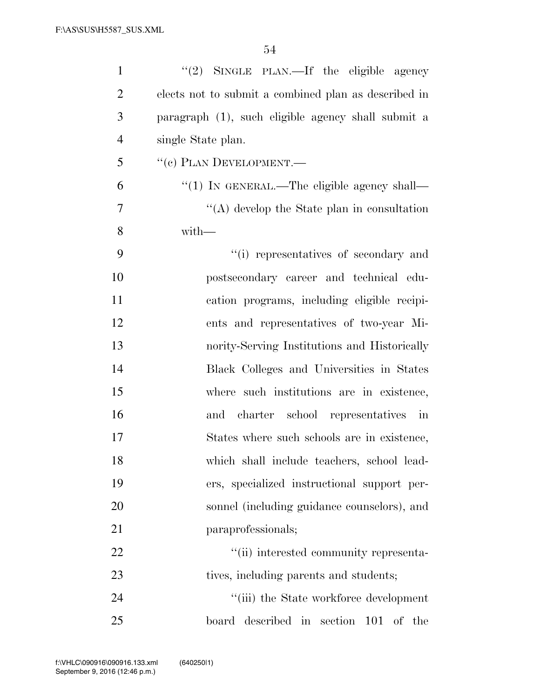| $\mathbf{1}$   | " $(2)$ SINGLE PLAN.—If the eligible agency          |
|----------------|------------------------------------------------------|
| $\overline{2}$ | elects not to submit a combined plan as described in |
| 3              | paragraph (1), such eligible agency shall submit a   |
| $\overline{4}$ | single State plan.                                   |
| 5              | "(c) PLAN DEVELOPMENT.—                              |
| 6              | "(1) IN GENERAL.—The eligible agency shall—          |
| $\overline{7}$ | "(A) develop the State plan in consultation          |
| 8              | with-                                                |
| 9              | "(i) representatives of secondary and                |
| 10             | postsecondary career and technical edu-              |
| 11             | cation programs, including eligible recipi-          |
| 12             | ents and representatives of two-year Mi-             |
| 13             | nority-Serving Institutions and Historically         |
| 14             | Black Colleges and Universities in States            |
| 15             | where such institutions are in existence,            |
| 16             | and charter school representatives in                |
| 17             | States where such schools are in existence,          |
| 18             | which shall include teachers, school lead-           |
| 19             | ers, specialized instructional support per-          |
| 20             | sonnel (including guidance counselors), and          |
| 21             | paraprofessionals;                                   |
| 22             | "(ii) interested community representa-               |
| 23             | tives, including parents and students;               |
| 24             | "(iii) the State workforce development               |
| 25             | described in section<br>board<br>101<br>of the       |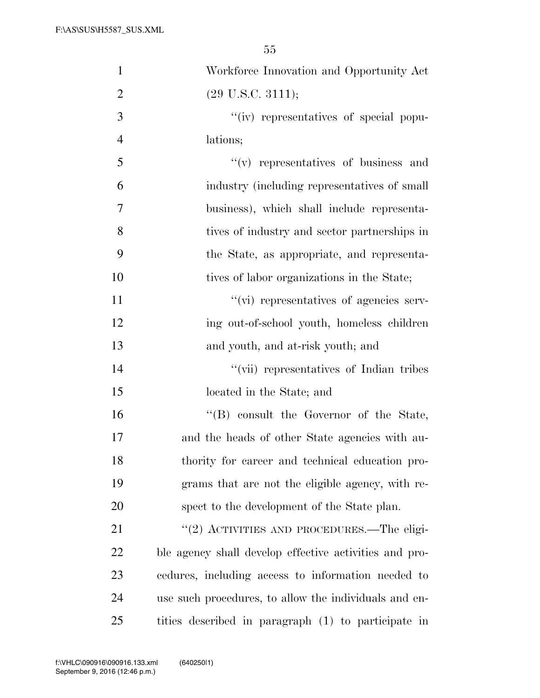| $\mathbf{1}$   | Workforce Innovation and Opportunity Act               |
|----------------|--------------------------------------------------------|
| $\overline{2}$ | $(29 \text{ U.S.C. } 3111);$                           |
| 3              | "(iv) representatives of special popu-                 |
| $\overline{4}$ | lations;                                               |
| 5              | $f'(v)$ representatives of business and                |
| 6              | industry (including representatives of small           |
| 7              | business), which shall include representa-             |
| 8              | tives of industry and sector partnerships in           |
| 9              | the State, as appropriate, and representa-             |
| 10             | tives of labor organizations in the State;             |
| 11             | "(vi) representatives of agencies serv-                |
| 12             | ing out-of-school youth, homeless children             |
| 13             | and youth, and at-risk youth; and                      |
| 14             | "(vii) representatives of Indian tribes                |
| 15             | located in the State; and                              |
| 16             | $\lq\lq$ (B) consult the Governor of the State,        |
| 17             | and the heads of other State agencies with au-         |
| 18             | thority for career and technical education pro-        |
| 19             | grams that are not the eligible agency, with re-       |
| 20             | spect to the development of the State plan.            |
| 21             | "(2) ACTIVITIES AND PROCEDURES.—The eligi-             |
| 22             | ble agency shall develop effective activities and pro- |
| 23             | cedures, including access to information needed to     |
| 24             | use such procedures, to allow the individuals and en-  |
| 25             | tities described in paragraph (1) to participate in    |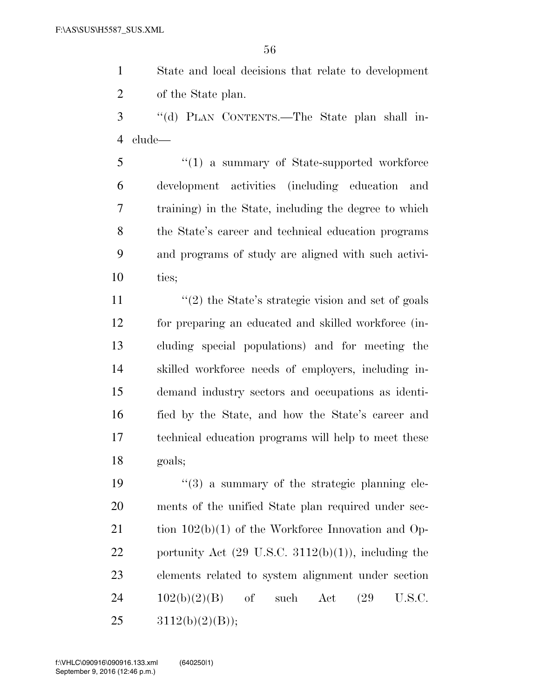State and local decisions that relate to development of the State plan.

 ''(d) PLAN CONTENTS.—The State plan shall in-clude—

5 "(1) a summary of State-supported workforce development activities (including education and training) in the State, including the degree to which the State's career and technical education programs and programs of study are aligned with such activi-ties;

11 ''(2) the State's strategic vision and set of goals for preparing an educated and skilled workforce (in- cluding special populations) and for meeting the skilled workforce needs of employers, including in- demand industry sectors and occupations as identi- fied by the State, and how the State's career and technical education programs will help to meet these goals;

 $\frac{1}{2}$  (3) a summary of the strategic planning ele- ments of the unified State plan required under sec-21 tion  $102(b)(1)$  of the Workforce Innovation and Op-22 portunity Act  $(29 \text{ U.S.C. } 3112(b)(1))$ , including the elements related to system alignment under section  $102(b)(2)(B)$  of such Act  $(29 \text{ U.S.C.})$  $3112(b)(2)(B)$ ;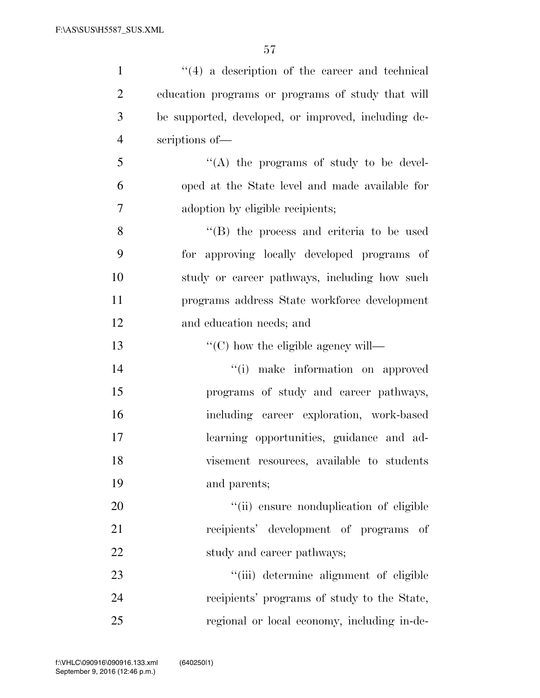| $\mathbf{1}$   | $\cdot$ (4) a description of the career and technical |
|----------------|-------------------------------------------------------|
| $\overline{2}$ | education programs or programs of study that will     |
| 3              | be supported, developed, or improved, including de-   |
| $\overline{4}$ | scriptions of-                                        |
| 5              | "(A) the programs of study to be devel-               |
| 6              | oped at the State level and made available for        |
| 7              | adoption by eligible recipients;                      |
| 8              | $\lq\lq$ the process and criteria to be used          |
| 9              | for approving locally developed programs of           |
| 10             | study or career pathways, including how such          |
| 11             | programs address State workforce development          |
| 12             | and education needs; and                              |
| 13             | $\lq\lq$ (C) how the eligible agency will—            |
| 14             | ``(i)<br>make information on approved                 |
| 15             | programs of study and career pathways,                |
| 16             | including career exploration, work-based              |
| 17             | learning opportunities, guidance and ad-              |
| 18             | visement resources, available to students             |
| 19             | and parents;                                          |
| 20             | "(ii) ensure nonduplication of eligible               |
| 21             | recipients' development of programs of                |
| 22             | study and career pathways;                            |
| 23             | "(iii) determine alignment of eligible                |
| 24             | recipients' programs of study to the State,           |
| 25             | regional or local economy, including in-de-           |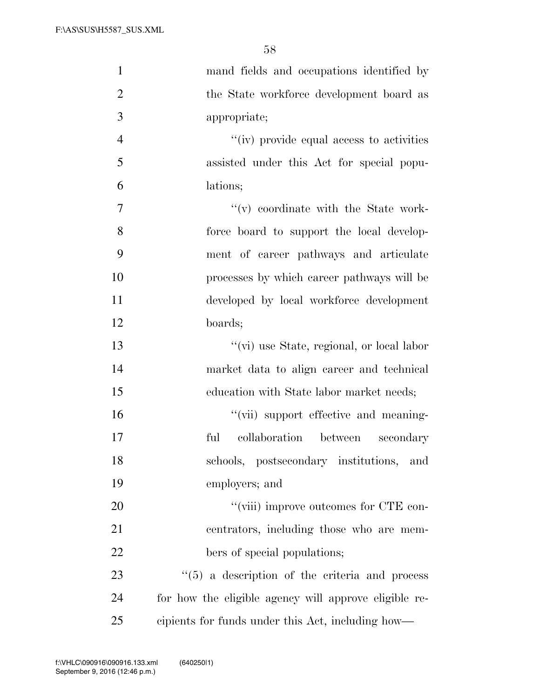| $\mathbf{1}$   | mand fields and occupations identified by             |
|----------------|-------------------------------------------------------|
| $\overline{2}$ | the State workforce development board as              |
| 3              | appropriate;                                          |
| $\overline{4}$ | "(iv) provide equal access to activities              |
| 5              | assisted under this Act for special popu-             |
| 6              | lations;                                              |
| 7              | $f'(v)$ coordinate with the State work-               |
| 8              | force board to support the local develop-             |
| 9              | ment of career pathways and articulate                |
| 10             | processes by which career pathways will be            |
| 11             | developed by local workforce development              |
| 12             | boards;                                               |
| 13             | "(vi) use State, regional, or local labor             |
| 14             | market data to align career and technical             |
| 15             | education with State labor market needs;              |
| 16             | "(vii) support effective and meaning-                 |
| 17             | collaboration between<br>ful<br>secondary             |
| 18             | schools, postsecondary institutions,<br>and           |
| 19             | employers; and                                        |
| 20             | "(viii) improve outcomes for CTE con-                 |
| 21             | centrators, including those who are mem-              |
| 22             | bers of special populations;                          |
| 23             | $\lq(5)$ a description of the criteria and process    |
| 24             | for how the eligible agency will approve eligible re- |
| 25             | cipients for funds under this Act, including how—     |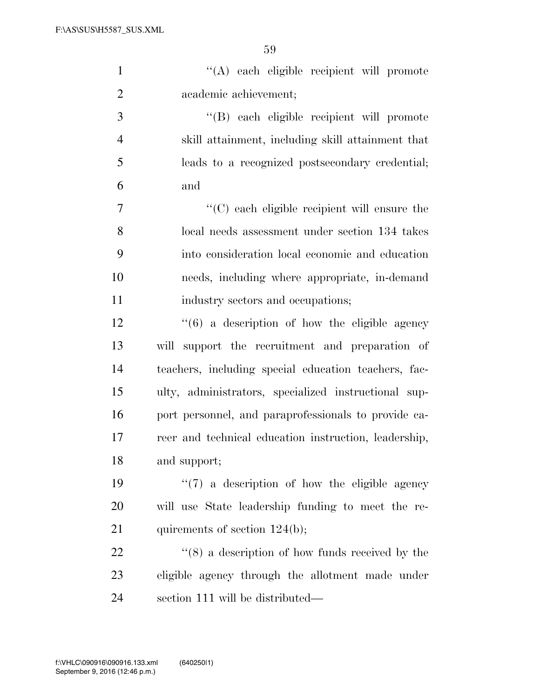|                       |  | "(A) each eligible recipient will promote |  |
|-----------------------|--|-------------------------------------------|--|
| academic achievement; |  |                                           |  |

 ''(B) each eligible recipient will promote skill attainment, including skill attainment that leads to a recognized postsecondary credential; and

 ''(C) each eligible recipient will ensure the local needs assessment under section 134 takes into consideration local economic and education needs, including where appropriate, in-demand 11 industry sectors and occupations;

 ''(6) a description of how the eligible agency will support the recruitment and preparation of teachers, including special education teachers, fac- ulty, administrators, specialized instructional sup- port personnel, and paraprofessionals to provide ca- reer and technical education instruction, leadership, and support;

19  $\frac{1}{2}$  (7) a description of how the eligible agency will use State leadership funding to meet the re-21 quirements of section 124(b);

22 ''(8) a description of how funds received by the eligible agency through the allotment made under section 111 will be distributed—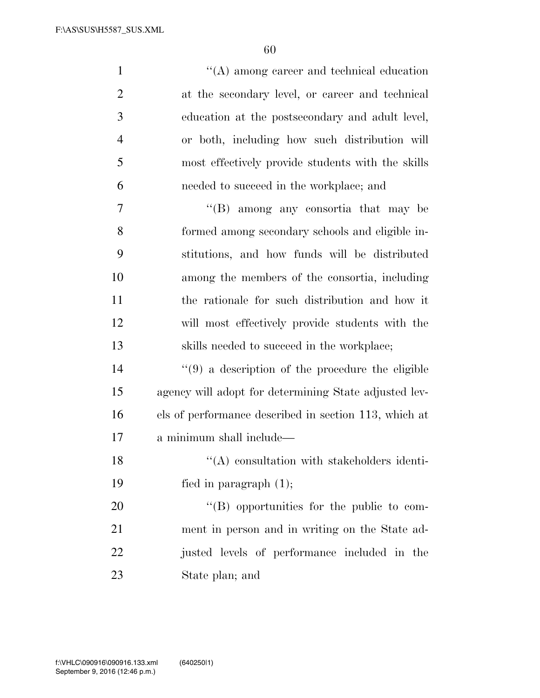| $\mathbf{1}$   | $\lq\lq$ among career and technical education         |
|----------------|-------------------------------------------------------|
| $\overline{2}$ | at the secondary level, or career and technical       |
| 3              | education at the postsecondary and adult level,       |
| $\overline{4}$ | or both, including how such distribution will         |
| 5              | most effectively provide students with the skills     |
| 6              | needed to succeed in the workplace; and               |
| 7              | $\lq\lq (B)$ among any consortia that may be          |
| 8              | formed among secondary schools and eligible in-       |
| 9              | stitutions, and how funds will be distributed         |
| 10             | among the members of the consortia, including         |
| 11             | the rationale for such distribution and how it        |
| 12             | will most effectively provide students with the       |
| 13             | skills needed to succeed in the workplace;            |
| 14             | $\lq(9)$ a description of the procedure the eligible  |
| 15             | agency will adopt for determining State adjusted lev- |
| 16             | els of performance described in section 113, which at |
| 17             | a minimum shall include—                              |
| 18             | $\lq\lq$ consultation with stakeholders identi-       |
| 19             | fied in paragraph $(1)$ ;                             |
| 20             | "(B) opportunities for the public to com-             |
| 21             | ment in person and in writing on the State ad-        |
| 22             | justed levels of performance included in the          |
| 23             | State plan; and                                       |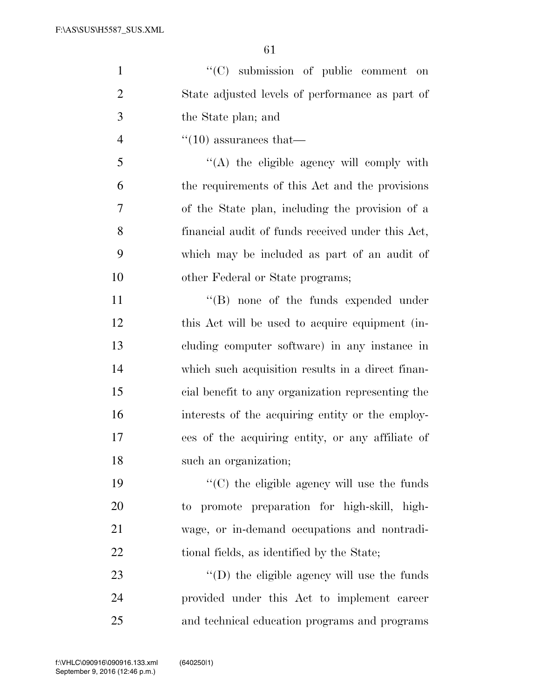| $\mathbf{1}$   | $\lq\lq$ submission of public comment on            |
|----------------|-----------------------------------------------------|
| $\overline{2}$ | State adjusted levels of performance as part of     |
| 3              | the State plan; and                                 |
| $\overline{4}$ | $\cdot$ (10) assurances that—                       |
| 5              | $\lq\lq$ the eligible agency will comply with       |
| 6              | the requirements of this Act and the provisions     |
| 7              | of the State plan, including the provision of a     |
| 8              | financial audit of funds received under this Act,   |
| 9              | which may be included as part of an audit of        |
| 10             | other Federal or State programs;                    |
| 11             | $\lq\lq$ (B) none of the funds expended under       |
| 12             | this Act will be used to acquire equipment (in-     |
| 13             | cluding computer software) in any instance in       |
| 14             | which such acquisition results in a direct finan-   |
| 15             | cial benefit to any organization representing the   |
| 16             | interests of the acquiring entity or the employ-    |
| 17             | ees of the acquiring entity, or any affiliate of    |
| 18             | such an organization;                               |
| 19             | "(C) the eligible agency will use the funds         |
| 20             | to promote preparation for high-skill, high-        |
| 21             | wage, or in-demand occupations and nontradi-        |
| 22             | tional fields, as identified by the State;          |
| 23             | $\lq\lq$ (D) the eligible agency will use the funds |
| 24             | provided under this Act to implement career         |
| 25             | and technical education programs and programs       |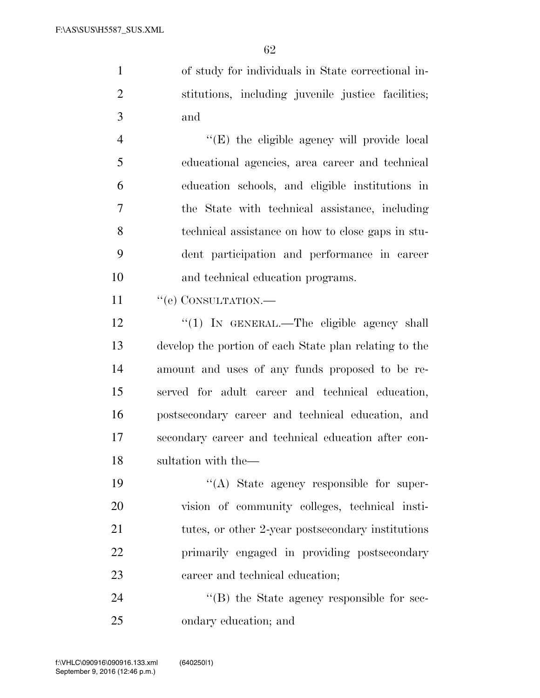of study for individuals in State correctional in- stitutions, including juvenile justice facilities; and

 ''(E) the eligible agency will provide local educational agencies, area career and technical education schools, and eligible institutions in the State with technical assistance, including technical assistance on how to close gaps in stu- dent participation and performance in career and technical education programs.

11 " (e) CONSULTATION.—

12 "(1) In GENERAL.—The eligible agency shall develop the portion of each State plan relating to the amount and uses of any funds proposed to be re- served for adult career and technical education, postsecondary career and technical education, and secondary career and technical education after con-sultation with the—

 $((A)$  State agency responsible for super- vision of community colleges, technical insti-21 tutes, or other 2-year postsecondary institutions primarily engaged in providing postsecondary career and technical education;

24  $\langle (B)$  the State agency responsible for sec-ondary education; and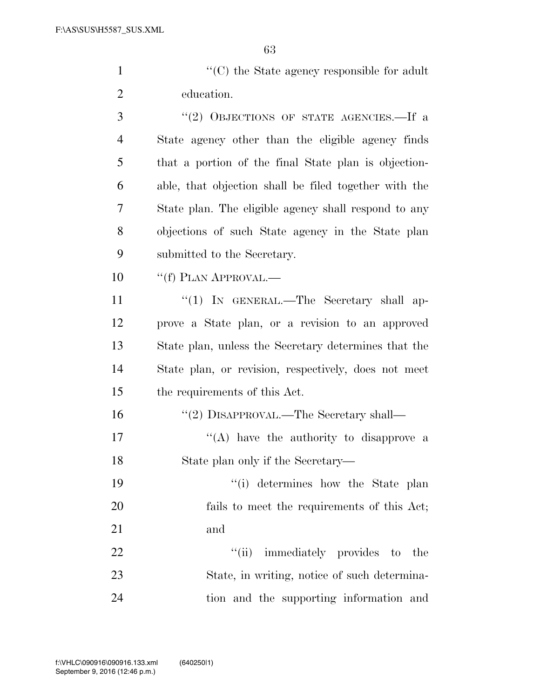1  $\cdot$  (C) the State agency responsible for adult education.

3 "(2) OBJECTIONS OF STATE AGENCIES.—If a State agency other than the eligible agency finds that a portion of the final State plan is objection- able, that objection shall be filed together with the State plan. The eligible agency shall respond to any objections of such State agency in the State plan submitted to the Secretary.

10 ""(f) PLAN APPROVAL.—

11 "(1) IN GENERAL.—The Secretary shall ap- prove a State plan, or a revision to an approved State plan, unless the Secretary determines that the State plan, or revision, respectively, does not meet the requirements of this Act.

- 16  $\frac{1}{2}$  DISAPPROVAL.—The Secretary shall—
- 17 ''(A) have the authority to disapprove a State plan only if the Secretary—

19 ''(i) determines how the State plan fails to meet the requirements of this Act; and

22  $\frac{1}{1}$  immediately provides to the State, in writing, notice of such determina-tion and the supporting information and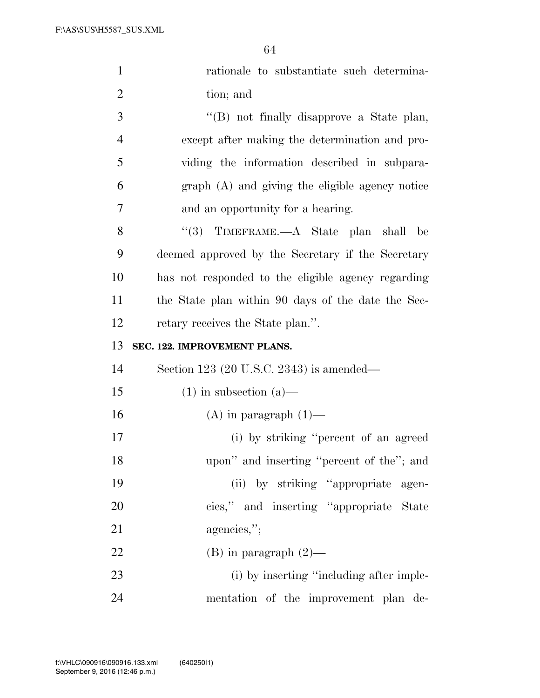| $\mathbf{1}$   | rationale to substantiate such determina-           |
|----------------|-----------------------------------------------------|
| $\overline{2}$ | tion; and                                           |
| 3              | "(B) not finally disapprove a State plan,           |
| $\overline{4}$ | except after making the determination and pro-      |
| 5              | viding the information described in subpara-        |
| 6              | graph (A) and giving the eligible agency notice     |
| 7              | and an opportunity for a hearing.                   |
| 8              | "(3) TIMEFRAME.—A State plan shall<br>be            |
| 9              | deemed approved by the Secretary if the Secretary   |
| 10             | has not responded to the eligible agency regarding  |
| 11             | the State plan within 90 days of the date the Sec-  |
| 12             | retary receives the State plan.".                   |
|                |                                                     |
| 13             | SEC. 122. IMPROVEMENT PLANS.                        |
| 14             | Section 123 $(20 \text{ U.S.C. } 2343)$ is amended— |
| 15             | $(1)$ in subsection $(a)$ —                         |
| 16             | $(A)$ in paragraph $(1)$ —                          |
| 17             | (i) by striking "percent of an agreed               |
| 18             | upon" and inserting "percent of the"; and           |
| 19             | (ii) by striking "appropriate agen-                 |
| 20             | cies," and inserting "appropriate State             |
| 21             | agencies,";                                         |
| 22             | (B) in paragraph $(2)$ —                            |
| 23             | (i) by inserting "including after imple-            |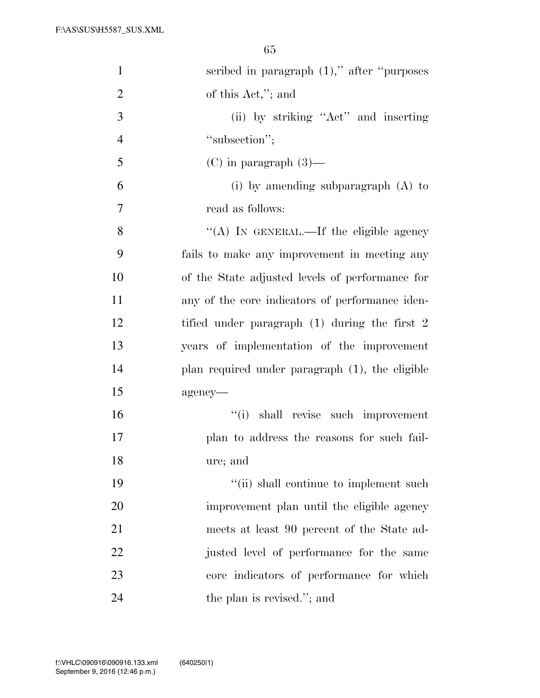| $\mathbf{1}$   | scribed in paragraph $(1)$ ," after "purposes   |
|----------------|-------------------------------------------------|
| $\overline{2}$ | of this Act,"; and                              |
| 3              | (ii) by striking "Act" and inserting            |
| $\overline{4}$ | "subsection";                                   |
| 5              | $(C)$ in paragraph $(3)$ —                      |
| 6              | (i) by amending subparagraph $(A)$ to           |
| $\overline{7}$ | read as follows:                                |
| 8              | "(A) IN GENERAL.—If the eligible agency         |
| 9              | fails to make any improvement in meeting any    |
| 10             | of the State adjusted levels of performance for |
| 11             | any of the core indicators of performance iden- |
| 12             | tified under paragraph $(1)$ during the first 2 |
| 13             | years of implementation of the improvement      |
| 14             | plan required under paragraph (1), the eligible |
| 15             | agency-                                         |
| 16             | "(i) shall revise such improvement              |
| 17             | plan to address the reasons for such fail-      |
| 18             | ure; and                                        |
| 19             | "(ii) shall continue to implement such          |
| 20             | improvement plan until the eligible agency      |
| 21             | meets at least 90 percent of the State ad-      |
| 22             | justed level of performance for the same        |
| 23             | core indicators of performance for which        |
| 24             | the plan is revised."; and                      |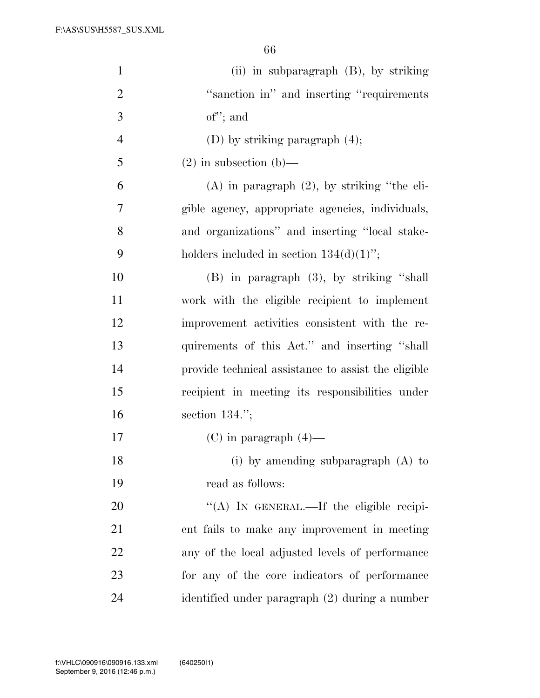| $\mathbf{1}$   | (ii) in subparagraph (B), by striking               |
|----------------|-----------------------------------------------------|
| $\overline{2}$ | "sanction in" and inserting "requirements"          |
| 3              | $of$ "; and                                         |
| $\overline{4}$ | (D) by striking paragraph (4);                      |
| 5              | $(2)$ in subsection $(b)$ —                         |
| 6              | $(A)$ in paragraph $(2)$ , by striking "the eli-    |
| $\tau$         | gible agency, appropriate agencies, individuals,    |
| 8              | and organizations" and inserting "local stake-      |
| 9              | holders included in section $134(d)(1)$ ";          |
| 10             | $(B)$ in paragraph $(3)$ , by striking "shall"      |
| 11             | work with the eligible recipient to implement       |
| 12             | improvement activities consistent with the re-      |
| 13             | quirements of this Act." and inserting "shall       |
| 14             | provide technical assistance to assist the eligible |
| 15             | recipient in meeting its responsibilities under     |
| 16             | section $134$ .";                                   |
| 17             | $(C)$ in paragraph $(4)$ —                          |
| 18             | (i) by amending subparagraph $(A)$ to               |
| 19             | read as follows:                                    |
| 20             | "(A) IN GENERAL.—If the eligible recipi-            |
| 21             | ent fails to make any improvement in meeting        |
| 22             | any of the local adjusted levels of performance     |
| 23             | for any of the core indicators of performance       |
| 24             | identified under paragraph (2) during a number      |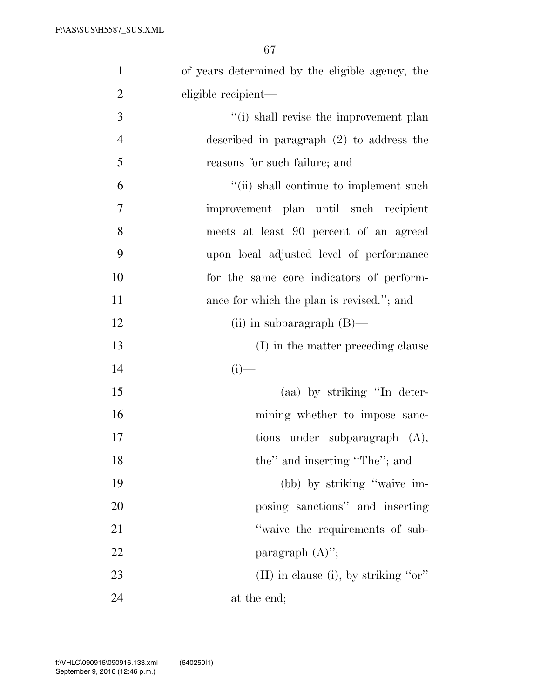| $\mathbf{1}$   | of years determined by the eligible agency, the |
|----------------|-------------------------------------------------|
| $\overline{2}$ | eligible recipient—                             |
| 3              | "(i) shall revise the improvement plan          |
| $\overline{4}$ | described in paragraph $(2)$ to address the     |
| 5              | reasons for such failure; and                   |
| 6              | "(ii) shall continue to implement such          |
| $\overline{7}$ | improvement plan until such recipient           |
| 8              | meets at least 90 percent of an agreed          |
| 9              | upon local adjusted level of performance        |
| 10             | for the same core indicators of perform-        |
| 11             | ance for which the plan is revised."; and       |
| 12             | (ii) in subparagraph $(B)$ —                    |
| 13             | (I) in the matter preceding clause              |
| 14             | $(i)$ —                                         |
| 15             | (aa) by striking "In deter-                     |
| 16             | mining whether to impose sanc-                  |
| 17             | tions under subparagraph $(A)$ ,                |
| 18             | the" and inserting "The"; and                   |
| 19             | (bb) by striking "waive im-                     |
| 20             | posing sanctions" and inserting                 |
| 21             | "waive the requirements of sub-                 |
| 22             | paragraph $(A)$ ";                              |
| 23             | $(II)$ in clause (i), by striking "or"          |
| 24             | at the end;                                     |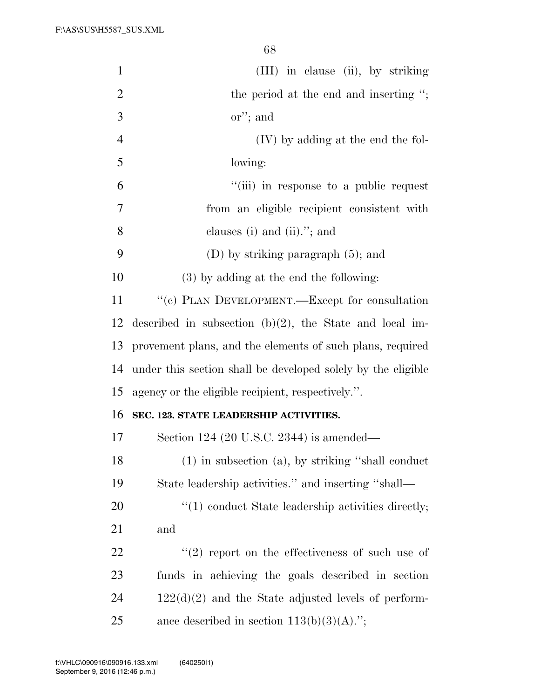| $\mathbf{1}$   | (III) in clause (ii), by striking                            |
|----------------|--------------------------------------------------------------|
| $\overline{2}$ | the period at the end and inserting ";                       |
| 3              | $\alpha$ <sup>"</sup> ; and                                  |
| $\overline{4}$ | (IV) by adding at the end the fol-                           |
| 5              | lowing:                                                      |
| 6              | "(iii) in response to a public request                       |
| $\tau$         | from an eligible recipient consistent with                   |
| 8              | clauses (i) and (ii)."; and                                  |
| 9              | (D) by striking paragraph $(5)$ ; and                        |
| 10             | $(3)$ by adding at the end the following:                    |
| 11             | "(c) PLAN DEVELOPMENT.—Except for consultation               |
| 12             | described in subsection $(b)(2)$ , the State and local im-   |
| 13             | provement plans, and the elements of such plans, required    |
| 14             | under this section shall be developed solely by the eligible |
| 15             | agency or the eligible recipient, respectively.".            |
| 16             | SEC. 123. STATE LEADERSHIP ACTIVITIES.                       |
| 17             | Section 124 $(20 \text{ U.S.C. } 2344)$ is amended—          |
| 18             | $(1)$ in subsection $(a)$ , by striking "shall conduct"      |
| 19             | State leadership activities." and inserting "shall—          |
| 20             | $\lq(1)$ conduct State leadership activities directly;       |
| 21             | and                                                          |
| 22             | $(2)$ report on the effectiveness of such use of             |
| 23             | funds in achieving the goals described in section            |
| 24             | $122(d)(2)$ and the State adjusted levels of perform-        |
| 25             | ance described in section $113(b)(3)(A)$ .";                 |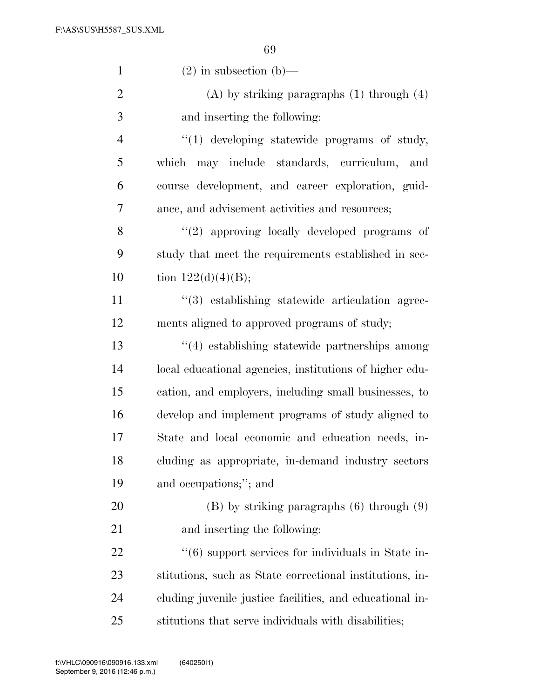| $\mathbf{1}$   | $(2)$ in subsection $(b)$ —                              |
|----------------|----------------------------------------------------------|
| $\overline{2}$ | $(A)$ by striking paragraphs $(1)$ through $(4)$         |
| 3              | and inserting the following:                             |
| $\overline{4}$ | $\lq(1)$ developing statewide programs of study,         |
| 5              | which may include standards, curriculum, and             |
| 6              | course development, and career exploration, guid-        |
| 7              | ance, and advisement activities and resources;           |
| 8              | "(2) approving locally developed programs of             |
| 9              | study that meet the requirements established in sec-     |
| 10             | tion $122(d)(4)(B);$                                     |
| 11             | $(3)$ establishing statewide articulation agree-         |
| 12             | ments aligned to approved programs of study;             |
| 13             | $\cdot$ (4) establishing statewide partnerships among    |
| 14             | local educational agencies, institutions of higher edu-  |
| 15             | cation, and employers, including small businesses, to    |
| 16             | develop and implement programs of study aligned to       |
| 17             | State and local economic and education needs, in-        |
| 18             | cluding as appropriate, in-demand industry sectors       |
| 19             | and occupations;"; and                                   |
| 20             | $(B)$ by striking paragraphs $(6)$ through $(9)$         |
| 21             | and inserting the following:                             |
| 22             | $\lq(6)$ support services for individuals in State in-   |
| 23             | stitutions, such as State correctional institutions, in- |
| 24             | cluding juvenile justice facilities, and educational in- |
| 25             | stitutions that serve individuals with disabilities;     |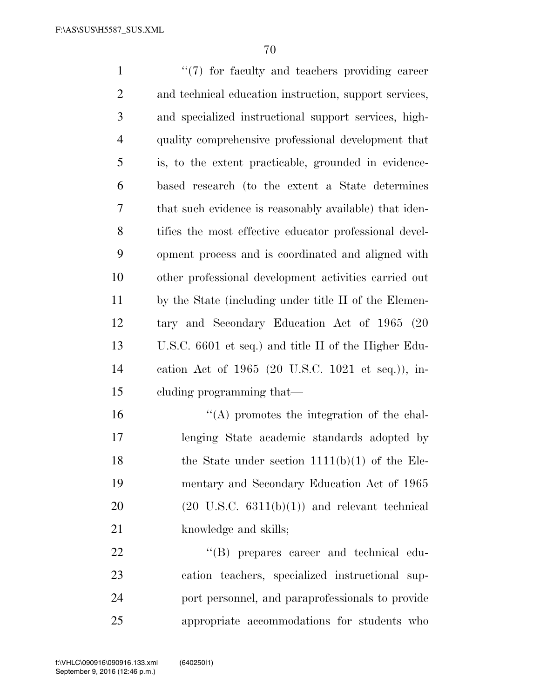1 ''(7) for faculty and teachers providing career and technical education instruction, support services, and specialized instructional support services, high- quality comprehensive professional development that is, to the extent practicable, grounded in evidence- based research (to the extent a State determines that such evidence is reasonably available) that iden- tifies the most effective educator professional devel- opment process and is coordinated and aligned with other professional development activities carried out by the State (including under title II of the Elemen- tary and Secondary Education Act of 1965 (20 U.S.C. 6601 et seq.) and title II of the Higher Edu- cation Act of 1965 (20 U.S.C. 1021 et seq.)), in- cluding programming that— ''(A) promotes the integration of the chal- lenging State academic standards adopted by 18 the State under section 1111(b)(1) of the Ele- mentary and Secondary Education Act of 1965  $(20 \text{ U.S.C. } 6311(b)(1))$  and relevant technical 21 knowledge and skills;  $\text{``(B)}$  prepares career and technical edu-

 cation teachers, specialized instructional sup- port personnel, and paraprofessionals to provide appropriate accommodations for students who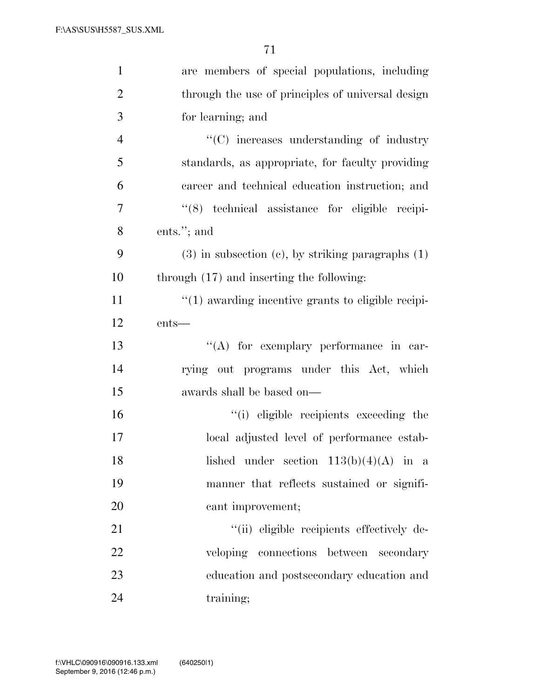| $\mathbf{1}$   | are members of special populations, including            |
|----------------|----------------------------------------------------------|
| $\overline{2}$ | through the use of principles of universal design        |
| 3              | for learning; and                                        |
| $\overline{4}$ | "(C) increases understanding of industry                 |
| 5              | standards, as appropriate, for faculty providing         |
| 6              | career and technical education instruction; and          |
| 7              | "(8) technical assistance for eligible recipi-           |
| 8              | ents."; and                                              |
| 9              | $(3)$ in subsection $(c)$ , by striking paragraphs $(1)$ |
| 10             | through $(17)$ and inserting the following:              |
| 11             | $"(1)$ awarding incentive grants to eligible recipi-     |
| 12             | $ents$ —                                                 |
| 13             | "(A) for exemplary performance in car-                   |
| 14             | rying out programs under this Act, which                 |
| 15             | awards shall be based on—                                |
| 16             | "(i) eligible recipients exceeding the                   |
| 17             | local adjusted level of performance estab-               |
| 18             | lished under section $113(b)(4)(A)$ in a                 |
| 19             | manner that reflects sustained or signifi-               |
| 20             | cant improvement;                                        |
| 21             | "(ii) eligible recipients effectively de-                |
| 22             | veloping connections between<br>secondary                |
| 23             | education and postsecondary education and                |
| 24             | training;                                                |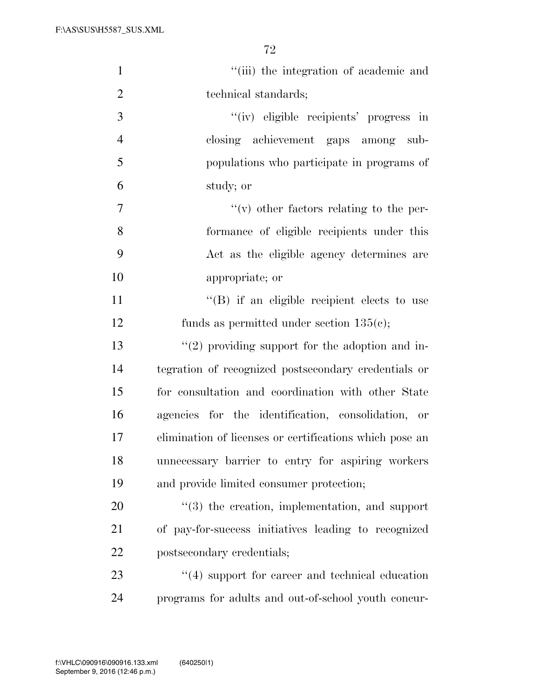| $\mathbf{1}$   | "(iii) the integration of academic and                  |
|----------------|---------------------------------------------------------|
| $\overline{2}$ | technical standards;                                    |
| 3              | "(iv) eligible recipients' progress in                  |
| $\overline{4}$ | closing achievement gaps among sub-                     |
| 5              | populations who participate in programs of              |
| 6              | study; or                                               |
| 7              | $f'(v)$ other factors relating to the per-              |
| 8              | formance of eligible recipients under this              |
| 9              | Act as the eligible agency determines are               |
| 10             | appropriate; or                                         |
| 11             | "(B) if an eligible recipient elects to use             |
| 12             | funds as permitted under section $135(e)$ ;             |
| 13             | $"(2)$ providing support for the adoption and in-       |
| 14             | tegration of recognized postsecondary credentials or    |
| 15             | for consultation and coordination with other State      |
| 16             | agencies for the identification, consolidation, or      |
| 17             | elimination of licenses or certifications which pose an |
| 18             | unnecessary barrier to entry for aspiring workers       |
| 19             | and provide limited consumer protection;                |
| 20             | $\lq(3)$ the creation, implementation, and support      |
| 21             | of pay-for-success initiatives leading to recognized    |
| 22             | postsecondary credentials;                              |
| 23             | $\cdot$ (4) support for career and technical education  |
| 24             | programs for adults and out-of-school youth concur-     |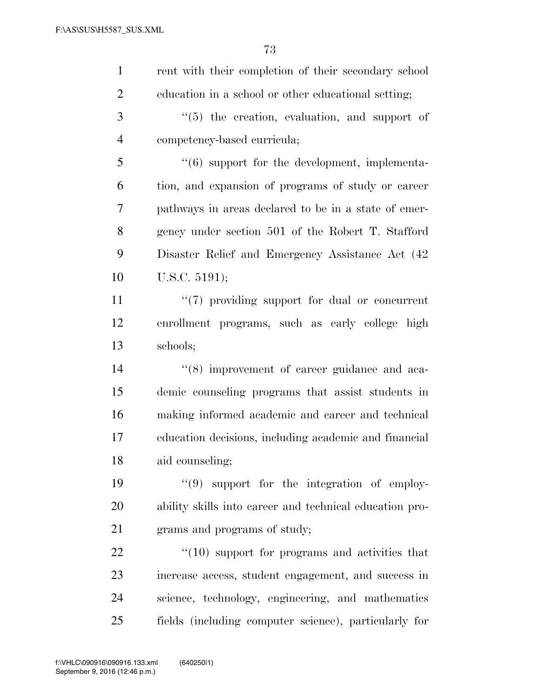| $\mathbf{1}$   | rent with their completion of their secondary school          |
|----------------|---------------------------------------------------------------|
| $\overline{2}$ | education in a school or other educational setting;           |
| 3              | $\lq(5)$ the creation, evaluation, and support of             |
| $\overline{4}$ | competency-based curricula;                                   |
| 5              | $\cdot\cdot\cdot(6)$ support for the development, implementa- |
| 6              | tion, and expansion of programs of study or career            |
| 7              | pathways in areas declared to be in a state of emer-          |
| 8              | gency under section 501 of the Robert T. Stafford             |
| 9              | Disaster Relief and Emergency Assistance Act (42)             |
| 10             | U.S.C. 5191);                                                 |
| 11             | $\lq(7)$ providing support for dual or concurrent             |
| 12             | enrollment programs, such as early college high               |
| 13             | schools;                                                      |
| 14             | "(8) improvement of career guidance and aca-                  |
| 15             | demic counseling programs that assist students in             |
| 16             | making informed academic and career and technical             |
| 17             | education decisions, including academic and financial         |
| 18             | aid counseling;                                               |
| 19             | $\lq(9)$ support for the integration of employ-               |
| 20             | ability skills into career and technical education pro-       |
| 21             | grams and programs of study;                                  |
| 22             | $\lq(10)$ support for programs and activities that            |
| 23             | increase access, student engagement, and success in           |
| 24             | science, technology, engineering, and mathematics             |
| 25             | fields (including computer science), particularly for         |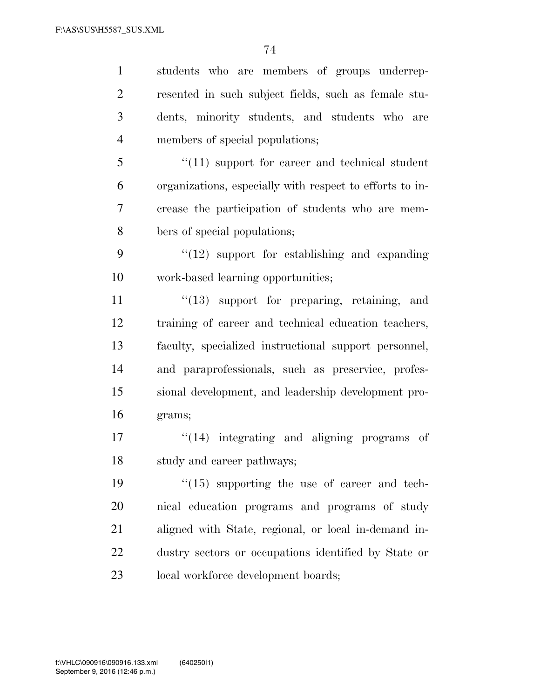students who are members of groups underrep- resented in such subject fields, such as female stu- dents, minority students, and students who are members of special populations; ''(11) support for career and technical student organizations, especially with respect to efforts to in- crease the participation of students who are mem- bers of special populations;  $\frac{4}{12}$  support for establishing and expanding work-based learning opportunities; 11 ''(13) support for preparing, retaining, and training of career and technical education teachers, faculty, specialized instructional support personnel, and paraprofessionals, such as preservice, profes- sional development, and leadership development pro- grams;  $\frac{1}{2}$   $(14)$  integrating and aligning programs of study and career pathways;  $\frac{1}{2}$   $\frac{1}{15}$  supporting the use of career and tech- nical education programs and programs of study aligned with State, regional, or local in-demand in-

23 local workforce development boards;

dustry sectors or occupations identified by State or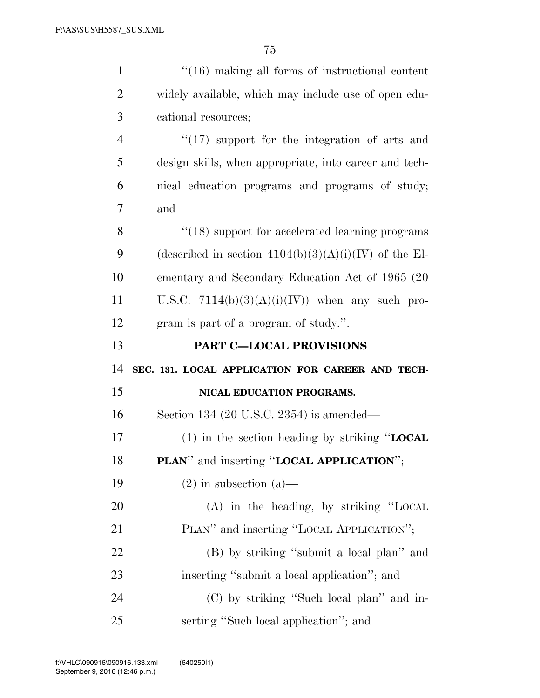| $\mathbf{1}$   | $\cdot$ (16) making all forms of instructional content  |
|----------------|---------------------------------------------------------|
| $\overline{2}$ | widely available, which may include use of open edu-    |
| 3              | cational resources;                                     |
| 4              | $\lq(17)$ support for the integration of arts and       |
| 5              | design skills, when appropriate, into career and tech-  |
| 6              | nical education programs and programs of study;         |
| 7              | and                                                     |
| 8              | $``(18)$ support for accelerated learning programs      |
| 9              | (described in section $4104(b)(3)(A)(i)(IV)$ of the El- |
| 10             | ementary and Secondary Education Act of 1965 (20        |
| 11             | U.S.C. $7114(b)(3)(A)(i)(IV)$ when any such pro-        |
| 12             | gram is part of a program of study.".                   |
|                |                                                         |
| 13             | <b>PART C-LOCAL PROVISIONS</b>                          |
| 14             | SEC. 131. LOCAL APPLICATION FOR CAREER AND TECH-        |
| 15             | NICAL EDUCATION PROGRAMS.                               |
| 16             | Section 134 (20 U.S.C. 2354) is amended—                |
| 17             | $(1)$ in the section heading by striking " <b>LOCAL</b> |
| 18             | PLAN" and inserting "LOCAL APPLICATION";                |
| 19             | $(2)$ in subsection $(a)$ —                             |
| 20             | $(A)$ in the heading, by striking "LOCAL                |
| 21             | PLAN" and inserting "LOCAL APPLICATION";                |
| 22             | (B) by striking "submit a local plan" and               |
| 23             | inserting "submit a local application"; and             |
| 24             | (C) by striking "Such local plan" and in-               |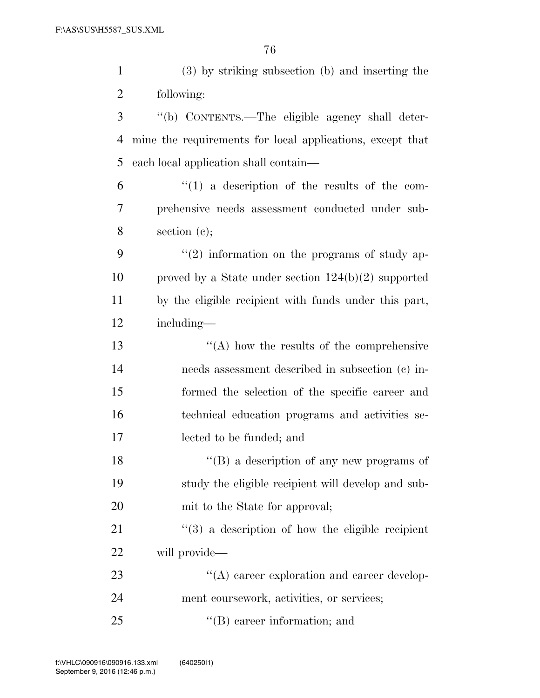| $\mathbf{1}$   | (3) by striking subsection (b) and inserting the          |
|----------------|-----------------------------------------------------------|
| $\overline{2}$ | following:                                                |
| 3              | "(b) CONTENTS.—The eligible agency shall deter-           |
| 4              | mine the requirements for local applications, except that |
| 5              | each local application shall contain—                     |
| 6              | $\lq(1)$ a description of the results of the com-         |
| 7              | prehensive needs assessment conducted under sub-          |
| 8              | section $(e)$ ;                                           |
| 9              | $f'(2)$ information on the programs of study ap-          |
| 10             | proved by a State under section $124(b)(2)$ supported     |
| 11             | by the eligible recipient with funds under this part,     |
| 12             | including—                                                |
| 13             | $\lq\lq$ how the results of the comprehensive             |
| 14             | needs assessment described in subsection (c) in-          |
| 15             | formed the selection of the specific career and           |
| 16             | technical education programs and activities se-           |
| 17             | lected to be funded; and                                  |
| 18             | "(B) a description of any new programs of                 |
| 19             | study the eligible recipient will develop and sub-        |
| 20             | mit to the State for approval;                            |
| 21             | $(3)$ a description of how the eligible recipient         |
| 22             | will provide—                                             |
| 23             | $\lq\lq$ career exploration and career develop-           |
| 24             | ment coursework, activities, or services;                 |
| 25             | $\lq\lq$ (B) career information; and                      |
|                |                                                           |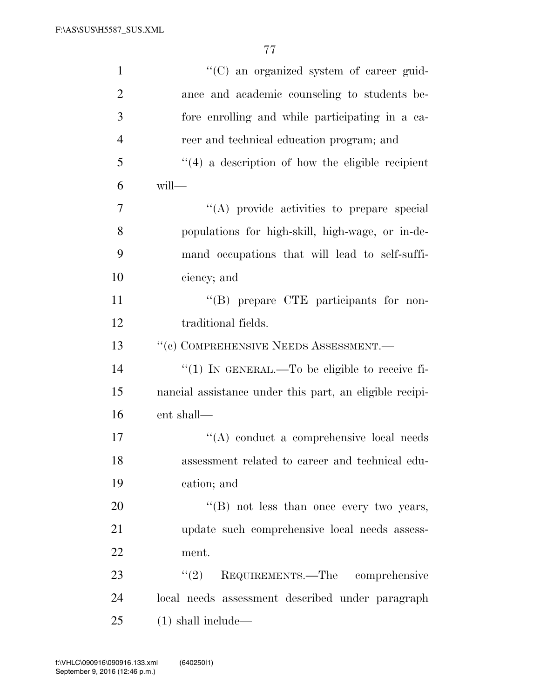| $\mathbf{1}$   | "(C) an organized system of career guid-                |
|----------------|---------------------------------------------------------|
| $\overline{2}$ | ance and academic counseling to students be-            |
| 3              | fore enrolling and while participating in a ca-         |
| $\overline{4}$ | reer and technical education program; and               |
| 5              | $\lq(4)$ a description of how the eligible recipient    |
| 6              | will-                                                   |
| 7              | "(A) provide activities to prepare special              |
| 8              | populations for high-skill, high-wage, or in-de-        |
| 9              | mand occupations that will lead to self-suffi-          |
| 10             | ciency; and                                             |
| 11             | "(B) prepare CTE participants for non-                  |
| 12             | traditional fields.                                     |
| 13             | "(c) COMPREHENSIVE NEEDS ASSESSMENT.-                   |
| 14             | "(1) IN GENERAL.—To be eligible to receive fi-          |
| 15             | nancial assistance under this part, an eligible recipi- |
| 16             | ent shall-                                              |
| 17             | "(A) conduct a comprehensive local needs                |
| 18             | assessment related to career and technical edu-         |
| 19             | cation; and                                             |
| 20             | $\lq\lq (B)$ not less than once every two years,        |
| 21             | update such comprehensive local needs assess-           |
| 22             | ment.                                                   |
| 23             | (2)<br>REQUIREMENTS.—The comprehensive                  |
| 24             | local needs assessment described under paragraph        |
| 25             | $(1)$ shall include—                                    |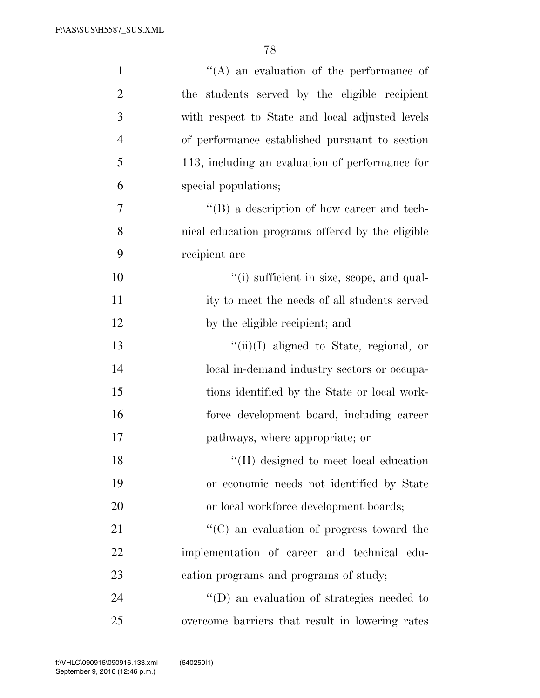| $\mathbf{1}$   | $\lq\lq$ an evaluation of the performance of       |
|----------------|----------------------------------------------------|
| $\overline{2}$ | the students served by the eligible recipient      |
| 3              | with respect to State and local adjusted levels    |
| $\overline{4}$ | of performance established pursuant to section     |
| 5              | 113, including an evaluation of performance for    |
| 6              | special populations;                               |
| 7              | $\lq\lq (B)$ a description of how career and tech- |
| 8              | nical education programs offered by the eligible   |
| 9              | recipient are-                                     |
| 10             | "(i) sufficient in size, scope, and qual-          |
| 11             | ity to meet the needs of all students served       |
| 12             | by the eligible recipient; and                     |
| 13             | $``(ii)(I)$ aligned to State, regional, or         |
| 14             | local in-demand industry sectors or occupa-        |
| 15             | tions identified by the State or local work-       |
| 16             | force development board, including career          |
| 17             | pathways, where appropriate; or                    |
| 18             | "(II) designed to meet local education             |
| 19             | or economic needs not identified by State          |
| 20             | or local workforce development boards;             |
| 21             | $\lq\lq$ (C) an evaluation of progress toward the  |
| 22             | implementation of career and technical edu-        |
| 23             | cation programs and programs of study;             |
| 24             | "(D) an evaluation of strategies needed to         |
| 25             | overcome barriers that result in lowering rates    |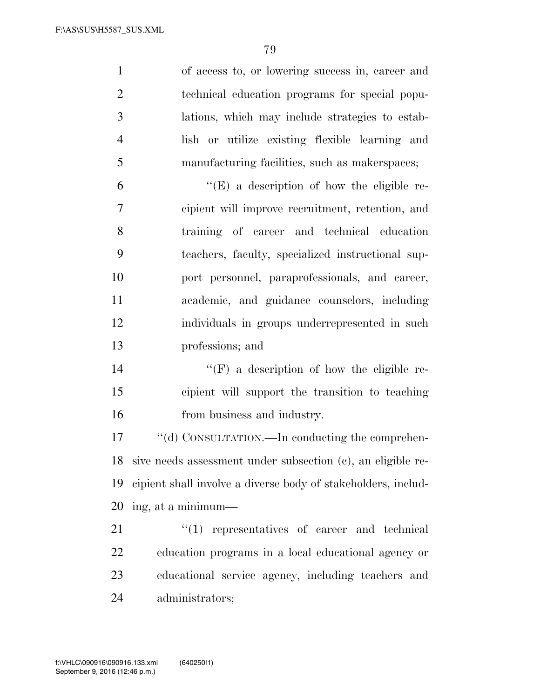| 1              | of access to, or lowering success in, career and  |
|----------------|---------------------------------------------------|
| 2              | technical education programs for special popu-    |
| 3              | lations, which may include strategies to estab-   |
| $\overline{4}$ | lish or utilize existing flexible learning and    |
| 5              | manufacturing facilities, such as makerspaces;    |
| 6              | $\lq\lq(E)$ a description of how the eligible re- |
| 7              | eipient will improve recruitment, retention, and  |
| 8              | training of career and technical education        |
| 9              | teachers, faculty, specialized instructional sup- |
| 10             | port personnel, paraprofessionals, and career,    |
| 11             | academic, and guidance counselors, including      |

 individuals in groups underrepresented in such professions; and

14  $"({\rm F})$  a description of how the eligible re- cipient will support the transition to teaching from business and industry.

 ''(d) CONSULTATION.—In conducting the comprehen- sive needs assessment under subsection (c), an eligible re- cipient shall involve a diverse body of stakeholders, includ-ing, at a minimum—

 $\frac{1}{2}$  (1) representatives of career and technical education programs in a local educational agency or educational service agency, including teachers and administrators;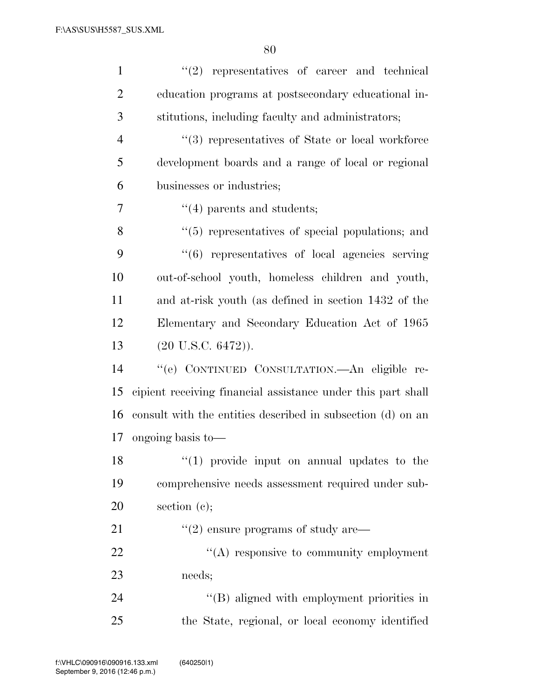| $\mathbf{1}$   | $(2)$ representatives of career and technical                |
|----------------|--------------------------------------------------------------|
| $\overline{2}$ | education programs at postsecondary educational in-          |
| 3              | stitutions, including faculty and administrators;            |
| $\overline{4}$ | "(3) representatives of State or local workforce             |
| 5              | development boards and a range of local or regional          |
| 6              | businesses or industries;                                    |
| 7              | $\cdot$ (4) parents and students;                            |
| 8              | $\cdot\cdot$ (5) representatives of special populations; and |
| 9              | "(6) representatives of local agencies serving               |
| 10             | out-of-school youth, homeless children and youth,            |
| 11             | and at-risk youth (as defined in section 1432 of the         |
| 12             | Elementary and Secondary Education Act of 1965               |
| 13             | $(20 \text{ U.S.C. } 6472)$ ).                               |
| 14             | "(e) CONTINUED CONSULTATION.—An eligible re-                 |
| 15             | cipient receiving financial assistance under this part shall |
| 16             | consult with the entities described in subsection (d) on an  |
| 17             | ongoing basis to-                                            |
| 18             | $(1)$ provide input on annual updates to the                 |
| 19             | comprehensive needs assessment required under sub-           |
| 20             | section $(e)$ ;                                              |
| 21             | $"(2)$ ensure programs of study are—                         |
| 22             | "(A) responsive to community employment                      |
| 23             | needs;                                                       |
| 24             | "(B) aligned with employment priorities in                   |
| 25             | the State, regional, or local economy identified             |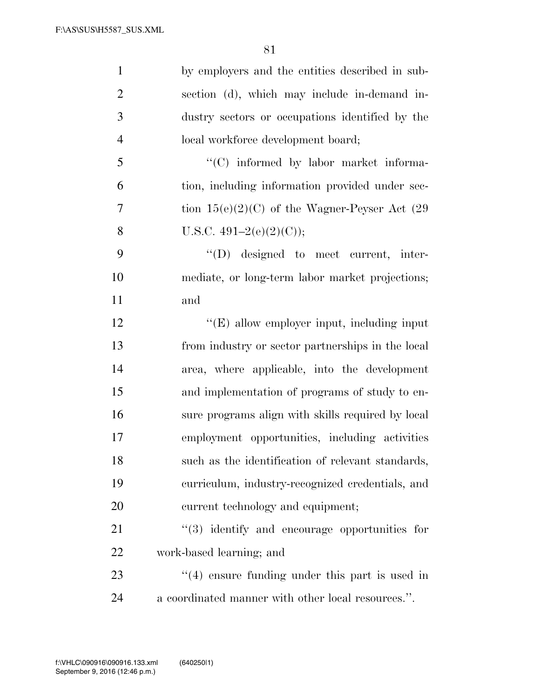| $\mathbf{1}$   | by employers and the entities described in sub-    |
|----------------|----------------------------------------------------|
| $\overline{2}$ | section (d), which may include in-demand in-       |
| 3              | dustry sectors or occupations identified by the    |
| $\overline{4}$ | local workforce development board;                 |
| 5              | "(C) informed by labor market informa-             |
| 6              | tion, including information provided under sec-    |
| 7              | tion $15(e)(2)(C)$ of the Wagner-Peyser Act (29    |
| 8              | U.S.C. $491-2(e)(2)(C)$ ;                          |
| 9              | $\lq\lq$ (D) designed to meet current, inter-      |
| 10             | mediate, or long-term labor market projections;    |
| 11             | and                                                |
| 12             | $\lq\lq(E)$ allow employer input, including input  |
| 13             | from industry or sector partnerships in the local  |
| 14             | area, where applicable, into the development       |
| 15             | and implementation of programs of study to en-     |
| 16             | sure programs align with skills required by local  |
| 17             | employment opportunities, including activities     |
| 18             | such as the identification of relevant standards,  |
| 19             | curriculum, industry-recognized credentials, and   |
| 20             | current technology and equipment;                  |
| 21             | $\lq(3)$ identify and encourage opportunities for  |
| 22             | work-based learning; and                           |
| 23             | $(4)$ ensure funding under this part is used in    |
| 24             | a coordinated manner with other local resources.". |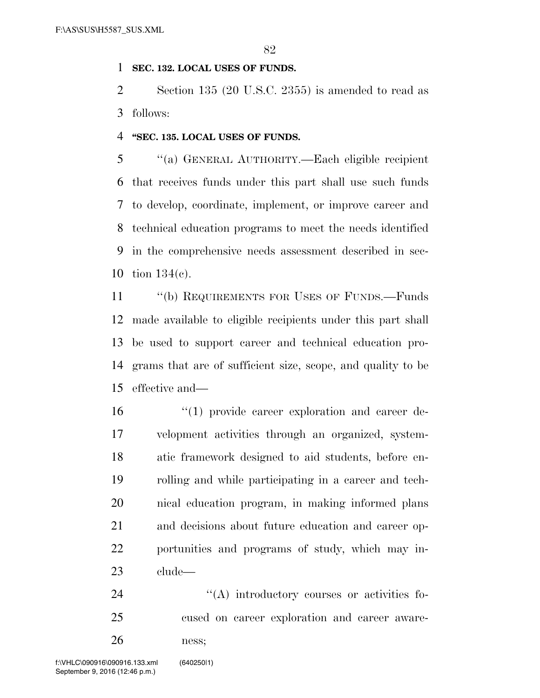## **SEC. 132. LOCAL USES OF FUNDS.**

 Section 135 (20 U.S.C. 2355) is amended to read as follows:

## **''SEC. 135. LOCAL USES OF FUNDS.**

 ''(a) GENERAL AUTHORITY.—Each eligible recipient that receives funds under this part shall use such funds to develop, coordinate, implement, or improve career and technical education programs to meet the needs identified in the comprehensive needs assessment described in sec-tion 134(c).

11 "(b) REQUIREMENTS FOR USES OF FUNDS.—Funds made available to eligible recipients under this part shall be used to support career and technical education pro- grams that are of sufficient size, scope, and quality to be effective and—

16 ''(1) provide career exploration and career de- velopment activities through an organized, system- atic framework designed to aid students, before en- rolling and while participating in a career and tech- nical education program, in making informed plans and decisions about future education and career op- portunities and programs of study, which may in-clude—

24  $\langle (A) \rangle$  introductory courses or activities fo-cused on career exploration and career aware-

ness;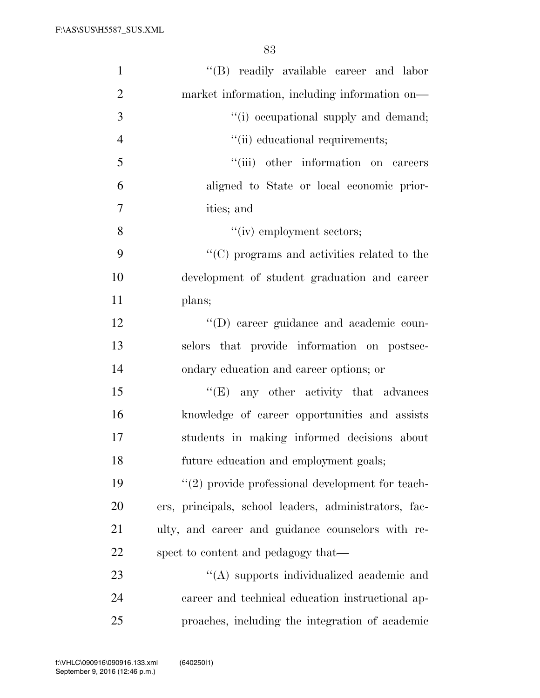| $\mathbf{1}$   | "(B) readily available career and labor                          |
|----------------|------------------------------------------------------------------|
| $\overline{2}$ | market information, including information on—                    |
| 3              | "(i) occupational supply and demand;                             |
| $\overline{4}$ | "(ii) educational requirements;                                  |
| 5              | "(iii) other information on careers                              |
| 6              | aligned to State or local economic prior-                        |
| 7              | ities; and                                                       |
| 8              | "(iv) employment sectors;                                        |
| 9              | $\lq\lq$ <sup>*</sup> (C) programs and activities related to the |
| 10             | development of student graduation and career                     |
| 11             | plans;                                                           |
| 12             | "(D) career guidance and academic coun-                          |
| 13             | selors that provide information on postsec-                      |
| 14             | ondary education and career options; or                          |
| 15             | "(E) any other activity that advances                            |
| 16             | knowledge of career opportunities and assists                    |
| 17             | students in making informed decisions about                      |
| 18             | future education and employment goals;                           |
| 19             | $\lq(2)$ provide professional development for teach-             |
| 20             | ers, principals, school leaders, administrators, fac-            |
| 21             | ulty, and career and guidance counselors with re-                |
| 22             | spect to content and pedagogy that—                              |
| 23             | "(A) supports individualized academic and                        |
| 24             | career and technical education instructional ap-                 |
| 25             | proaches, including the integration of academic                  |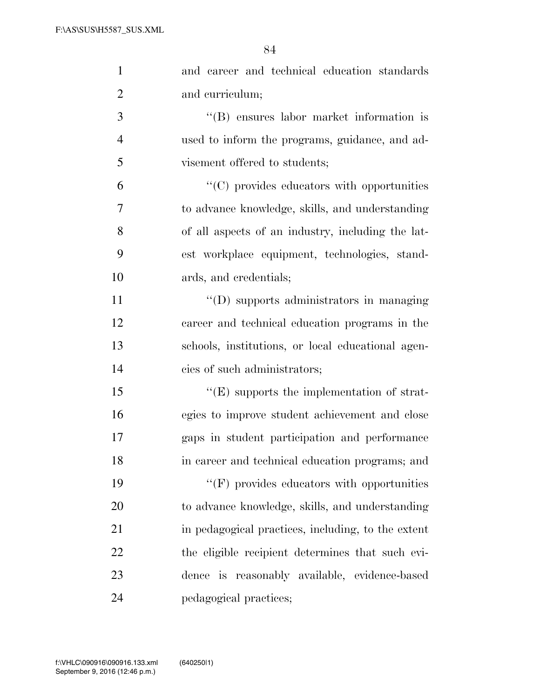| $\mathbf{1}$   | and career and technical education standards       |
|----------------|----------------------------------------------------|
| $\overline{2}$ | and curriculum;                                    |
| 3              | $\lq\lq$ ensures labor market information is       |
| $\overline{4}$ | used to inform the programs, guidance, and ad-     |
| 5              | visement offered to students;                      |
| 6              | "(C) provides educators with opportunities         |
| 7              | to advance knowledge, skills, and understanding    |
| 8              | of all aspects of an industry, including the lat-  |
| 9              | est workplace equipment, technologies, stand-      |
| 10             | ards, and credentials;                             |
| 11             | "(D) supports administrators in managing           |
| 12             | career and technical education programs in the     |
| 13             | schools, institutions, or local educational agen-  |
| 14             | cies of such administrators;                       |
| 15             | $\lq\lq(E)$ supports the implementation of strat-  |
| 16             | egies to improve student achievement and close     |
| 17             | gaps in student participation and performance      |
| 18             | in career and technical education programs; and    |
| 19             | $``$ (F) provides educators with opportunities     |
| 20             | to advance knowledge, skills, and understanding    |
| 21             | in pedagogical practices, including, to the extent |
| 22             | the eligible recipient determines that such evi-   |
| 23             | dence is reasonably available, evidence-based      |
| 24             | pedagogical practices;                             |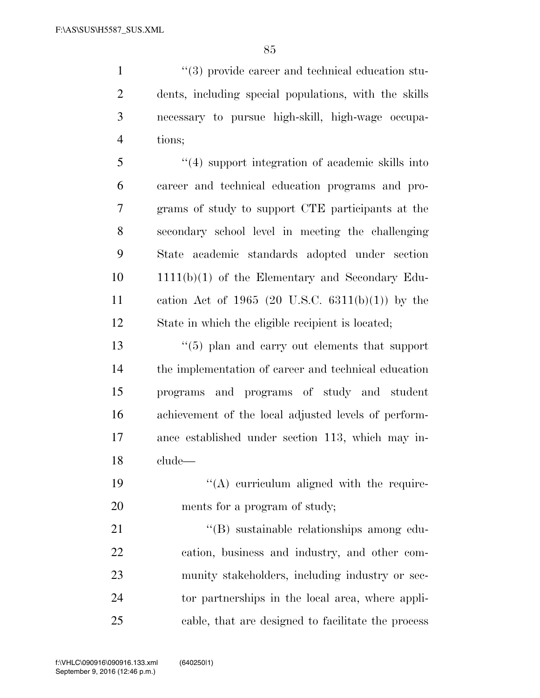$(3)$  provide career and technical education stu- dents, including special populations, with the skills necessary to pursue high-skill, high-wage occupa-tions;

 ''(4) support integration of academic skills into career and technical education programs and pro- grams of study to support CTE participants at the secondary school level in meeting the challenging State academic standards adopted under section 1111(b)(1) of the Elementary and Secondary Edu- cation Act of 1965 (20 U.S.C. 6311(b)(1)) by the State in which the eligible recipient is located;

 ''(5) plan and carry out elements that support the implementation of career and technical education programs and programs of study and student achievement of the local adjusted levels of perform- ance established under section 113, which may in-clude—

19  $\langle (A)$  curriculum aligned with the require-ments for a program of study;

21 ''(B) sustainable relationships among edu- cation, business and industry, and other com- munity stakeholders, including industry or sec- tor partnerships in the local area, where appli-cable, that are designed to facilitate the process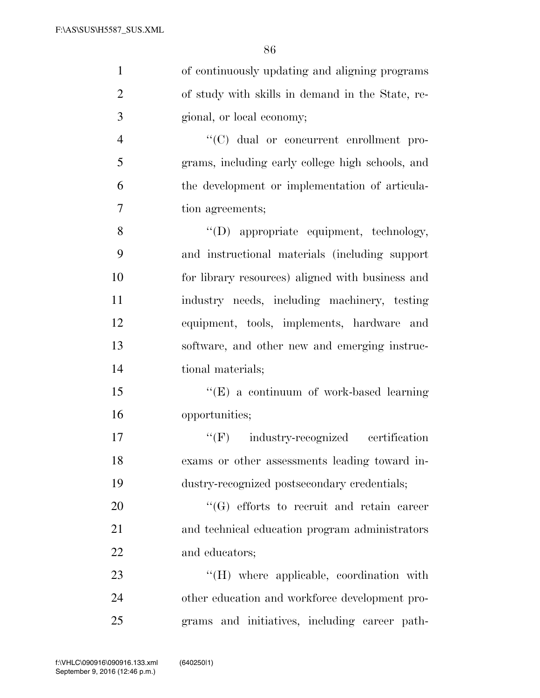| $\mathbf{1}$   | of continuously updating and aligning programs   |
|----------------|--------------------------------------------------|
| $\overline{2}$ | of study with skills in demand in the State, re- |
| 3              | gional, or local economy;                        |
| $\overline{4}$ | "(C) dual or concurrent enrollment pro-          |
| 5              | grams, including early college high schools, and |
| 6              | the development or implementation of articula-   |
| 7              | tion agreements;                                 |
| 8              | "(D) appropriate equipment, technology,          |
| 9              | and instructional materials (including support   |
| 10             | for library resources) aligned with business and |
| 11             | industry needs, including machinery, testing     |
| 12             | equipment, tools, implements, hardware and       |
| 13             | software, and other new and emerging instruc-    |
| 14             | tional materials;                                |
| 15             | "(E) a continuum of work-based learning          |
| 16             | opportunities;                                   |
| 17             | $``(F)$ industry-recognized certification        |
| 18             | exams or other assessments leading toward in-    |
| 19             | dustry-recognized postsecondary credentials;     |
| 20             | "(G) efforts to recruit and retain career        |
| 21             | and technical education program administrators   |
| 22             | and educators;                                   |
| 23             | "(H) where applicable, coordination with         |
| 24             | other education and workforce development pro-   |
| 25             | grams and initiatives, including career path-    |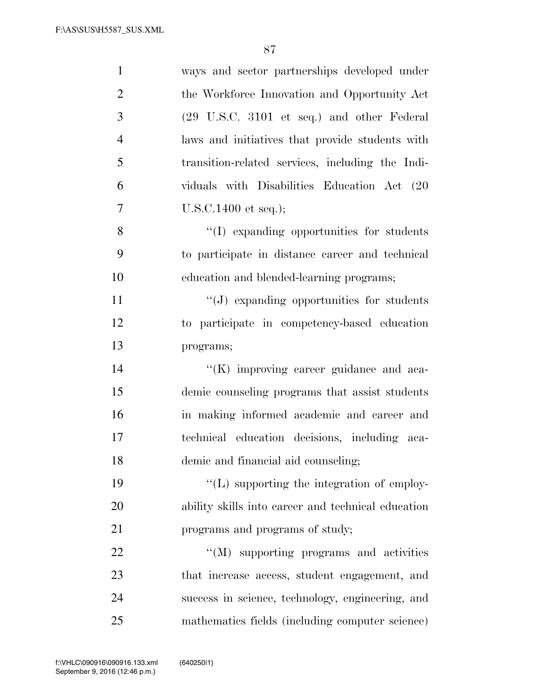| $\mathbf{1}$   | ways and sector partnerships developed under       |
|----------------|----------------------------------------------------|
| $\overline{2}$ | the Workforce Innovation and Opportunity Act       |
| 3              | (29 U.S.C. 3101 et seq.) and other Federal         |
| $\overline{4}$ | laws and initiatives that provide students with    |
| 5              | transition-related services, including the Indi-   |
| 6              | viduals with Disabilities Education Act (20        |
| $\overline{7}$ | $U.S.C.1400$ et seq.);                             |
| 8              | "(I) expanding opportunities for students          |
| 9              | to participate in distance career and technical    |
| 10             | education and blended-learning programs;           |
| 11             | $\lq\lq(J)$ expanding opportunities for students   |
| 12             | to participate in competency-based education       |
| 13             | programs;                                          |
| 14             | "(K) improving career guidance and aca-            |
| 15             | demic counseling programs that assist students     |
| 16             | in making informed academic and career and         |
| 17             | technical education decisions, including aca-      |
| 18             | demic and financial aid counseling;                |
| 19             | $\lq\lq$ . Supporting the integration of employ-   |
| 20             | ability skills into career and technical education |
| 21             | programs and programs of study;                    |
| 22             | "(M) supporting programs and activities            |
| 23             | that increase access, student engagement, and      |
| 24             | success in science, technology, engineering, and   |
| 25             | mathematics fields (including computer science)    |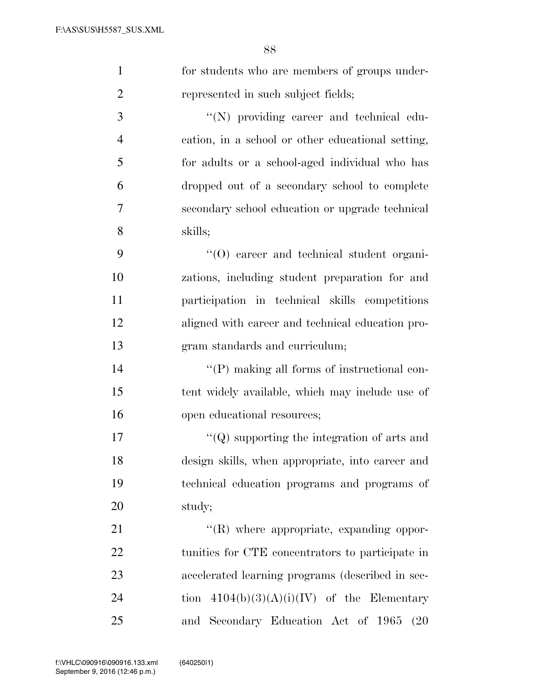| $\mathbf{1}$   | for students who are members of groups under-       |
|----------------|-----------------------------------------------------|
| $\overline{2}$ | represented in such subject fields;                 |
| 3              | "(N) providing career and technical edu-            |
| $\overline{4}$ | cation, in a school or other educational setting,   |
| 5              | for adults or a school-aged individual who has      |
| 6              | dropped out of a secondary school to complete       |
| 7              | secondary school education or upgrade technical     |
| 8              | skills;                                             |
| 9              | "(O) career and technical student organi-           |
| 10             | zations, including student preparation for and      |
| 11             | participation in technical skills competitions      |
| 12             | aligned with career and technical education pro-    |
| 13             | gram standards and curriculum;                      |
| 14             | $\lq\lq (P)$ making all forms of instructional con- |
| 15             | tent widely available, which may include use of     |
| 16             | open educational resources;                         |
| 17             | $\lq\lq$ supporting the integration of arts and     |
| 18             | design skills, when appropriate, into career and    |
| 19             | technical education programs and programs of        |
| 20             | study;                                              |
| 21             | $\lq\lq$ (R) where appropriate, expanding oppor-    |
| 22             | tunities for CTE concentrators to participate in    |
| 23             | accelerated learning programs (described in sec-    |
| 24             | tion $4104(b)(3)(A)(i)(IV)$ of the Elementary       |
| 25             | and Secondary Education Act of 1965<br>(20)         |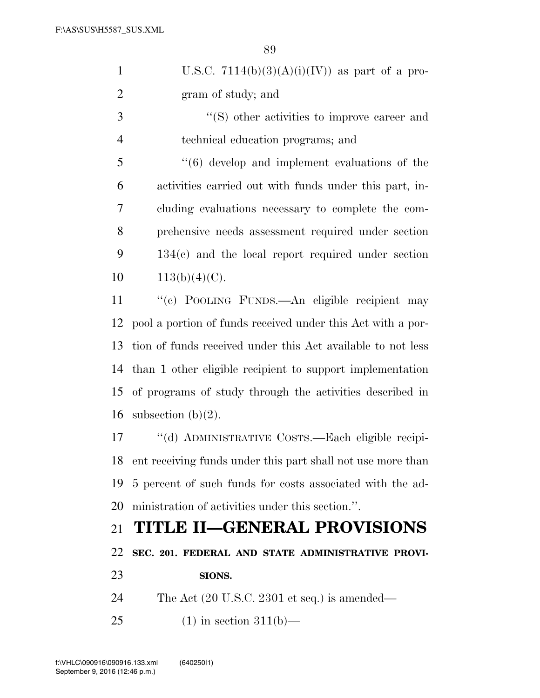| $\mathbf{1}$   | U.S.C. $7114(b)(3)(A)(i)(IV)$ as part of a pro-                 |
|----------------|-----------------------------------------------------------------|
| $\overline{2}$ | gram of study; and                                              |
| 3              | $\cdot$ (S) other activities to improve career and              |
| $\overline{4}$ | technical education programs; and                               |
| 5              | $\cdot\cdot\cdot$ (6) develop and implement evaluations of the  |
| 6              | activities carried out with funds under this part, in-          |
| 7              | cluding evaluations necessary to complete the com-              |
| 8              | prehensive needs assessment required under section              |
| 9              | $134(c)$ and the local report required under section            |
| 10             | $113(b)(4)(C)$ .                                                |
| 11             | "(c) POOLING FUNDS.—An eligible recipient may                   |
| 12             | pool a portion of funds received under this Act with a por-     |
| 13             | tion of funds received under this Act available to not less     |
| 14             | than 1 other eligible recipient to support implementation       |
| 15             | of programs of study through the activities described in        |
| 16             | subsection $(b)(2)$ .                                           |
| 17             | "(d) ADMINISTRATIVE COSTS.—Each eligible recipi-                |
| 18             | ent receiving funds under this part shall not use more than     |
| 19             | 5 percent of such funds for costs associated with the ad-       |
| 20             | ministration of activities under this section.".                |
| 21             | <b>TITLE II-GENERAL PROVISIONS</b>                              |
| 22             | SEC. 201. FEDERAL AND STATE ADMINISTRATIVE PROVI-               |
| 23             | SIONS.                                                          |
|                |                                                                 |
| 24             | The Act $(20 \text{ U.S.C. } 2301 \text{ et seq.})$ is amended— |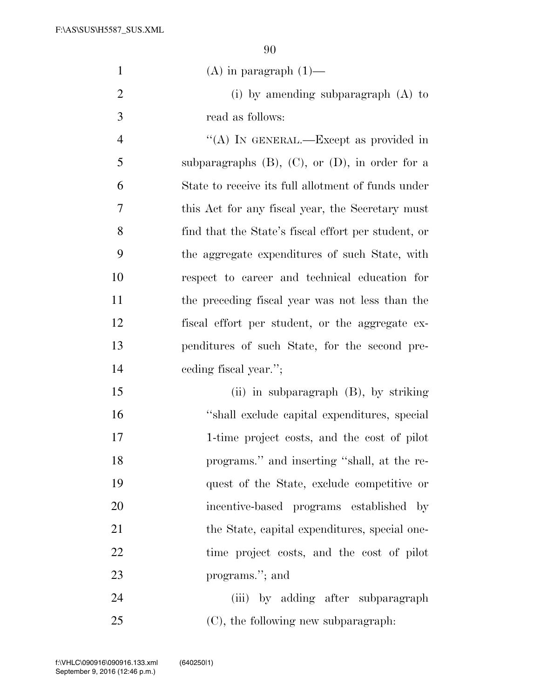| $\mathbf{1}$   | $(A)$ in paragraph $(1)$ —                              |
|----------------|---------------------------------------------------------|
| $\overline{2}$ | (i) by amending subparagraph $(A)$ to                   |
| 3              | read as follows:                                        |
| $\overline{4}$ | "(A) IN GENERAL.—Except as provided in                  |
| 5              | subparagraphs $(B)$ , $(C)$ , or $(D)$ , in order for a |
| 6              | State to receive its full allotment of funds under      |
| 7              | this Act for any fiscal year, the Secretary must        |
| 8              | find that the State's fiscal effort per student, or     |
| 9              | the aggregate expenditures of such State, with          |
| 10             | respect to career and technical education for           |
| 11             | the preceding fiscal year was not less than the         |
| 12             | fiscal effort per student, or the aggregate ex-         |
| 13             | penditures of such State, for the second pre-           |
| 14             | ceding fiscal year.";                                   |
| 15             | (ii) in subparagraph $(B)$ , by striking                |
| 16             | "shall exclude capital expenditures, special            |
| 17             | 1-time project costs, and the cost of pilot             |
| 18             | programs." and inserting "shall, at the re-             |
| 19             | quest of the State, exclude competitive or              |
| 20             | incentive-based programs established by                 |
| 21             | the State, capital expenditures, special one-           |
| 22             | time project costs, and the cost of pilot               |
| 23             | programs."; and                                         |
| 24             | (iii) by adding after subparagraph                      |
| 25             | (C), the following new subparagraph:                    |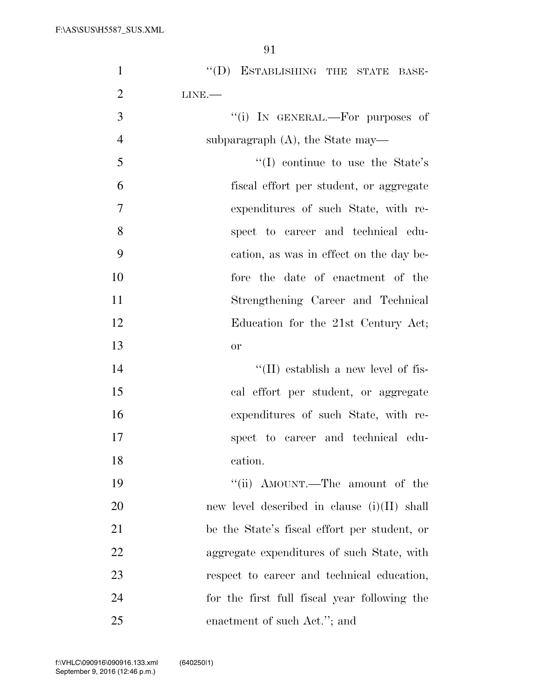| $\mathbf{1}$   | "(D) ESTABLISHING THE STATE BASE-             |
|----------------|-----------------------------------------------|
| $\overline{2}$ | LINE.                                         |
| 3              | "(i) IN GENERAL.—For purposes of              |
| $\overline{4}$ | subparagraph $(A)$ , the State may—           |
| 5              | $\lq(1)$ continue to use the State's          |
| 6              | fiscal effort per student, or aggregate       |
| 7              | expenditures of such State, with re-          |
| 8              | spect to career and technical edu-            |
| 9              | cation, as was in effect on the day be-       |
| 10             | fore the date of enactment of the             |
| 11             | Strengthening Career and Technical            |
| 12             | Education for the 21st Century Act;           |
| 13             | or                                            |
| 14             | $\lq\lq$ (II) establish a new level of fis-   |
| 15             | cal effort per student, or aggregate          |
| 16             | expenditures of such State, with re-          |
| 17             | spect to career and technical edu-            |
| 18             | cation.                                       |
| 19             | "(ii) AMOUNT.—The amount of the               |
| 20             | new level described in clause $(i)(II)$ shall |
| 21             | be the State's fiscal effort per student, or  |
| 22             | aggregate expenditures of such State, with    |
| 23             | respect to career and technical education,    |
| 24             | for the first full fiscal year following the  |
| 25             | enactment of such Act."; and                  |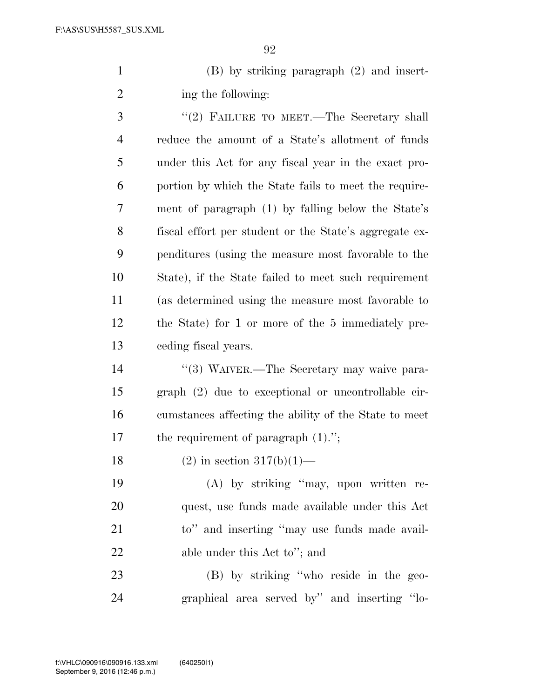(B) by striking paragraph (2) and insert-2 ing the following:

3 "(2) FAILURE TO MEET.—The Secretary shall reduce the amount of a State's allotment of funds under this Act for any fiscal year in the exact pro- portion by which the State fails to meet the require- ment of paragraph (1) by falling below the State's fiscal effort per student or the State's aggregate ex- penditures (using the measure most favorable to the State), if the State failed to meet such requirement (as determined using the measure most favorable to the State) for 1 or more of the 5 immediately pre-ceding fiscal years.

14 "(3) WAIVER.—The Secretary may waive para- graph (2) due to exceptional or uncontrollable cir- cumstances affecting the ability of the State to meet 17 the requirement of paragraph  $(1)$ .";

18 (2) in section  $317(b)(1)$ —

 (A) by striking ''may, upon written re- quest, use funds made available under this Act to'' and inserting ''may use funds made avail-22 able under this Act to"; and

 (B) by striking ''who reside in the geo-graphical area served by'' and inserting ''lo-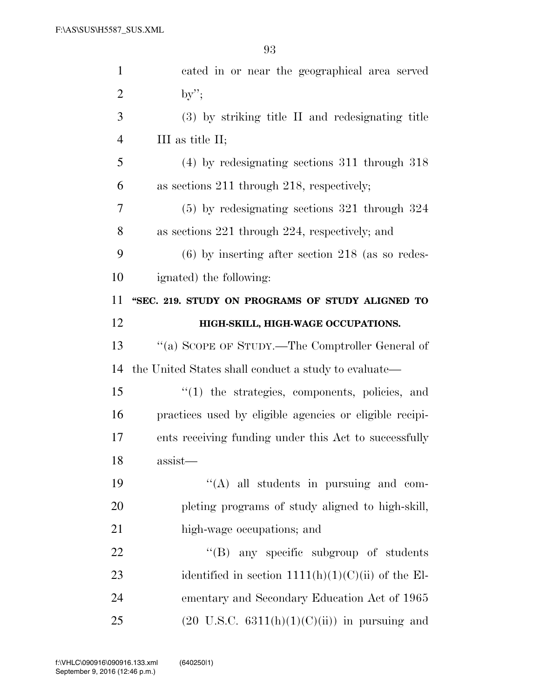| $\mathbf{1}$   | cated in or near the geographical area served           |
|----------------|---------------------------------------------------------|
| $\overline{2}$ | $by$ ";                                                 |
| 3              | (3) by striking title II and redesignating title        |
| $\overline{4}$ | III as title II;                                        |
| 5              | $(4)$ by redesignating sections 311 through 318         |
| 6              | as sections $211$ through $218$ , respectively;         |
| 7              | $(5)$ by redesignating sections 321 through 324         |
| 8              | as sections $221$ through $224$ , respectively; and     |
| 9              | $(6)$ by inserting after section 218 (as so redes-      |
| 10             | ignated) the following:                                 |
| 11             | "SEC. 219. STUDY ON PROGRAMS OF STUDY ALIGNED TO        |
| 12             | HIGH-SKILL, HIGH-WAGE OCCUPATIONS.                      |
| 13             | "(a) SCOPE OF STUDY.—The Comptroller General of         |
| 14             | the United States shall conduct a study to evaluate—    |
|                |                                                         |
| 15             | "(1) the strategies, components, policies, and          |
| 16             | practices used by eligible agencies or eligible recipi- |
| 17             | ents receiving funding under this Act to successfully   |
| 18             | assist-                                                 |
| 19             | $\lq\lq$ all students in pursuing and com-              |
| 20             | pleting programs of study aligned to high-skill,        |
| 21             | high-wage occupations; and                              |
| 22             | "(B) any specific subgroup of students                  |
| 23             | identified in section $1111(h)(1)(C(ii))$ of the El-    |
| 24             | ementary and Secondary Education Act of 1965            |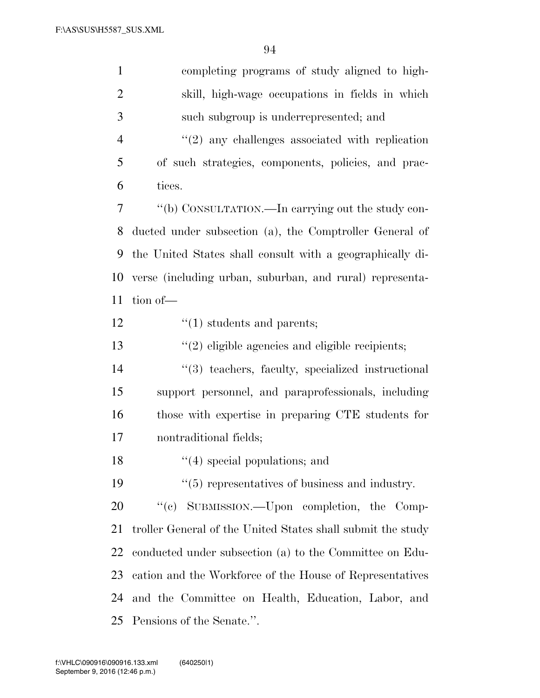| $\mathbf{1}$   | completing programs of study aligned to high-                  |
|----------------|----------------------------------------------------------------|
| $\overline{2}$ | skill, high-wage occupations in fields in which                |
| 3              | such subgroup is underrepresented; and                         |
| $\overline{4}$ | $\lq(2)$ any challenges associated with replication            |
| 5              | of such strategies, components, policies, and prac-            |
| 6              | tices.                                                         |
| 7              | "(b) CONSULTATION.—In carrying out the study con-              |
| 8              | ducted under subsection (a), the Comptroller General of        |
| 9              | the United States shall consult with a geographically di-      |
| 10             | verse (including urban, suburban, and rural) representa-       |
| 11             | tion of-                                                       |
| 12             | $\cdot$ (1) students and parents;                              |
| 13             | $\lq(2)$ eligible agencies and eligible recipients;            |
| 14             | "(3) teachers, faculty, specialized instructional              |
| 15             | support personnel, and paraprofessionals, including            |
| 16             | those with expertise in preparing CTE students for             |
| 17             | nontraditional fields;                                         |
| 18             | $\lq(4)$ special populations; and                              |
| 19             | $\cdot\cdot\cdot(5)$ representatives of business and industry. |
| 20             | "(c) SUBMISSION.—Upon completion, the Comp-                    |
| 21             | troller General of the United States shall submit the study    |
| 22             | conducted under subsection (a) to the Committee on Edu-        |
| 23             | cation and the Workforce of the House of Representatives       |
| 24             | and the Committee on Health, Education, Labor, and             |
| 25             | Pensions of the Senate.".                                      |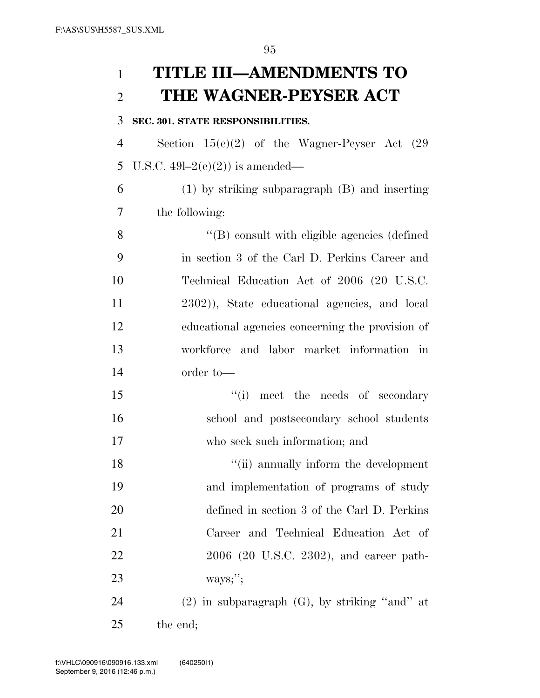## **TITLE III—AMENDMENTS TO THE WAGNER-PEYSER ACT**

## **SEC. 301. STATE RESPONSIBILITIES.**

 Section 15(e)(2) of the Wagner-Peyser Act (29 5 U.S.C.  $49l-2(e)(2)$  is amended—

 (1) by striking subparagraph (B) and inserting the following:

 ''(B) consult with eligible agencies (defined in section 3 of the Carl D. Perkins Career and Technical Education Act of 2006 (20 U.S.C. 2302)), State educational agencies, and local educational agencies concerning the provision of workforce and labor market information in order to—

15 ''(i) meet the needs of secondary school and postsecondary school students who seek such information; and

18 ''(ii) annually inform the development and implementation of programs of study defined in section 3 of the Carl D. Perkins Career and Technical Education Act of 2006 (20 U.S.C. 2302), and career path-ways;'';

24 (2) in subparagraph  $(G)$ , by striking "and" at the end;